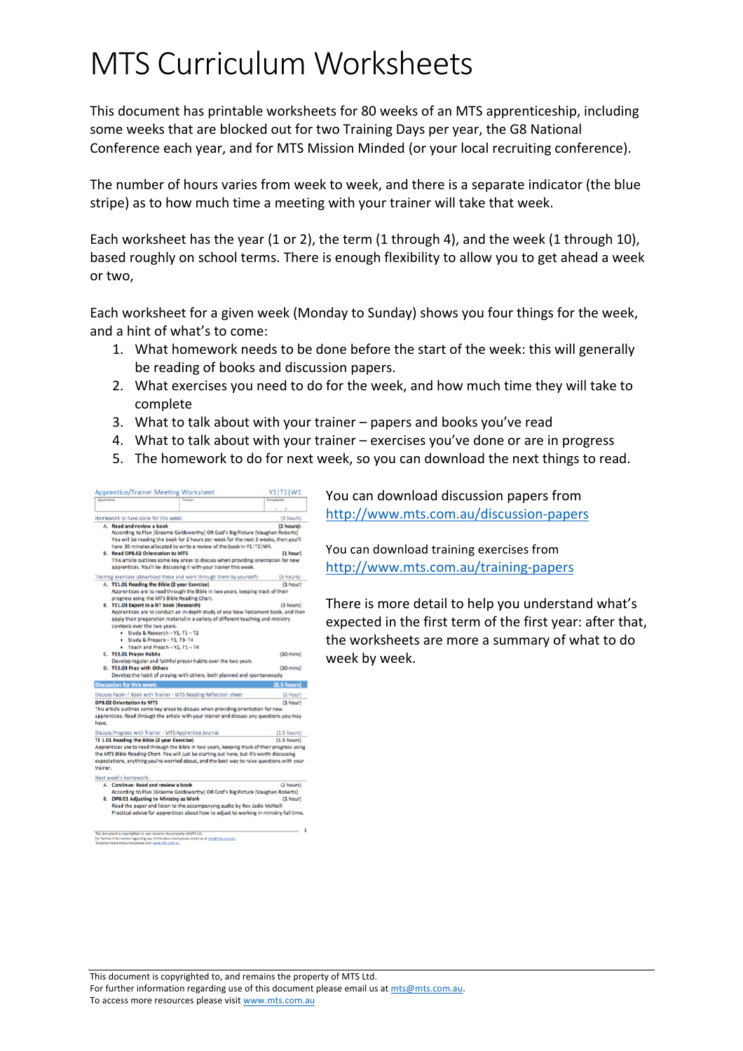# MTS Curriculum Worksheets

This document has printable worksheets for 80 weeks of an MTS apprenticeship, including some weeks that are blocked out for two Training Days per year, the G8 National Conference each year, and for MTS Mission Minded (or your local recruiting conference).

The number of hours varies from week to week, and there is a separate indicator (the blue stripe) as to how much time a meeting with your trainer will take that week.

Each worksheet has the year (1 or 2), the term (1 through 4), and the week (1 through 10), based roughly on school terms. There is enough flexibility to allow you to get ahead a week or two,

Each worksheet for a given week (Monday to Sunday) shows you four things for the week, and a hint of what's to come:

- 1. What homework needs to be done before the start of the week: this will generally be reading of books and discussion papers.
- 2. What exercises you need to do for the week, and how much time they will take to complete
- 3. What to talk about with your trainer  $-$  papers and books you've read
- 4. What to talk about with your trainer exercises you've done or are in progress
- 5. The homework to do for next week, so you can download the next things to read.



You can download discussion papers from http://www.mts.com.au/discussion-papers

You can download training exercises from http://www.mts.com.au/training-papers

There is more detail to help you understand what's expected in the first term of the first year: after that, the worksheets are more a summary of what to do week by week.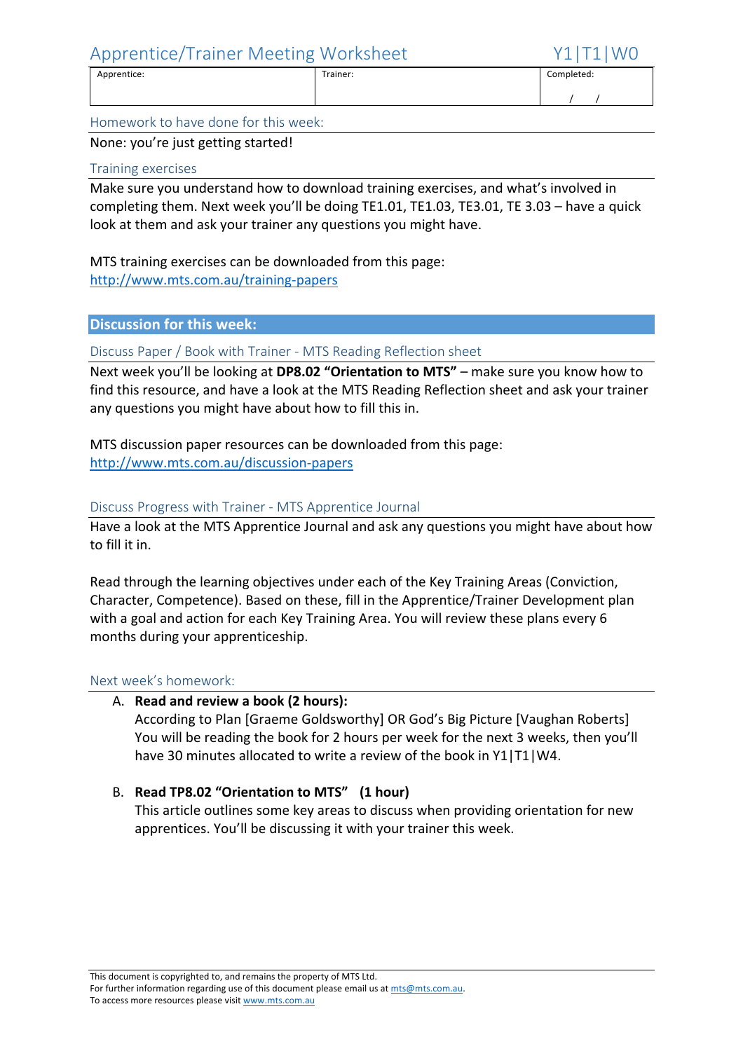$\frac{1}{1}$ 

Homework to have done for this week:

None: you're just getting started!

#### Training exercises

Make sure you understand how to download training exercises, and what's involved in completing them. Next week you'll be doing TE1.01, TE1.03, TE3.01, TE 3.03 – have a quick look at them and ask your trainer any questions you might have.

Apprentice: Trainer: Completed:

MTS training exercises can be downloaded from this page: http://www.mts.com.au/training-papers

#### **Discussion for this week:**

Discuss Paper / Book with Trainer - MTS Reading Reflection sheet

Next week you'll be looking at DP8.02 "Orientation to MTS" – make sure you know how to find this resource, and have a look at the MTS Reading Reflection sheet and ask your trainer any questions you might have about how to fill this in.

MTS discussion paper resources can be downloaded from this page: http://www.mts.com.au/discussion-papers

#### Discuss Progress with Trainer - MTS Apprentice Journal

Have a look at the MTS Apprentice Journal and ask any questions you might have about how to fill it in.

Read through the learning objectives under each of the Key Training Areas (Conviction, Character, Competence). Based on these, fill in the Apprentice/Trainer Development plan with a goal and action for each Key Training Area. You will review these plans every 6 months during your apprenticeship.

#### Next week's homework:

#### A. **Read and review a book (2 hours):**

According to Plan [Graeme Goldsworthy] OR God's Big Picture [Vaughan Roberts] You will be reading the book for 2 hours per week for the next 3 weeks, then you'll have 30 minutes allocated to write a review of the book in  $Y1|T1|WA$ .

#### B. **Read TP8.02 "Orientation to MTS" (1 hour)**

This article outlines some key areas to discuss when providing orientation for new apprentices. You'll be discussing it with your trainer this week.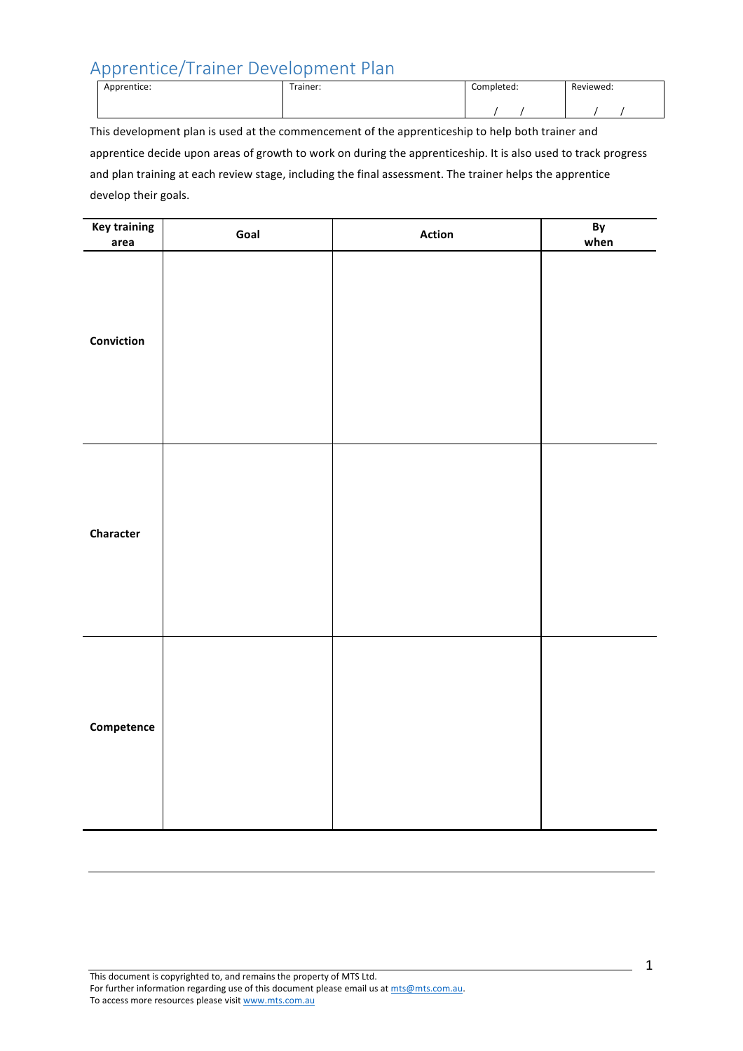# Apprentice/Trainer Development Plan

| Apprentice: | Trainer: | Completed: | Reviewed: |
|-------------|----------|------------|-----------|
|             |          |            |           |

This development plan is used at the commencement of the apprenticeship to help both trainer and apprentice decide upon areas of growth to work on during the apprenticeship. It is also used to track progress and plan training at each review stage, including the final assessment. The trainer helps the apprentice develop their goals.

| <b>Key training</b><br>area | Goal | <b>Action</b> | By<br>when |
|-----------------------------|------|---------------|------------|
| Conviction                  |      |               |            |
| Character                   |      |               |            |
| Competence                  |      |               |            |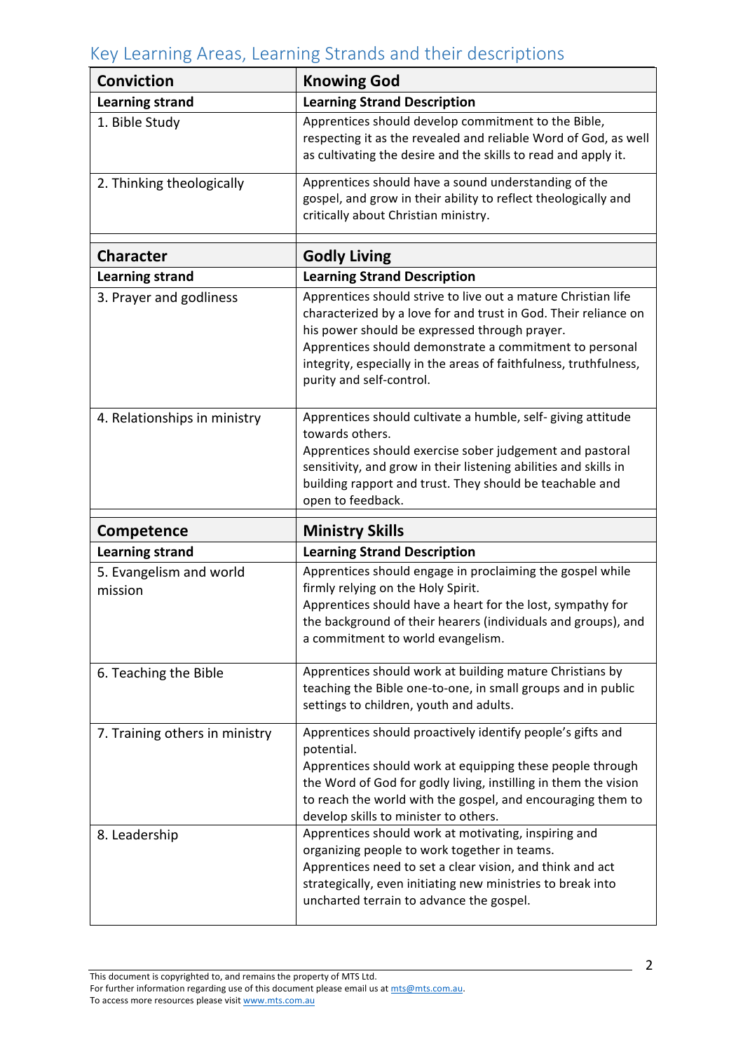# Key Learning Areas, Learning Strands and their descriptions

| <b>Conviction</b>                  | <b>Knowing God</b>                                                                                                                                                                                                                                                                                                                            |  |
|------------------------------------|-----------------------------------------------------------------------------------------------------------------------------------------------------------------------------------------------------------------------------------------------------------------------------------------------------------------------------------------------|--|
| <b>Learning strand</b>             | <b>Learning Strand Description</b>                                                                                                                                                                                                                                                                                                            |  |
| 1. Bible Study                     | Apprentices should develop commitment to the Bible,<br>respecting it as the revealed and reliable Word of God, as well<br>as cultivating the desire and the skills to read and apply it.                                                                                                                                                      |  |
| 2. Thinking theologically          | Apprentices should have a sound understanding of the<br>gospel, and grow in their ability to reflect theologically and<br>critically about Christian ministry.                                                                                                                                                                                |  |
| <b>Character</b>                   | <b>Godly Living</b>                                                                                                                                                                                                                                                                                                                           |  |
| <b>Learning strand</b>             | <b>Learning Strand Description</b>                                                                                                                                                                                                                                                                                                            |  |
| 3. Prayer and godliness            | Apprentices should strive to live out a mature Christian life<br>characterized by a love for and trust in God. Their reliance on<br>his power should be expressed through prayer.<br>Apprentices should demonstrate a commitment to personal<br>integrity, especially in the areas of faithfulness, truthfulness,<br>purity and self-control. |  |
| 4. Relationships in ministry       | Apprentices should cultivate a humble, self- giving attitude<br>towards others.<br>Apprentices should exercise sober judgement and pastoral<br>sensitivity, and grow in their listening abilities and skills in<br>building rapport and trust. They should be teachable and<br>open to feedback.                                              |  |
| Competence                         | <b>Ministry Skills</b>                                                                                                                                                                                                                                                                                                                        |  |
| <b>Learning strand</b>             | <b>Learning Strand Description</b>                                                                                                                                                                                                                                                                                                            |  |
| 5. Evangelism and world<br>mission | Apprentices should engage in proclaiming the gospel while<br>firmly relying on the Holy Spirit.<br>Apprentices should have a heart for the lost, sympathy for<br>the background of their hearers (individuals and groups), and<br>a commitment to world evangelism.                                                                           |  |
| 6. Teaching the Bible              | Apprentices should work at building mature Christians by<br>teaching the Bible one-to-one, in small groups and in public<br>settings to children, youth and adults.                                                                                                                                                                           |  |
| 7. Training others in ministry     | Apprentices should proactively identify people's gifts and<br>potential.<br>Apprentices should work at equipping these people through<br>the Word of God for godly living, instilling in them the vision<br>to reach the world with the gospel, and encouraging them to<br>develop skills to minister to others.                              |  |
| 8. Leadership                      | Apprentices should work at motivating, inspiring and<br>organizing people to work together in teams.<br>Apprentices need to set a clear vision, and think and act<br>strategically, even initiating new ministries to break into<br>uncharted terrain to advance the gospel.                                                                  |  |

This document is copyrighted to, and remains the property of MTS Ltd. For further information regarding use of this document please email us at mts@mts.com.au.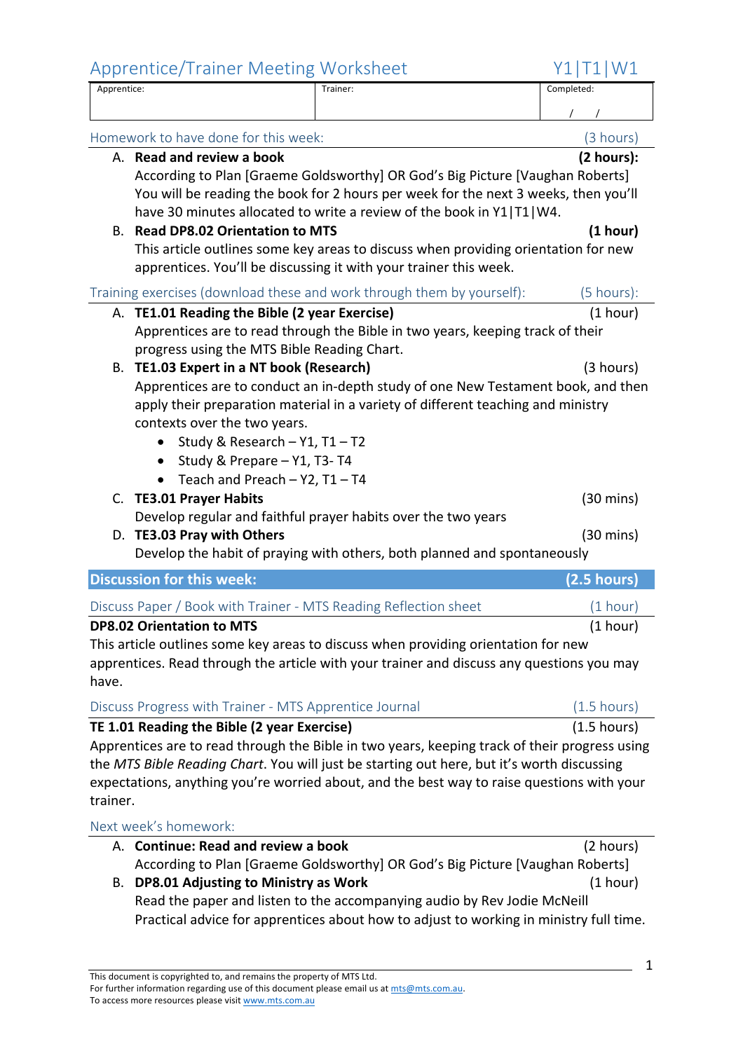#### Apprentice/Trainer Meeting Worksheet

Apprentice: Trainer: Completed:  $\frac{1}{1}$ Homework to have done for this week: (3 hours) (3 hours) A. **Read and review a book (2 hours): (2 hours):** According to Plan [Graeme Goldsworthy] OR God's Big Picture [Vaughan Roberts] You will be reading the book for 2 hours per week for the next 3 weeks, then you'll have 30 minutes allocated to write a review of the book in Y1|T1|W4. B. **Read DP8.02 Orientation to MTS** (1 hour) This article outlines some key areas to discuss when providing orientation for new apprentices. You'll be discussing it with your trainer this week. Training exercises (download these and work through them by yourself): (5 hours): A. **TE1.01 Reading the Bible (2 year Exercise)** (1 hour) Apprentices are to read through the Bible in two years, keeping track of their progress using the MTS Bible Reading Chart. B. **TE1.03** Expert in a NT book (Research) (3 hours) Apprentices are to conduct an in-depth study of one New Testament book, and then apply their preparation material in a variety of different teaching and ministry contexts over the two years. • Study & Research  $-$  Y1, T1  $-$  T2 • Study & Prepare  $-$  Y1, T3- T4 • Teach and Preach  $-$  Y2, T1  $-$  T4 C. **TE3.01 Prayer Habits** (30 mins) Develop regular and faithful prayer habits over the two years D. **TE3.03 Pray with Others** (30 mins) Develop the habit of praying with others, both planned and spontaneously **Discussion for this week: (2.5 hours)** Discuss Paper / Book with Trainer - MTS Reading Reflection sheet (1 hour) **DP8.02 Orientation to MTS** (1 hour) This article outlines some key areas to discuss when providing orientation for new apprentices. Read through the article with your trainer and discuss any questions you may have. Discuss Progress with Trainer - MTS Apprentice Journal (1.5 hours) **TE 1.01 Reading the Bible (2 year Exercise)** (1.5 hours) Apprentices are to read through the Bible in two years, keeping track of their progress using the *MTS Bible Reading Chart*. You will just be starting out here, but it's worth discussing expectations, anything you're worried about, and the best way to raise questions with your trainer. Next week's homework: A. **Continue: Read and review a book** (2 hours) According to Plan [Graeme Goldsworthy] OR God's Big Picture [Vaughan Roberts] B. **DP8.01** Adjusting to Ministry as Work (1 hour)

Read the paper and listen to the accompanying audio by Rev Jodie McNeill Practical advice for apprentices about how to adjust to working in ministry full time.

For further information regarding use of this document please email us at mts@mts.com.au. To access more resources please visit www.mts.com.au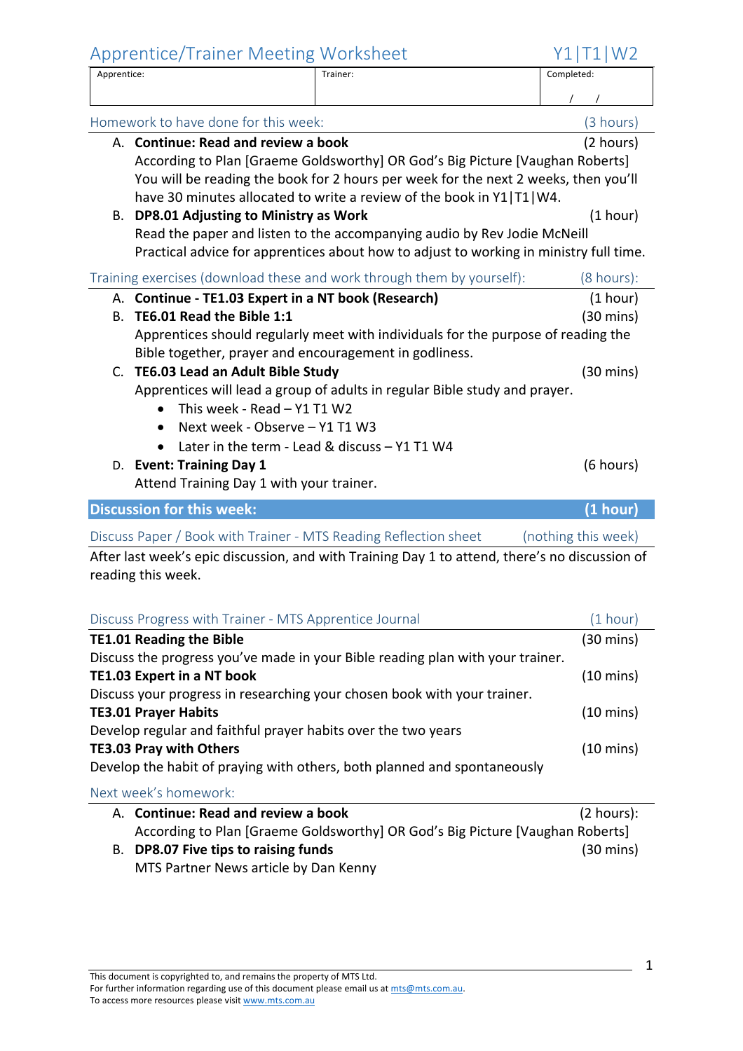Apprentice/Trainer Meeting Worksheet  $Y1|T1|W2$ Apprentice: Trainer: Completed:  $\frac{1}{1}$ Homework to have done for this week: (3 hours) (3 hours) A. **Continue: Read and review a book** (2 hours) According to Plan [Graeme Goldsworthy] OR God's Big Picture [Vaughan Roberts] You will be reading the book for 2 hours per week for the next 2 weeks, then you'll have 30 minutes allocated to write a review of the book in Y1|T1|W4. B. **DP8.01** Adjusting to Ministry as Work (1 hour) (1 hour) Read the paper and listen to the accompanying audio by Rev Jodie McNeill Practical advice for apprentices about how to adjust to working in ministry full time. Training exercises (download these and work through them by yourself): (8 hours): A. **Continue - TE1.03 Expert in a NT book (Research)** (1 hour) B. **TE6.01** Read the Bible 1:1 (30 mins) Apprentices should regularly meet with individuals for the purpose of reading the Bible together, prayer and encouragement in godliness. C. **TE6.03 Lead an Adult Bible Study C. TE6.03 Lead an Adult Bible Study (30 mins)** Apprentices will lead a group of adults in regular Bible study and prayer. • This week - Read  $-$  Y1 T1 W2 • Next week - Observe – Y1 T1 W3 • Later in the term - Lead & discuss – Y1 T1 W4 D. **Event: Training Day 1** (6 hours) Attend Training Day 1 with your trainer. **Discussion for this week: (1 hour) (1 hour)** Discuss Paper / Book with Trainer - MTS Reading Reflection sheet (nothing this week) After last week's epic discussion, and with Training Day 1 to attend, there's no discussion of reading this week. Discuss Progress with Trainer - MTS Apprentice Journal (1 hour) **TE1.01** Reading the Bible (30 mins) Discuss the progress you've made in your Bible reading plan with your trainer.

**TE1.03** Expert in a NT book (10 mins) Discuss your progress in researching your chosen book with your trainer. **TE3.01** Prayer Habits (10 mins) Develop regular and faithful prayer habits over the two years **TE3.03** Pray with Others (10 mins) Develop the habit of praying with others, both planned and spontaneously

Next week's homework:

| A. Continue: Read and review a book                                           | $(2 \text{ hours})$ : |
|-------------------------------------------------------------------------------|-----------------------|
| According to Plan [Graeme Goldsworthy] OR God's Big Picture [Vaughan Roberts] |                       |
| B. DP8.07 Five tips to raising funds                                          | $(30 \text{ mins})$   |
| MTS Partner News article by Dan Kenny                                         |                       |

This document is copyrighted to, and remains the property of MTS Ltd. For further information regarding use of this document please email us at mts@mts.com.au. To access more resources please visit www.mts.com.au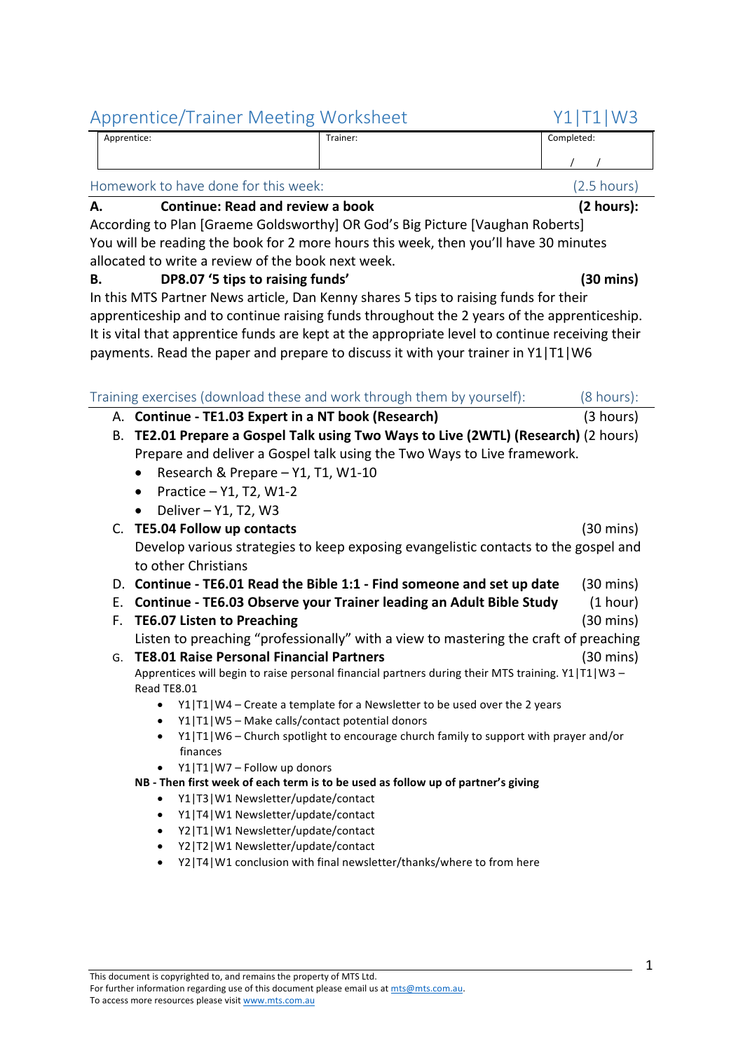| Apprentice: | Trainer:<br>. | Completed: |
|-------------|---------------|------------|
|             |               |            |

# Homework to have done for this week: (2.5 hours)

#### A. **Continue:** Read and review a book (2 hours):

According to Plan [Graeme Goldsworthy] OR God's Big Picture [Vaughan Roberts] You will be reading the book for 2 more hours this week, then you'll have 30 minutes allocated to write a review of the book next week.

#### **B. DP8.07** '5 tips to raising funds' **COMPASHER (30 mins)**

In this MTS Partner News article, Dan Kenny shares 5 tips to raising funds for their apprenticeship and to continue raising funds throughout the 2 years of the apprenticeship. It is vital that apprentice funds are kept at the appropriate level to continue receiving their payments. Read the paper and prepare to discuss it with your trainer in Y1|T1|W6

|    | Training exercises (download these and work through them by yourself):                                                                              | $(8 \text{ hours})$ :                                                                                |
|----|-----------------------------------------------------------------------------------------------------------------------------------------------------|------------------------------------------------------------------------------------------------------|
|    | A. Continue - TE1.03 Expert in a NT book (Research)                                                                                                 | (3 hours)                                                                                            |
|    | B. TE2.01 Prepare a Gospel Talk using Two Ways to Live (2WTL) (Research) (2 hours)                                                                  |                                                                                                      |
|    | Prepare and deliver a Gospel talk using the Two Ways to Live framework.                                                                             |                                                                                                      |
|    | Research & Prepare - Y1, T1, W1-10                                                                                                                  |                                                                                                      |
|    | Practice - Y1, T2, W1-2                                                                                                                             |                                                                                                      |
|    | Deliver - Y1, T2, W3                                                                                                                                |                                                                                                      |
|    | C. TE5.04 Follow up contacts                                                                                                                        |                                                                                                      |
|    | Develop various strategies to keep exposing evangelistic contacts to the gospel and                                                                 |                                                                                                      |
|    | to other Christians                                                                                                                                 |                                                                                                      |
|    |                                                                                                                                                     |                                                                                                      |
|    | D. Continue - TE6.01 Read the Bible 1:1 - Find someone and set up date                                                                              |                                                                                                      |
| Е. | Continue - TE6.03 Observe your Trainer leading an Adult Bible Study                                                                                 |                                                                                                      |
| F. | <b>TE6.07 Listen to Preaching</b>                                                                                                                   |                                                                                                      |
|    | Listen to preaching "professionally" with a view to mastering the craft of preaching                                                                |                                                                                                      |
| G. | <b>TE8.01 Raise Personal Financial Partners</b>                                                                                                     |                                                                                                      |
|    | Apprentices will begin to raise personal financial partners during their MTS training. Y1 T1 W3 -                                                   |                                                                                                      |
|    | Read TE8.01                                                                                                                                         |                                                                                                      |
|    | Y1 T1 W4 - Create a template for a Newsletter to be used over the 2 years<br>$\bullet$                                                              |                                                                                                      |
|    | Y1 T1 W5 - Make calls/contact potential donors<br>$\bullet$<br>Y1 T1 W6 - Church spotlight to encourage church family to support with prayer and/or |                                                                                                      |
|    | $\bullet$<br>finances                                                                                                                               |                                                                                                      |
|    | Y1 T1 W7-Follow up donors                                                                                                                           |                                                                                                      |
|    | NB - Then first week of each term is to be used as follow up of partner's giving                                                                    | $(30 \text{ mins})$<br>$(30 \text{ mins})$<br>(1 hour)<br>$(30 \text{ mins})$<br>$(30 \text{ mins})$ |
|    | Y1 T3 W1 Newsletter/update/contact<br>$\bullet$                                                                                                     |                                                                                                      |
|    | Y1 T4 W1 Newsletter/update/contact<br>$\bullet$                                                                                                     |                                                                                                      |
|    | Y2 T1 W1 Newsletter/update/contact<br>$\bullet$                                                                                                     |                                                                                                      |
|    | Y2 T2 W1 Newsletter/update/contact                                                                                                                  |                                                                                                      |
|    | Y2 T4 W1 conclusion with final newsletter/thanks/where to from here                                                                                 |                                                                                                      |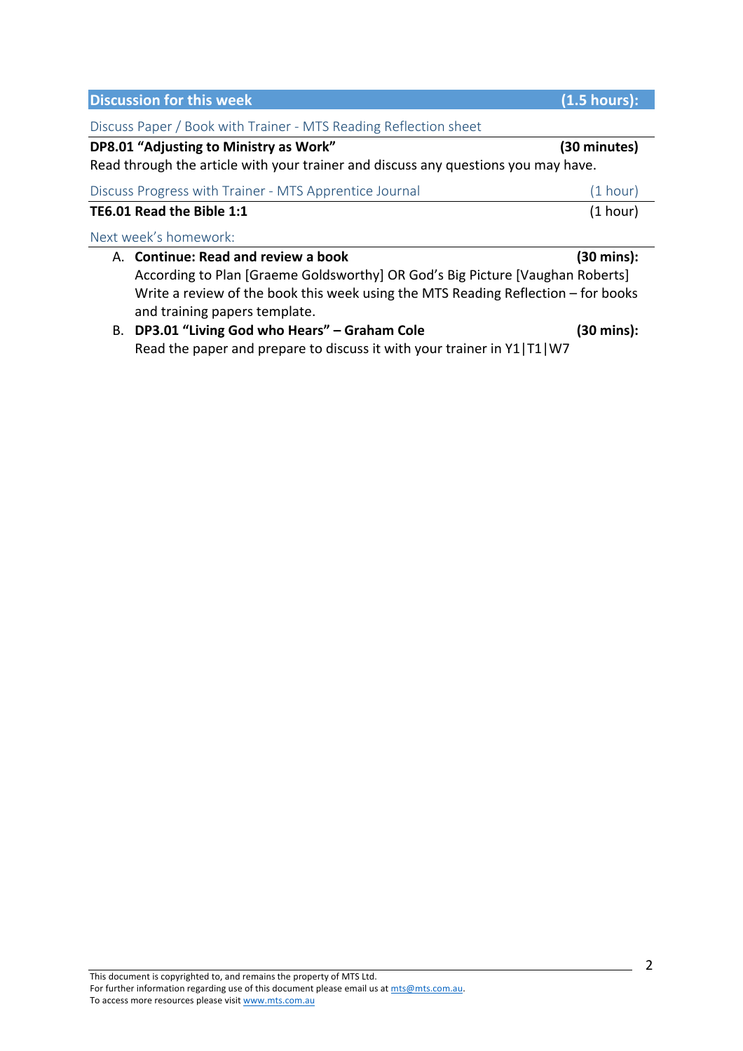| <b>Discussion for this week</b>                                                                                                                                                                                                              | (1.5 hours):                                                                                                                               |
|----------------------------------------------------------------------------------------------------------------------------------------------------------------------------------------------------------------------------------------------|--------------------------------------------------------------------------------------------------------------------------------------------|
| Discuss Paper / Book with Trainer - MTS Reading Reflection sheet                                                                                                                                                                             |                                                                                                                                            |
| DP8.01 "Adjusting to Ministry as Work"<br>Read through the article with your trainer and discuss any questions you may have.                                                                                                                 | (30 minutes)<br>(1 hour)<br>(1 hour)<br>(30 mins):<br>(30 mins):<br>Read the paper and prepare to discuss it with your trainer in Y1 T1 W7 |
| Discuss Progress with Trainer - MTS Apprentice Journal                                                                                                                                                                                       |                                                                                                                                            |
| TE6.01 Read the Bible 1:1                                                                                                                                                                                                                    |                                                                                                                                            |
| Next week's homework:                                                                                                                                                                                                                        |                                                                                                                                            |
| A. Continue: Read and review a book<br>According to Plan [Graeme Goldsworthy] OR God's Big Picture [Vaughan Roberts]<br>Write a review of the book this week using the MTS Reading Reflection $-$ for books<br>and training papers template. |                                                                                                                                            |
| B. DP3.01 "Living God who Hears" - Graham Cole                                                                                                                                                                                               |                                                                                                                                            |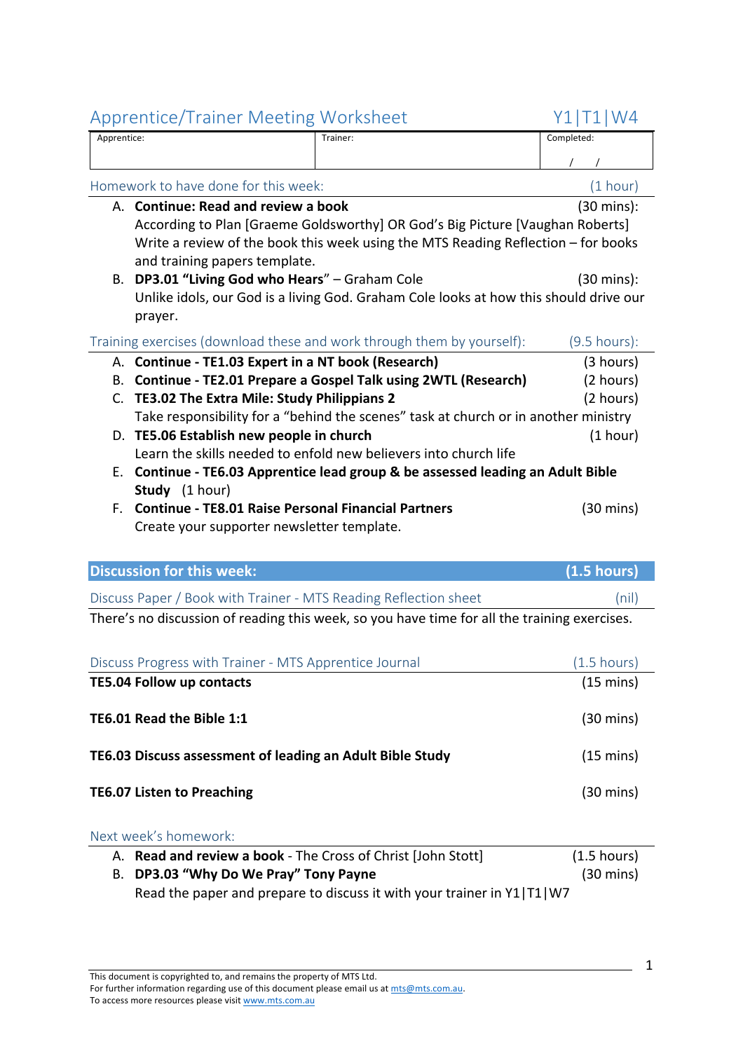| Apprentice:                                                            | Trainer:                                                                              | Completed:            |
|------------------------------------------------------------------------|---------------------------------------------------------------------------------------|-----------------------|
|                                                                        |                                                                                       |                       |
|                                                                        | Homework to have done for this week:                                                  | (1 hour)              |
|                                                                        | A. Continue: Read and review a book                                                   | (30 mins):            |
|                                                                        | According to Plan [Graeme Goldsworthy] OR God's Big Picture [Vaughan Roberts]         |                       |
|                                                                        | Write a review of the book this week using the MTS Reading Reflection – for books     |                       |
|                                                                        | and training papers template.                                                         |                       |
|                                                                        | B. DP3.01 "Living God who Hears" - Graham Cole                                        | $(30 \text{ mins})$ : |
|                                                                        | Unlike idols, our God is a living God. Graham Cole looks at how this should drive our |                       |
|                                                                        | prayer.                                                                               |                       |
| Training exercises (download these and work through them by yourself): | $(9.5$ hours):                                                                        |                       |
|                                                                        | A. Continue - TE1.03 Expert in a NT book (Research)                                   | (3 hours)             |
| В.                                                                     | Continue - TE2.01 Prepare a Gospel Talk using 2WTL (Research)                         | (2 hours)             |
| C.                                                                     | TE3.02 The Extra Mile: Study Philippians 2                                            | (2 hours)             |
|                                                                        | Take responsibility for a "behind the scenes" task at church or in another ministry   |                       |
|                                                                        | D. TE5.06 Establish new people in church                                              | (1 hour)              |
|                                                                        | Learn the skills needed to enfold new believers into church life                      |                       |
|                                                                        |                                                                                       |                       |
| Е.                                                                     | Continue - TE6.03 Apprentice lead group & be assessed leading an Adult Bible          |                       |
|                                                                        | Study (1 hour)                                                                        |                       |
| F.                                                                     | <b>Continue - TE8.01 Raise Personal Financial Partners</b>                            | (30 mins)             |
|                                                                        | Create your supporter newsletter template.                                            |                       |

| <b>Discussion for this week:</b>                                                             | $(1.5 \text{ hours})$ |  |
|----------------------------------------------------------------------------------------------|-----------------------|--|
| Discuss Paper / Book with Trainer - MTS Reading Reflection sheet                             | (nil)                 |  |
| There's no discussion of reading this week, so you have time for all the training exercises. |                       |  |

| Discuss Progress with Trainer - MTS Apprentice Journal    | $(1.5 \text{ hours})$ |
|-----------------------------------------------------------|-----------------------|
| <b>TE5.04 Follow up contacts</b>                          | $(15 \text{ mins})$   |
| TE6.01 Read the Bible 1:1                                 | $(30 \text{ mins})$   |
| TE6.03 Discuss assessment of leading an Adult Bible Study | $(15 \text{ mins})$   |
| <b>TE6.07 Listen to Preaching</b>                         | $(30 \text{ mins})$   |

| A. Read and review a book - The Cross of Christ [John Stott]           | $(1.5 \text{ hours})$ |
|------------------------------------------------------------------------|-----------------------|
| B. DP3.03 "Why Do We Pray" Tony Payne                                  | $(30 \text{ mins})$   |
| Read the paper and prepare to discuss it with your trainer in Y1 T1 W7 |                       |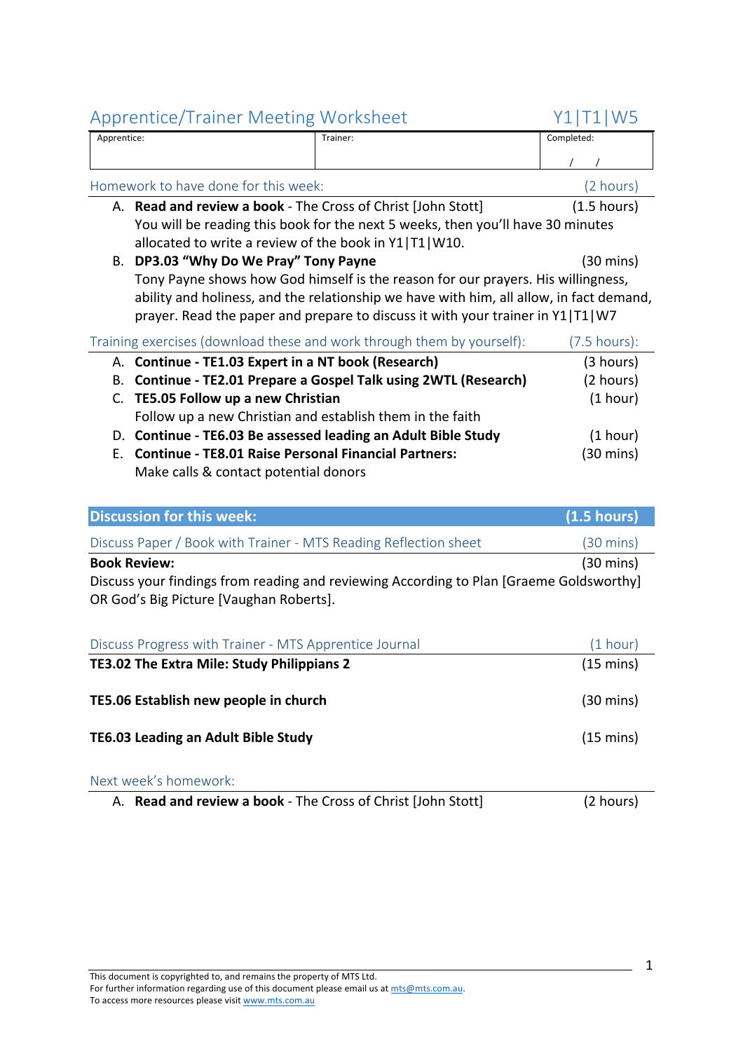|             | ippichacy indired incoming incredict                                                    | .                       |
|-------------|-----------------------------------------------------------------------------------------|-------------------------|
| Apprentice: | Trainer:                                                                                | Completed:              |
|             |                                                                                         |                         |
|             | Homework to have done for this week:                                                    | (2 hours)               |
|             | A. Read and review a book - The Cross of Christ (John Stott)                            | $(1.5 \text{ hours})$   |
|             | You will be reading this book for the next 5 weeks, then you'll have 30 minutes         |                         |
|             | allocated to write a review of the book in Y1 T1 W10.                                   |                         |
| В.          | DP3.03 "Why Do We Pray" Tony Payne                                                      | (30 mins)               |
|             | Tony Payne shows how God himself is the reason for our prayers. His willingness,        |                         |
|             | ability and holiness, and the relationship we have with him, all allow, in fact demand, |                         |
|             | prayer. Read the paper and prepare to discuss it with your trainer in Y1 T1 W7          |                         |
|             | Training exercises (download these and work through them by yourself):                  | $(7.5 \text{ hours})$ : |
|             | A. Continue - TE1.03 Expert in a NT book (Research)                                     | (3 hours)               |
| В.          | <b>Continue - TE2.01 Prepare a Gospel Talk using 2WTL (Research)</b>                    | (2 hours)               |
| C.          | <b>TE5.05 Follow up a new Christian</b>                                                 | (1 hour)                |
|             | Follow up a new Christian and establish them in the faith                               |                         |
|             | D. Continue - TE6.03 Be assessed leading an Adult Bible Study                           | (1 hour)                |
| Е.          | <b>Continue - TE8.01 Raise Personal Financial Partners:</b>                             | (30 mins)               |
|             | Make calls & contact potential donors                                                   |                         |
|             |                                                                                         |                         |

| <b>Discussion for this week:</b>                                                                                                   | $(1.5 \text{ hours})$ |
|------------------------------------------------------------------------------------------------------------------------------------|-----------------------|
| Discuss Paper / Book with Trainer - MTS Reading Reflection sheet                                                                   | $(30 \text{ mins})$   |
| <b>Book Review:</b>                                                                                                                | $(30 \text{ mins})$   |
| Discuss your findings from reading and reviewing According to Plan [Graeme Goldsworthy]<br>OR God's Big Picture [Vaughan Roberts]. |                       |

| Discuss Progress with Trainer - MTS Apprentice Journal | (1 hour)            |
|--------------------------------------------------------|---------------------|
| TE3.02 The Extra Mile: Study Philippians 2             | $(15 \text{ mins})$ |
| TE5.06 Establish new people in church                  | $(30 \text{ mins})$ |
| <b>TE6.03 Leading an Adult Bible Study</b>             | $(15 \text{ mins})$ |

#### Next week's homework:

A. **Read and review a book** - The Cross of Christ [John Stott] (2 hours)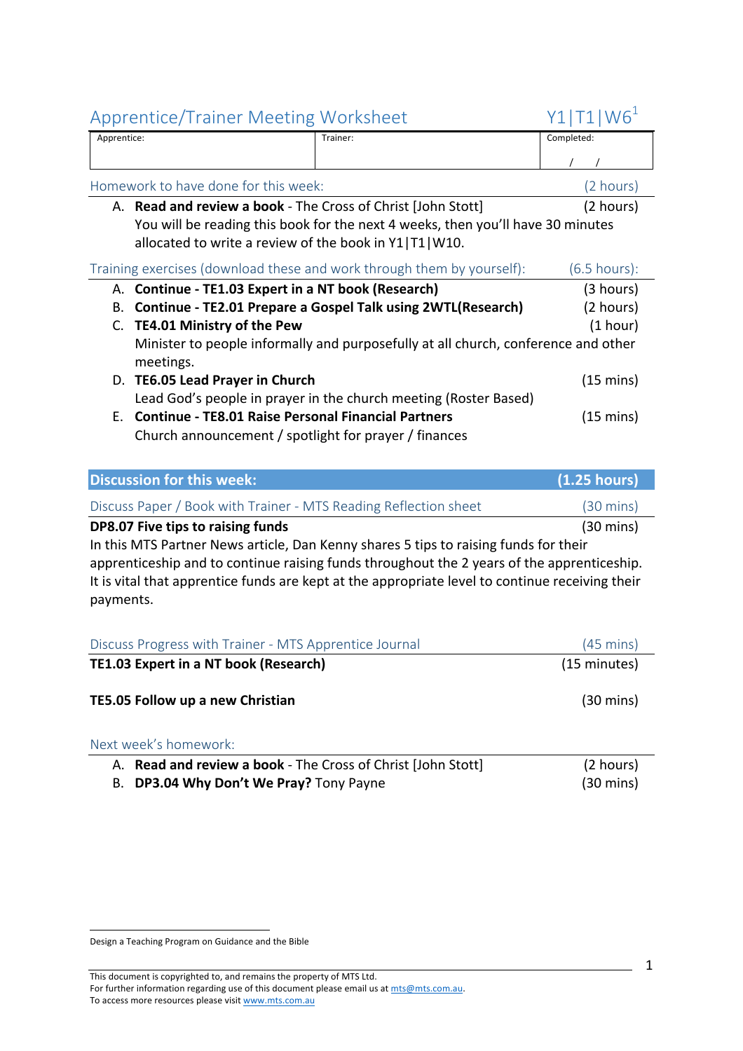# Apprentice/Trainer Meeting Worksheet  $Y1|T1|W6<sup>1</sup>$

| Apprentice:                          | Trainer:                                                                           | Completed:              |
|--------------------------------------|------------------------------------------------------------------------------------|-------------------------|
|                                      |                                                                                    |                         |
| Homework to have done for this week: |                                                                                    | (2 hours)               |
|                                      | A. Read and review a book - The Cross of Christ [John Stott]                       | (2 hours)               |
|                                      | You will be reading this book for the next 4 weeks, then you'll have 30 minutes    |                         |
|                                      | allocated to write a review of the book in Y1 T1 W10.                              |                         |
|                                      | Training exercises (download these and work through them by yourself):             | $(6.5 \text{ hours})$ : |
|                                      | A. Continue - TE1.03 Expert in a NT book (Research)                                | (3 hours)               |
| В.                                   | <b>Continue - TE2.01 Prepare a Gospel Talk using 2WTL(Research)</b>                | (2 hours)               |
| TE4.01 Ministry of the Pew<br>C.     |                                                                                    | (1 hour)                |
|                                      | Minister to people informally and purposefully at all church, conference and other |                         |
| meetings.                            |                                                                                    |                         |

D. **TE6.05 Lead Prayer in Church** (15 mins) Lead God's people in prayer in the church meeting (Roster Based) E. **Continue - TE8.01 Raise Personal Financial Partners** (15 mins) Church announcement / spotlight for prayer / finances

| <b>Discussion for this week:</b>                                                     | (1.25 hours)        |
|--------------------------------------------------------------------------------------|---------------------|
| Discuss Paper / Book with Trainer - MTS Reading Reflection sheet                     | $(30 \text{ mins})$ |
| DP8.07 Five tips to raising funds                                                    | $(30 \text{ mins})$ |
| In this MTS Partner News article, Dan Kenny shares 5 tips to raising funds for their |                     |

apprenticeship and to continue raising funds throughout the 2 years of the apprenticeship. It is vital that apprentice funds are kept at the appropriate level to continue receiving their payments.

| Discuss Progress with Trainer - MTS Apprentice Journal | $(45 \text{ mins})$ |
|--------------------------------------------------------|---------------------|
| <b>TE1.03 Expert in a NT book (Research)</b>           | (15 minutes)        |
| <b>TE5.05 Follow up a new Christian</b>                | $(30 \text{ mins})$ |
| Next week's homework:                                  |                     |

# A. **Read and review a book** - The Cross of Christ [John Stott] (2 hours) B. **DP3.04 Why Don't We Pray?** Tony Payne (30 mins)

 Design a Teaching Program on Guidance and the Bible

This document is copyrighted to, and remains the property of MTS Ltd. For further information regarding use of this document please email us at mts@mts.com.au. To access more resources please visit www.mts.com.au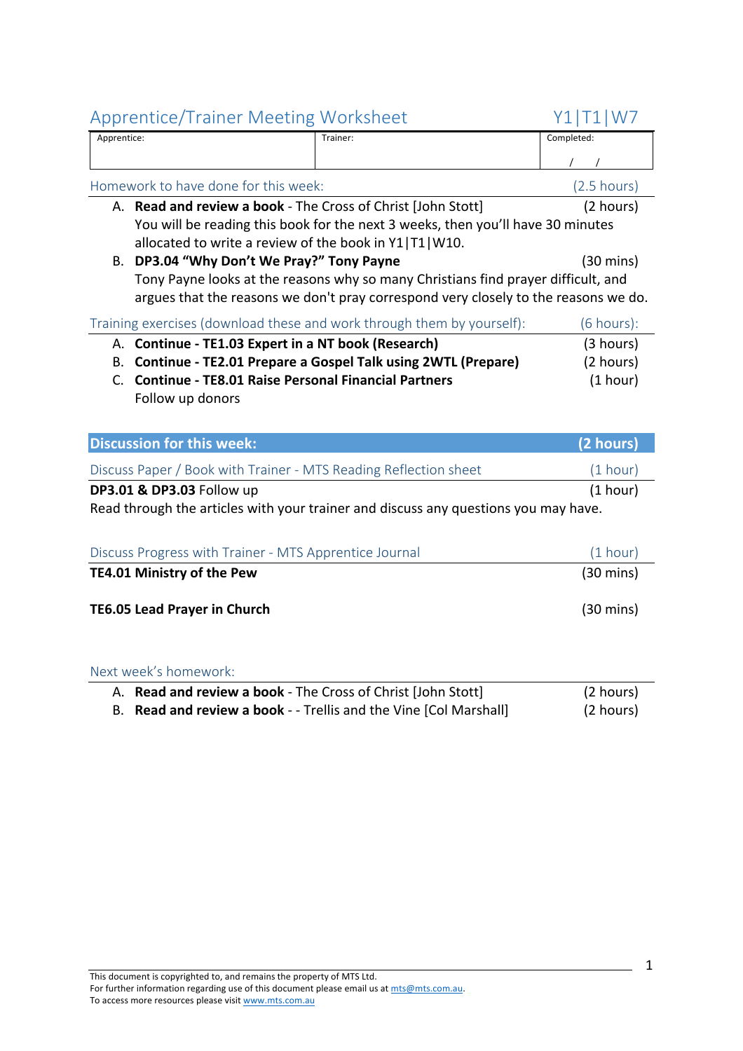| Apprentice: | Trainer: | Completed: |
|-------------|----------|------------|
|             |          |            |

| Homework to have done for this week:                                                | $(2.5 \text{ hours})$ |
|-------------------------------------------------------------------------------------|-----------------------|
| A. Read and review a book - The Cross of Christ [John Stott]                        | (2 hours)             |
| You will be reading this book for the next 3 weeks, then you'll have 30 minutes     |                       |
| allocated to write a review of the book in Y1 T1 W10.                               |                       |
| DP3.04 "Why Don't We Pray?" Tony Payne<br>В.                                        | $(30 \text{ mins})$   |
| Tony Payne looks at the reasons why so many Christians find prayer difficult, and   |                       |
| argues that the reasons we don't pray correspond very closely to the reasons we do. |                       |
| Training exercises (download these and work through them by yourself):              | (6 hours):            |
| A. Continue - TE1.03 Expert in a NT book (Research)                                 | (3 hours)             |
| <b>Continue - TE2.01 Prepare a Gospel Talk using 2WTL (Prepare)</b><br>В.           | (2 hours)             |
| <b>Continue - TE8.01 Raise Personal Financial Partners</b><br>C.                    | (1 hour)              |
|                                                                                     |                       |
| Follow up donors                                                                    |                       |
|                                                                                     |                       |
| <b>Discussion for this week:</b>                                                    | (2 hours)             |
| Discuss Paper / Book with Trainer - MTS Reading Reflection sheet                    | (1 hour)              |
| DP3.01 & DP3.03 Follow up                                                           | (1 hour)              |
| Read through the articles with your trainer and discuss any questions you may have. |                       |
|                                                                                     |                       |
| Discuss Progress with Trainer - MTS Apprentice Journal                              | (1 hour)              |
| TE4.01 Ministry of the Pew                                                          | $(30 \text{ mins})$   |
|                                                                                     |                       |

| A. <b>Read and review a book</b> - The Cross of Christ [John Stott] | (2 hours) |
|---------------------------------------------------------------------|-----------|
| B. Read and review a book - - Trellis and the Vine [Col Marshall]   | (2 hours) |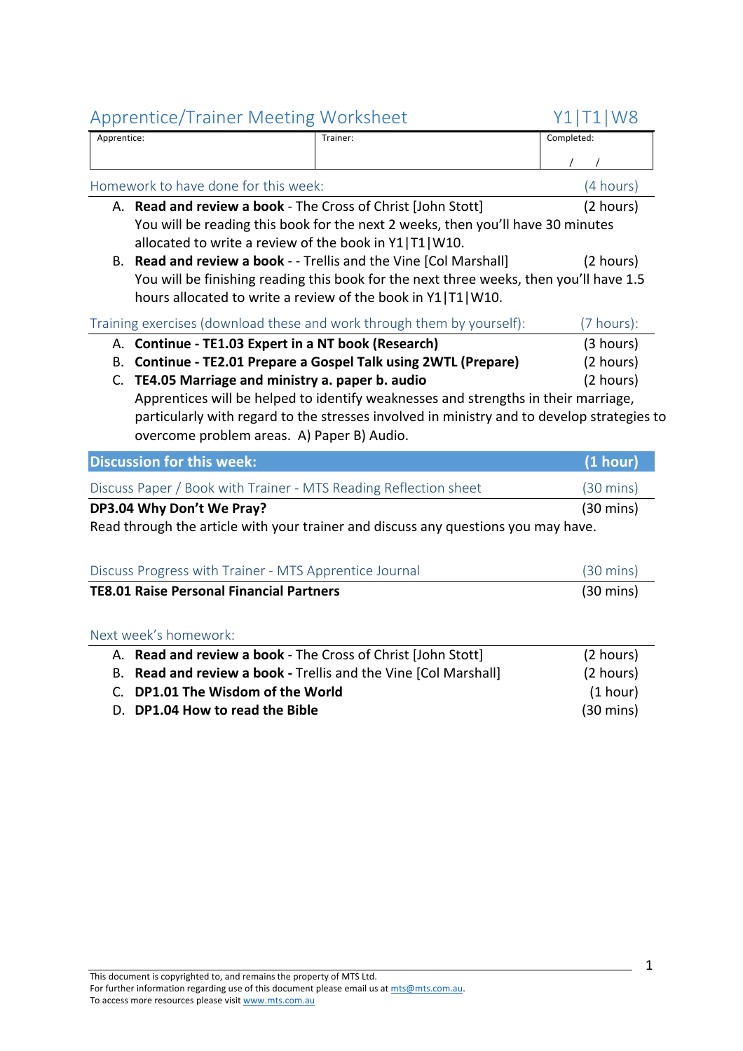| Apprentice:                                           |                                                                  | Trainer:                                                                                   | Completed:          |
|-------------------------------------------------------|------------------------------------------------------------------|--------------------------------------------------------------------------------------------|---------------------|
|                                                       |                                                                  |                                                                                            |                     |
| Homework to have done for this week:                  |                                                                  |                                                                                            | (4 hours)           |
|                                                       | A. Read and review a book - The Cross of Christ [John Stott]     |                                                                                            | (2 hours)           |
|                                                       |                                                                  | You will be reading this book for the next 2 weeks, then you'll have 30 minutes            |                     |
| allocated to write a review of the book in Y1 T1 W10. |                                                                  |                                                                                            |                     |
|                                                       |                                                                  | B. Read and review a book - - Trellis and the Vine [Col Marshall]                          | (2 hours)           |
|                                                       |                                                                  | You will be finishing reading this book for the next three weeks, then you'll have 1.5     |                     |
|                                                       |                                                                  | hours allocated to write a review of the book in Y1 T1 W10.                                |                     |
|                                                       |                                                                  | Training exercises (download these and work through them by yourself):                     | (7 hours):          |
|                                                       | A. Continue - TE1.03 Expert in a NT book (Research)              |                                                                                            | (3 hours)           |
|                                                       |                                                                  | B. Continue - TE2.01 Prepare a Gospel Talk using 2WTL (Prepare)                            | (2 hours)           |
| C. TE4.05 Marriage and ministry a. paper b. audio     |                                                                  |                                                                                            | (2 hours)           |
|                                                       |                                                                  |                                                                                            |                     |
|                                                       |                                                                  | Apprentices will be helped to identify weaknesses and strengths in their marriage,         |                     |
|                                                       |                                                                  | particularly with regard to the stresses involved in ministry and to develop strategies to |                     |
|                                                       | overcome problem areas. A) Paper B) Audio.                       |                                                                                            |                     |
|                                                       | <b>Discussion for this week:</b>                                 |                                                                                            | (1 hour)            |
|                                                       | Discuss Paper / Book with Trainer - MTS Reading Reflection sheet |                                                                                            | $(30 \text{ mins})$ |
|                                                       | DP3.04 Why Don't We Pray?                                        |                                                                                            | $(30 \text{ mins})$ |
|                                                       |                                                                  | Read through the article with your trainer and discuss any questions you may have.         |                     |
|                                                       |                                                                  |                                                                                            |                     |
|                                                       | Discuss Progress with Trainer - MTS Apprentice Journal           |                                                                                            | $(30 \text{ mins})$ |
|                                                       | <b>TE8.01 Raise Personal Financial Partners</b>                  |                                                                                            | $(30 \text{ mins})$ |
|                                                       |                                                                  |                                                                                            |                     |
|                                                       | Next week's homework:                                            |                                                                                            |                     |
|                                                       | A. Read and review a book - The Cross of Christ [John Stott]     |                                                                                            | (2 hours)           |
|                                                       | B. Read and review a book - Trellis and the Vine [Col Marshall]  |                                                                                            | (2 hours)           |
|                                                       | C. DP1.01 The Wisdom of the World                                |                                                                                            | (1 hour)            |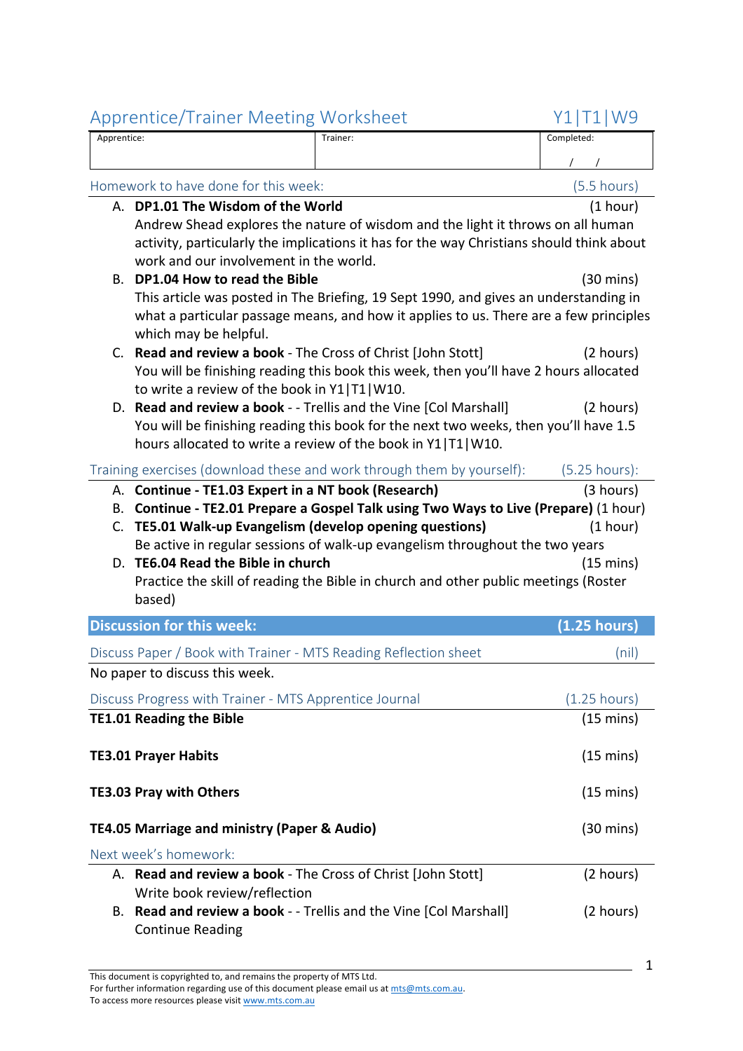|                                                                                          | Apprentice:                                                      | Trainer:                                                                                                                                            | Completed:          |
|------------------------------------------------------------------------------------------|------------------------------------------------------------------|-----------------------------------------------------------------------------------------------------------------------------------------------------|---------------------|
|                                                                                          |                                                                  |                                                                                                                                                     |                     |
|                                                                                          | Homework to have done for this week:                             |                                                                                                                                                     | $(5.5$ hours)       |
|                                                                                          | A. DP1.01 The Wisdom of the World                                |                                                                                                                                                     | (1 hour)            |
|                                                                                          |                                                                  | Andrew Shead explores the nature of wisdom and the light it throws on all human                                                                     |                     |
| activity, particularly the implications it has for the way Christians should think about |                                                                  |                                                                                                                                                     |                     |
|                                                                                          | work and our involvement in the world.                           |                                                                                                                                                     |                     |
| В.                                                                                       | DP1.04 How to read the Bible                                     | This article was posted in The Briefing, 19 Sept 1990, and gives an understanding in                                                                | $(30 \text{ mins})$ |
|                                                                                          |                                                                  | what a particular passage means, and how it applies to us. There are a few principles                                                               |                     |
|                                                                                          | which may be helpful.                                            |                                                                                                                                                     |                     |
|                                                                                          | C. Read and review a book - The Cross of Christ [John Stott]     |                                                                                                                                                     | (2 hours)           |
|                                                                                          |                                                                  | You will be finishing reading this book this week, then you'll have 2 hours allocated                                                               |                     |
|                                                                                          | to write a review of the book in Y1 T1 W10.                      |                                                                                                                                                     |                     |
|                                                                                          |                                                                  | D. Read and review a book - - Trellis and the Vine [Col Marshall]                                                                                   | (2 hours)           |
|                                                                                          |                                                                  | You will be finishing reading this book for the next two weeks, then you'll have 1.5<br>hours allocated to write a review of the book in Y1 T1 W10. |                     |
|                                                                                          |                                                                  |                                                                                                                                                     |                     |
|                                                                                          |                                                                  | Training exercises (download these and work through them by yourself):                                                                              | $(5.25$ hours):     |
| В.                                                                                       | A. Continue - TE1.03 Expert in a NT book (Research)              | Continue - TE2.01 Prepare a Gospel Talk using Two Ways to Live (Prepare) (1 hour)                                                                   | (3 hours)           |
|                                                                                          | C. TE5.01 Walk-up Evangelism (develop opening questions)         |                                                                                                                                                     | (1 hour)            |
|                                                                                          |                                                                  | Be active in regular sessions of walk-up evangelism throughout the two years                                                                        |                     |
|                                                                                          | D. TE6.04 Read the Bible in church                               |                                                                                                                                                     | $(15 \text{ mins})$ |
|                                                                                          |                                                                  | Practice the skill of reading the Bible in church and other public meetings (Roster                                                                 |                     |
|                                                                                          |                                                                  |                                                                                                                                                     |                     |
|                                                                                          | based)                                                           |                                                                                                                                                     |                     |
|                                                                                          | <b>Discussion for this week:</b>                                 |                                                                                                                                                     | $(1.25$ hours)      |
|                                                                                          | Discuss Paper / Book with Trainer - MTS Reading Reflection sheet |                                                                                                                                                     | (nil)               |
|                                                                                          | No paper to discuss this week.                                   |                                                                                                                                                     |                     |
|                                                                                          | Discuss Progress with Trainer - MTS Apprentice Journal           |                                                                                                                                                     | (1.25 hours)        |
|                                                                                          | <b>TE1.01 Reading the Bible</b>                                  |                                                                                                                                                     | $(15 \text{ mins})$ |
|                                                                                          |                                                                  |                                                                                                                                                     |                     |
|                                                                                          | <b>TE3.01 Prayer Habits</b>                                      |                                                                                                                                                     | $(15 \text{ mins})$ |
|                                                                                          | <b>TE3.03 Pray with Others</b>                                   |                                                                                                                                                     | $(15 \text{ mins})$ |
|                                                                                          |                                                                  |                                                                                                                                                     |                     |
|                                                                                          | TE4.05 Marriage and ministry (Paper & Audio)                     |                                                                                                                                                     | $(30 \text{ mins})$ |
|                                                                                          | Next week's homework:                                            |                                                                                                                                                     |                     |
|                                                                                          | A. Read and review a book - The Cross of Christ [John Stott]     |                                                                                                                                                     | (2 hours)           |
|                                                                                          | Write book review/reflection                                     |                                                                                                                                                     |                     |
|                                                                                          | <b>Continue Reading</b>                                          | B. Read and review a book - - Trellis and the Vine [Col Marshall]                                                                                   | (2 hours)           |

For further information regarding use of this document please email us at mts@mts.com.au. To access more resources please visit www.mts.com.au

1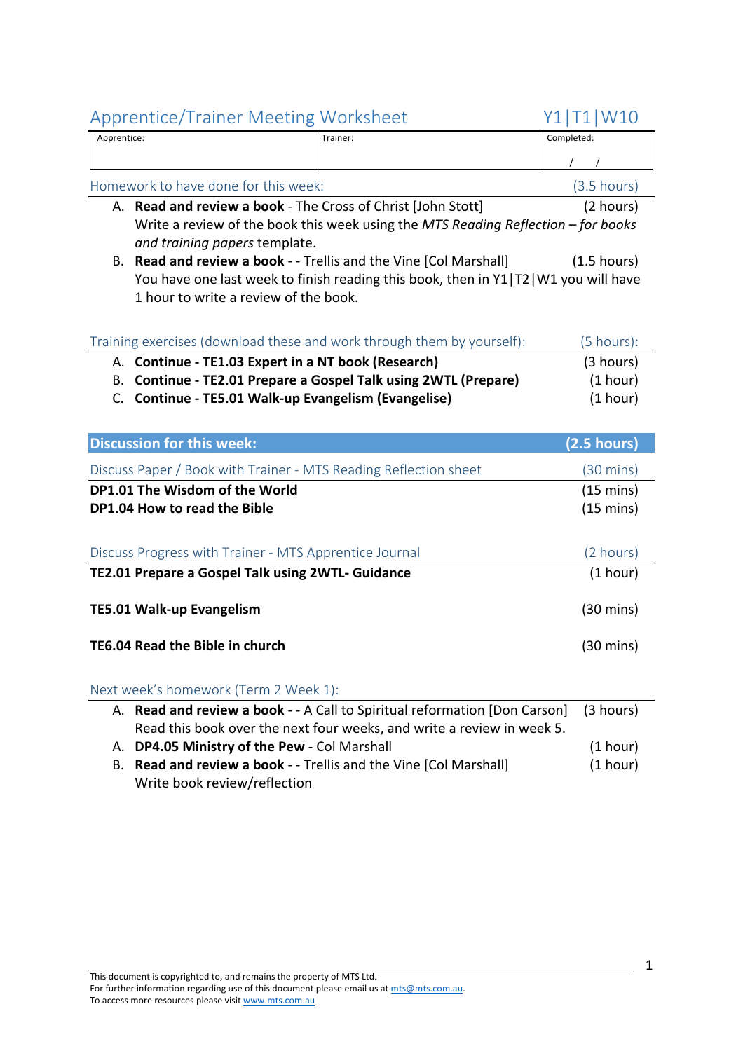| Apprentice: | Trainer: | Completed: |
|-------------|----------|------------|
|             |          |            |

| Homework to have done for this week:                                                                               | $(3.5 \text{ hours})$ |
|--------------------------------------------------------------------------------------------------------------------|-----------------------|
| A. Read and review a book - The Cross of Christ [John Stott]                                                       | (2 hours)             |
| Write a review of the book this week using the MTS Reading Reflection – for books<br>and training papers template. |                       |
|                                                                                                                    |                       |

B. **Read and review a book** - - Trellis and the Vine [Col Marshall] (1.5 hours) You have one last week to finish reading this book, then in Y1|T2|W1 you will have 1 hour to write a review of the book.

| Training exercises (download these and work through them by yourself): | (5 hours): |
|------------------------------------------------------------------------|------------|
| A. Continue - TE1.03 Expert in a NT book (Research)                    | (3 hours)  |
| B. Continue - TE2.01 Prepare a Gospel Talk using 2WTL (Prepare)        | (1 hour)   |
| C. Continue - TE5.01 Walk-up Evangelism (Evangelise)                   | (1 hour)   |

| <b>Discussion for this week:</b>                                                                            | $(2.5 \text{ hours})$                      |
|-------------------------------------------------------------------------------------------------------------|--------------------------------------------|
| Discuss Paper / Book with Trainer - MTS Reading Reflection sheet                                            | (30 mins)                                  |
| DP1.01 The Wisdom of the World<br>DP1.04 How to read the Bible                                              | $(15 \text{ mins})$<br>$(15 \text{ mins})$ |
| Discuss Progress with Trainer - MTS Apprentice Journal<br>TE2.01 Prepare a Gospel Talk using 2WTL- Guidance | (2 hours)<br>(1 hour)                      |
| <b>TE5.01 Walk-up Evangelism</b>                                                                            | (30 mins)                                  |
| TE6.04 Read the Bible in church                                                                             | $(30 \text{ mins})$                        |
|                                                                                                             |                                            |

Next week's homework (Term 2 Week 1):

| A. Read and review a book - - A Call to Spiritual reformation [Don Carson] (3 hours) |          |
|--------------------------------------------------------------------------------------|----------|
| Read this book over the next four weeks, and write a review in week 5.               |          |
| A. DP4.05 Ministry of the Pew - Col Marshall                                         | (1 hour) |
| B. Read and review a book - - Trellis and the Vine [Col Marshall]                    | (1 hour) |
| Write book review/reflection                                                         |          |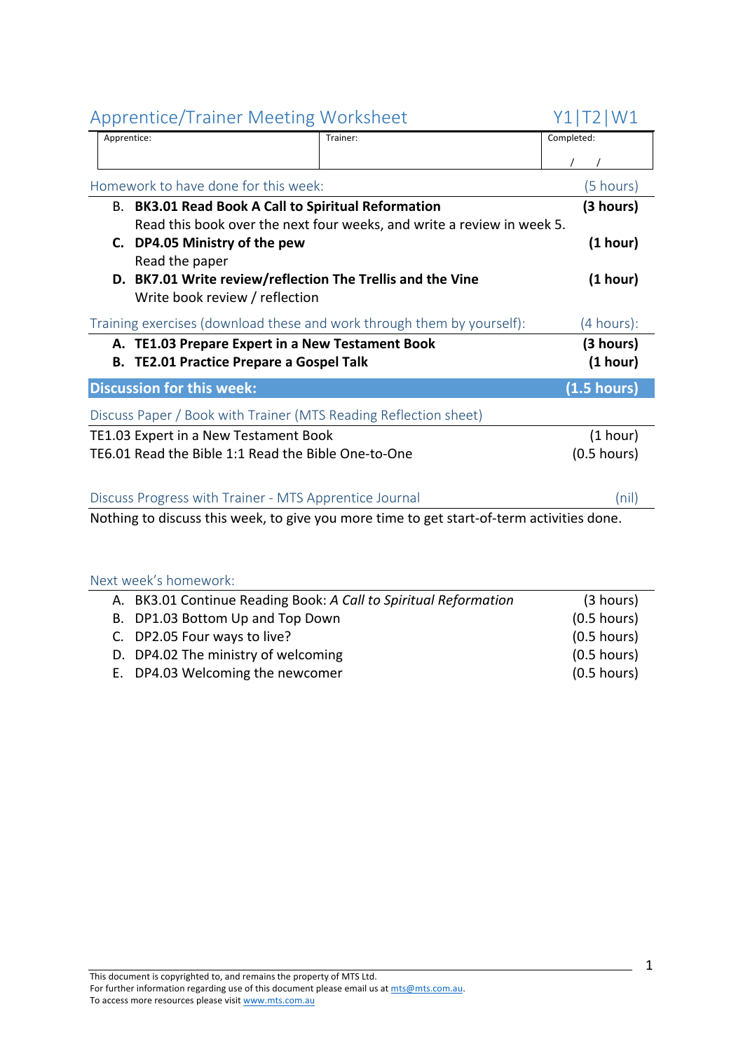| Apprentice: | Trainer:                                                                                  | Completed:    |
|-------------|-------------------------------------------------------------------------------------------|---------------|
|             |                                                                                           |               |
|             |                                                                                           |               |
|             | Homework to have done for this week:                                                      | (5 hours)     |
|             | B. BK3.01 Read Book A Call to Spiritual Reformation                                       | (3 hours)     |
|             | Read this book over the next four weeks, and write a review in week 5.                    |               |
| C.          | DP4.05 Ministry of the pew                                                                | (1 hour)      |
|             | Read the paper                                                                            |               |
|             | D. BK7.01 Write review/reflection The Trellis and the Vine                                | (1 hour)      |
|             | Write book review / reflection                                                            |               |
|             | Training exercises (download these and work through them by yourself):                    | (4 hours):    |
|             |                                                                                           |               |
|             | A. TE1.03 Prepare Expert in a New Testament Book                                          | (3 hours)     |
|             | <b>B. TE2.01 Practice Prepare a Gospel Talk</b>                                           | (1 hour)      |
|             | <b>Discussion for this week:</b>                                                          | (1.5 hours)   |
|             | Discuss Paper / Book with Trainer (MTS Reading Reflection sheet)                          |               |
|             | TE1.03 Expert in a New Testament Book                                                     | (1 hour)      |
|             | TE6.01 Read the Bible 1:1 Read the Bible One-to-One                                       | $(0.5$ hours) |
|             |                                                                                           |               |
|             | Discuss Progress with Trainer - MTS Apprentice Journal                                    | (nil)         |
|             |                                                                                           |               |
|             | Nothing to discuss this week, to give you more time to get start-of-term activities done. |               |

| A. BK3.01 Continue Reading Book: A Call to Spiritual Reformation | (3 hours)     |
|------------------------------------------------------------------|---------------|
| B. DP1.03 Bottom Up and Top Down                                 | $(0.5$ hours) |
| C. DP2.05 Four ways to live?                                     | $(0.5$ hours) |
| D. DP4.02 The ministry of welcoming                              | $(0.5$ hours) |
| E. DP4.03 Welcoming the newcomer                                 | $(0.5$ hours) |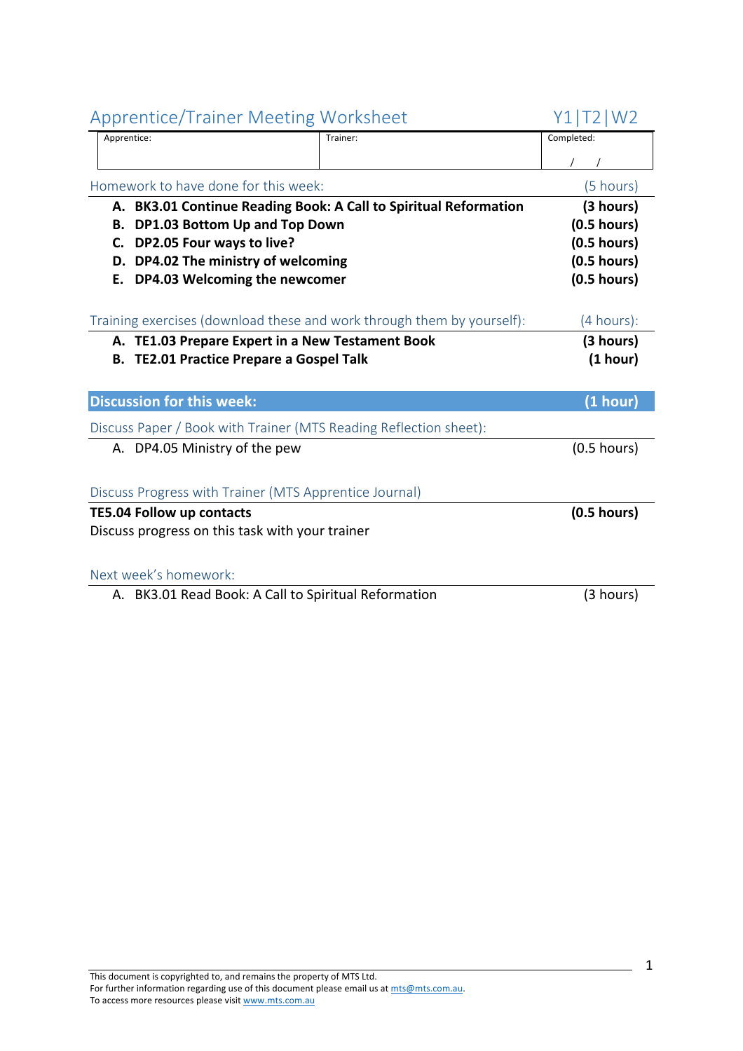| Apprentice/ Hallier McCellig Worksheet                 |                                                                        | <b>I ⊥   I ∠   V V ∠</b> |
|--------------------------------------------------------|------------------------------------------------------------------------|--------------------------|
| Apprentice:                                            | Trainer:                                                               | Completed:               |
|                                                        |                                                                        |                          |
| Homework to have done for this week:                   |                                                                        | (5 hours)                |
|                                                        | A. BK3.01 Continue Reading Book: A Call to Spiritual Reformation       | (3 hours)                |
| DP1.03 Bottom Up and Top Down<br>В.                    |                                                                        | $(0.5$ hours)            |
| DP2.05 Four ways to live?<br>C.                        |                                                                        | $(0.5$ hours)            |
| D. DP4.02 The ministry of welcoming                    |                                                                        | $(0.5$ hours)            |
| DP4.03 Welcoming the newcomer<br>Е.                    |                                                                        | $(0.5$ hours)            |
|                                                        | Training exercises (download these and work through them by yourself): | (4 hours):               |
|                                                        |                                                                        |                          |
| A. TE1.03 Prepare Expert in a New Testament Book       |                                                                        | (3 hours)                |
| <b>B. TE2.01 Practice Prepare a Gospel Talk</b>        |                                                                        | (1 hour)                 |
|                                                        |                                                                        |                          |
| <b>Discussion for this week:</b>                       |                                                                        | (1 hour)                 |
|                                                        | Discuss Paper / Book with Trainer (MTS Reading Reflection sheet):      |                          |
| A. DP4.05 Ministry of the pew                          |                                                                        | $(0.5$ hours)            |
|                                                        |                                                                        |                          |
| Discuss Progress with Trainer (MTS Apprentice Journal) |                                                                        |                          |
| <b>TE5.04 Follow up contacts</b>                       |                                                                        | $(0.5$ hours)            |
| Discuss progress on this task with your trainer        |                                                                        |                          |
|                                                        |                                                                        |                          |
| Next week's homework:                                  |                                                                        |                          |
| A. BK3.01 Read Book: A Call to Spiritual Reformation   |                                                                        | (3 hours)                |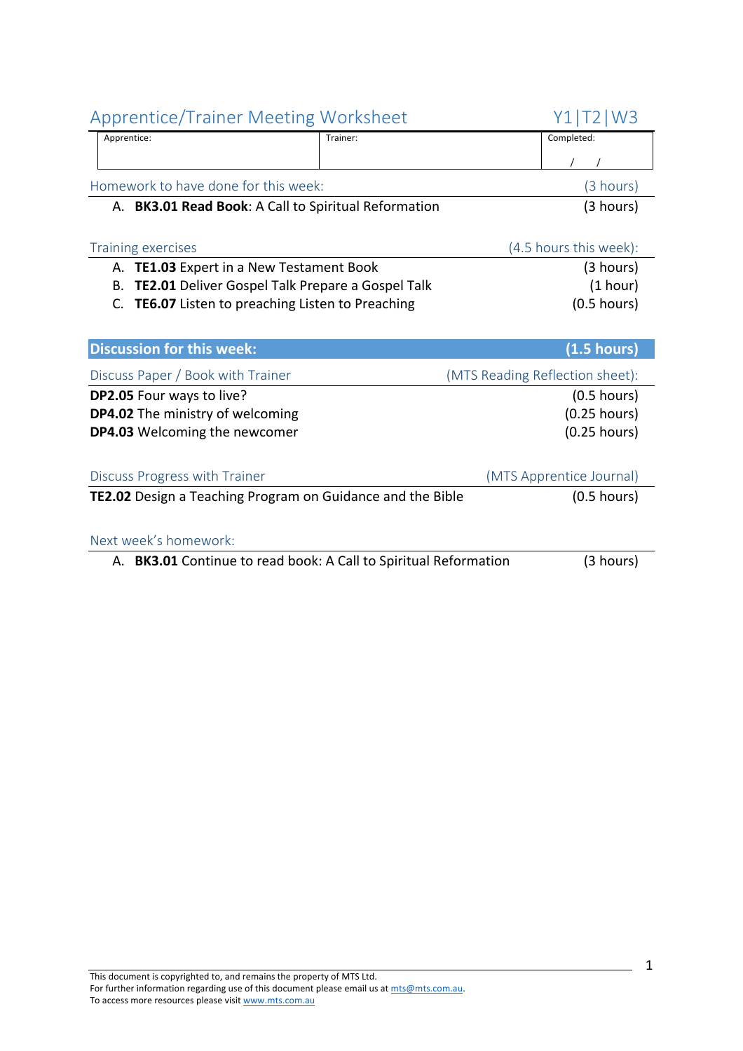| Homework to have done for this week:                              | (3 hours)                       |
|-------------------------------------------------------------------|---------------------------------|
| A. BK3.01 Read Book: A Call to Spiritual Reformation              | (3 hours)                       |
|                                                                   |                                 |
| <b>Training exercises</b>                                         | (4.5 hours this week):          |
| A. TE1.03 Expert in a New Testament Book                          | (3 hours)                       |
| <b>TE2.01</b> Deliver Gospel Talk Prepare a Gospel Talk<br>В.     | (1 hour)                        |
| <b>TE6.07</b> Listen to preaching Listen to Preaching<br>C.       | $(0.5$ hours)                   |
|                                                                   |                                 |
| <b>Discussion for this week:</b>                                  | (1.5 hours)                     |
| Discuss Paper / Book with Trainer                                 | (MTS Reading Reflection sheet): |
|                                                                   |                                 |
| DP2.05 Four ways to live?                                         | $(0.5$ hours)                   |
| <b>DP4.02</b> The ministry of welcoming                           | $(0.25$ hours)                  |
| <b>DP4.03</b> Welcoming the newcomer                              | $(0.25$ hours)                  |
|                                                                   |                                 |
| Discuss Progress with Trainer                                     | (MTS Apprentice Journal)        |
| <b>TE2.02</b> Design a Teaching Program on Guidance and the Bible | $(0.5$ hours)                   |
|                                                                   |                                 |
| Next week's homework:                                             |                                 |

Apprentice/Trainer Meeting Worksheet Y1|T2|W3 Apprentice: Trainer: Trainer: Completed: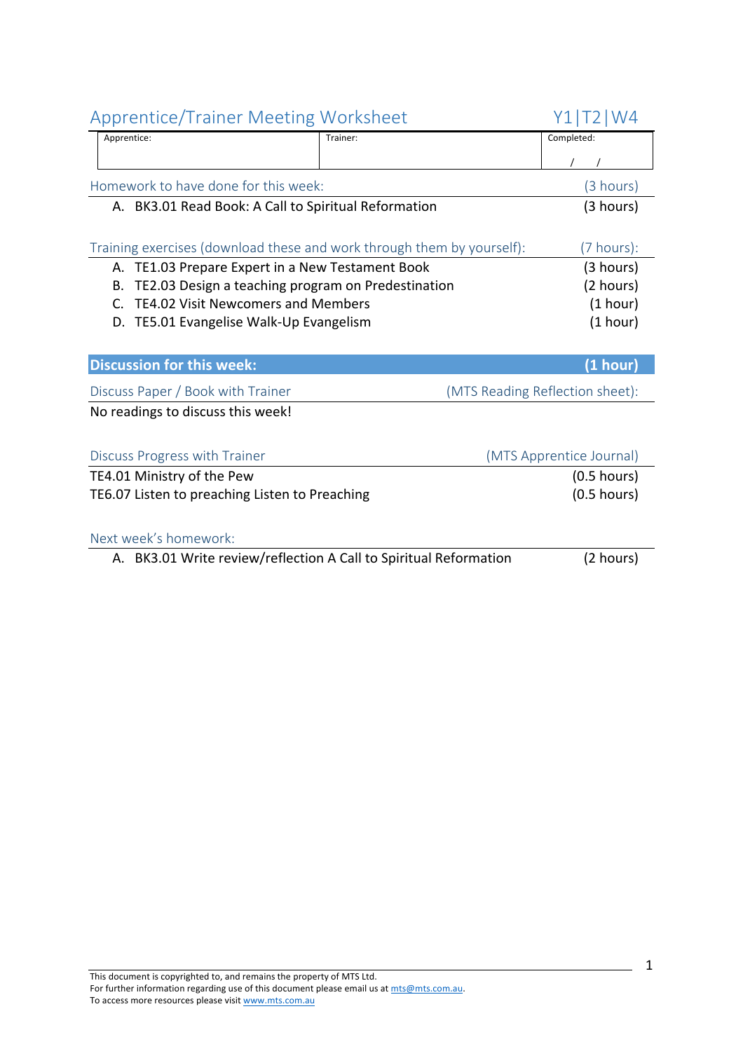| <b>Apprentice/Trainer Meeting Worksheet</b>                            |          | Y1 T2 W4                        |
|------------------------------------------------------------------------|----------|---------------------------------|
| Apprentice:                                                            | Trainer: | Completed:                      |
|                                                                        |          |                                 |
| Homework to have done for this week:                                   |          | (3 hours)                       |
| A. BK3.01 Read Book: A Call to Spiritual Reformation                   |          | (3 hours)                       |
|                                                                        |          |                                 |
| Training exercises (download these and work through them by yourself): |          | $(7 \text{ hours})$ :           |
| TE1.03 Prepare Expert in a New Testament Book<br>А.                    |          | (3 hours)                       |
| TE2.03 Design a teaching program on Predestination<br>В.               |          | (2 hours)                       |
| <b>TE4.02 Visit Newcomers and Members</b><br>$\mathsf{C}$ .            |          | (1 hour)                        |
| D. TE5.01 Evangelise Walk-Up Evangelism                                |          | (1 hour)                        |
|                                                                        |          |                                 |
| <b>Discussion for this week:</b>                                       |          | (1 hour)                        |
| Discuss Paper / Book with Trainer                                      |          | (MTS Reading Reflection sheet): |
| No readings to discuss this week!                                      |          |                                 |
|                                                                        |          |                                 |
| Discuss Progress with Trainer                                          |          | (MTS Apprentice Journal)        |
| TE4.01 Ministry of the Pew                                             |          | $(0.5$ hours)                   |
| TE6.07 Listen to preaching Listen to Preaching                         |          | $(0.5$ hours)                   |
|                                                                        |          |                                 |
| Next week's homework:                                                  |          |                                 |
| A. BK3.01 Write review/reflection A Call to Spiritual Reformation      |          | (2 hours)                       |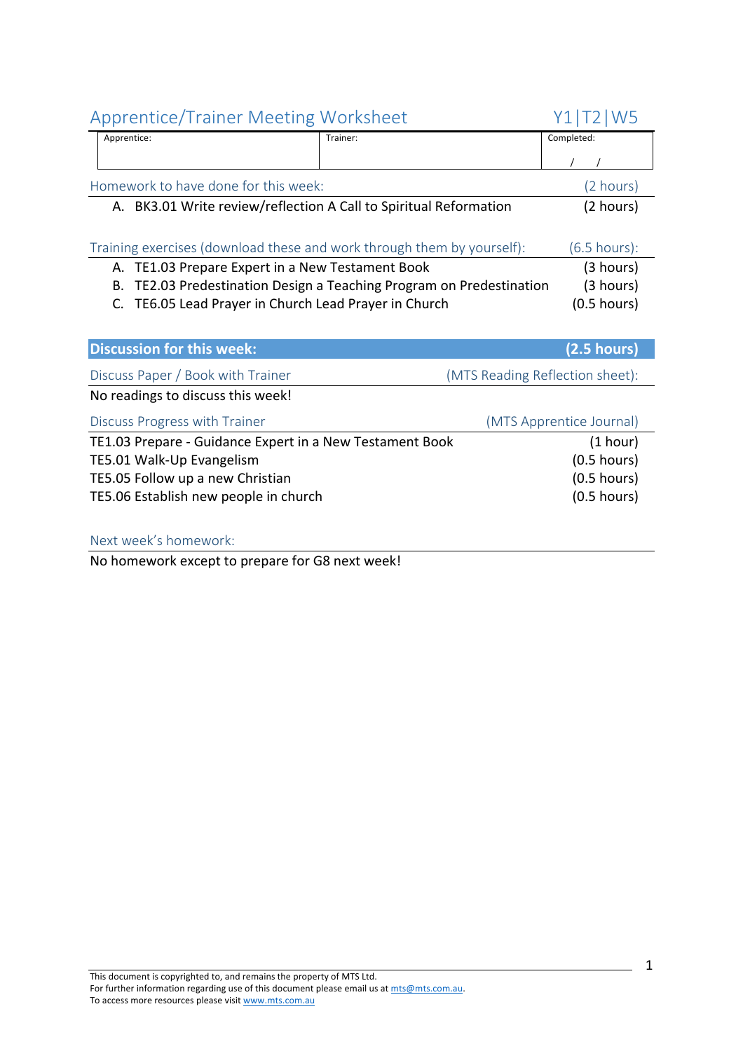| <b>Apprentice/Trainer Meeting Worksheet</b>                            |                                                                   | W <sub>5</sub>           |
|------------------------------------------------------------------------|-------------------------------------------------------------------|--------------------------|
| Apprentice:                                                            | Trainer:                                                          | Completed:               |
|                                                                        |                                                                   |                          |
| Homework to have done for this week:                                   |                                                                   | (2 hours)                |
| A. BK3.01 Write review/reflection A Call to Spiritual Reformation      |                                                                   | (2 hours)                |
|                                                                        |                                                                   |                          |
| Training exercises (download these and work through them by yourself): |                                                                   | $(6.5 \text{ hours})$ :  |
| TE1.03 Prepare Expert in a New Testament Book<br>А.                    |                                                                   | (3 hours)                |
| B.                                                                     | TE2.03 Predestination Design a Teaching Program on Predestination | (3 hours)                |
| TE6.05 Lead Prayer in Church Lead Prayer in Church<br>C.               |                                                                   | $(0.5$ hours)            |
|                                                                        |                                                                   |                          |
|                                                                        |                                                                   |                          |
| <b>Discussion for this week:</b>                                       |                                                                   | (2.5 hours)              |
| Discuss Paper / Book with Trainer                                      | (MTS Reading Reflection sheet):                                   |                          |
| No readings to discuss this week!                                      |                                                                   |                          |
| Discuss Progress with Trainer                                          |                                                                   | (MTS Apprentice Journal) |
| TE1.03 Prepare - Guidance Expert in a New Testament Book               |                                                                   | (1 hour)                 |
| TE5.01 Walk-Up Evangelism                                              |                                                                   | $(0.5$ hours)            |
| TE5.05 Follow up a new Christian                                       |                                                                   | $(0.5$ hours)            |
| TE5.06 Establish new people in church                                  |                                                                   | $(0.5$ hours)            |

#### Next week's homework:

No homework except to prepare for G8 next week!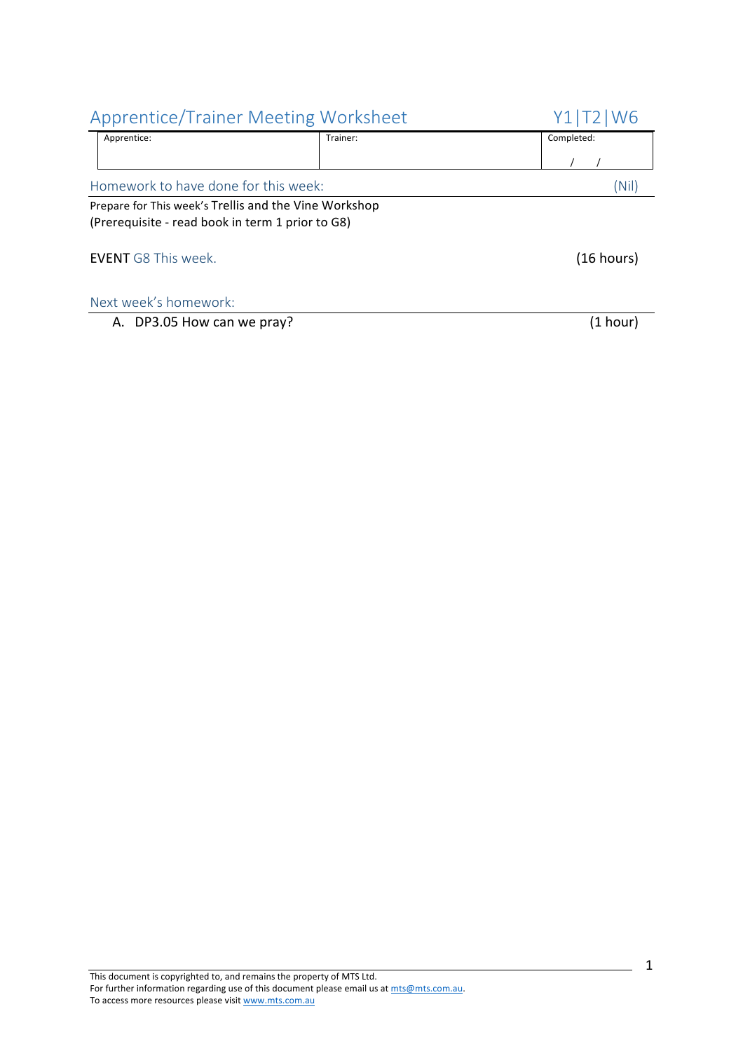| <b>Apprentice/Trainer Meeting Worksheet</b>                                                               |          | W <sub>6</sub> |
|-----------------------------------------------------------------------------------------------------------|----------|----------------|
| Apprentice:                                                                                               | Trainer: | Completed:     |
|                                                                                                           |          |                |
| Homework to have done for this week:                                                                      |          | (Nil)          |
| Prepare for This week's Trellis and the Vine Workshop<br>(Prerequisite - read book in term 1 prior to G8) |          |                |
| <b>EVENT</b> G8 This week.                                                                                |          | (16 hours)     |
| Next week's homework:                                                                                     |          |                |
| A. DP3.05 How can we pray?                                                                                |          | (1 hour)       |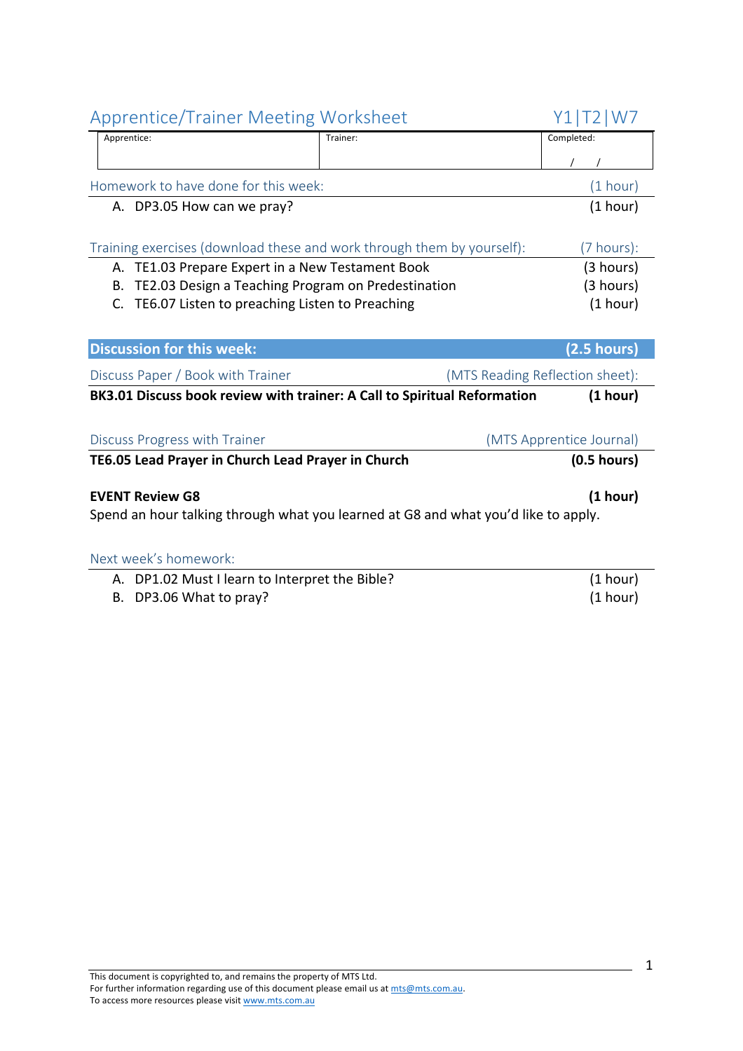| <b>Apprentice/Trainer Meeting Worksheet</b>                                        |          | Y1 T2 W7                        |
|------------------------------------------------------------------------------------|----------|---------------------------------|
| Apprentice:                                                                        | Trainer: | Completed:                      |
|                                                                                    |          |                                 |
| Homework to have done for this week:                                               |          | (1 hour)                        |
| A. DP3.05 How can we pray?                                                         |          | (1 hour)                        |
|                                                                                    |          |                                 |
| Training exercises (download these and work through them by yourself):             |          | (7 hours):                      |
| A. TE1.03 Prepare Expert in a New Testament Book                                   |          | (3 hours)                       |
| TE2.03 Design a Teaching Program on Predestination<br>В.                           |          | (3 hours)                       |
| TE6.07 Listen to preaching Listen to Preaching<br>C.                               |          | (1 hour)                        |
|                                                                                    |          |                                 |
| <b>Discussion for this week:</b>                                                   |          | (2.5 hours)                     |
| Discuss Paper / Book with Trainer                                                  |          | (MTS Reading Reflection sheet): |
| BK3.01 Discuss book review with trainer: A Call to Spiritual Reformation           |          | (1 hour)                        |
|                                                                                    |          |                                 |
| Discuss Progress with Trainer                                                      |          | (MTS Apprentice Journal)        |
| TE6.05 Lead Prayer in Church Lead Prayer in Church                                 |          | $(0.5$ hours)                   |
|                                                                                    |          |                                 |
| <b>EVENT Review G8</b>                                                             |          | (1 hour)                        |
| Spend an hour talking through what you learned at G8 and what you'd like to apply. |          |                                 |
|                                                                                    |          |                                 |
| Next week's homework:                                                              |          |                                 |
| A. DP1.02 Must I learn to Interpret the Bible?                                     |          | (1 hour)                        |

B. DP3.06 What to pray? (1 hour)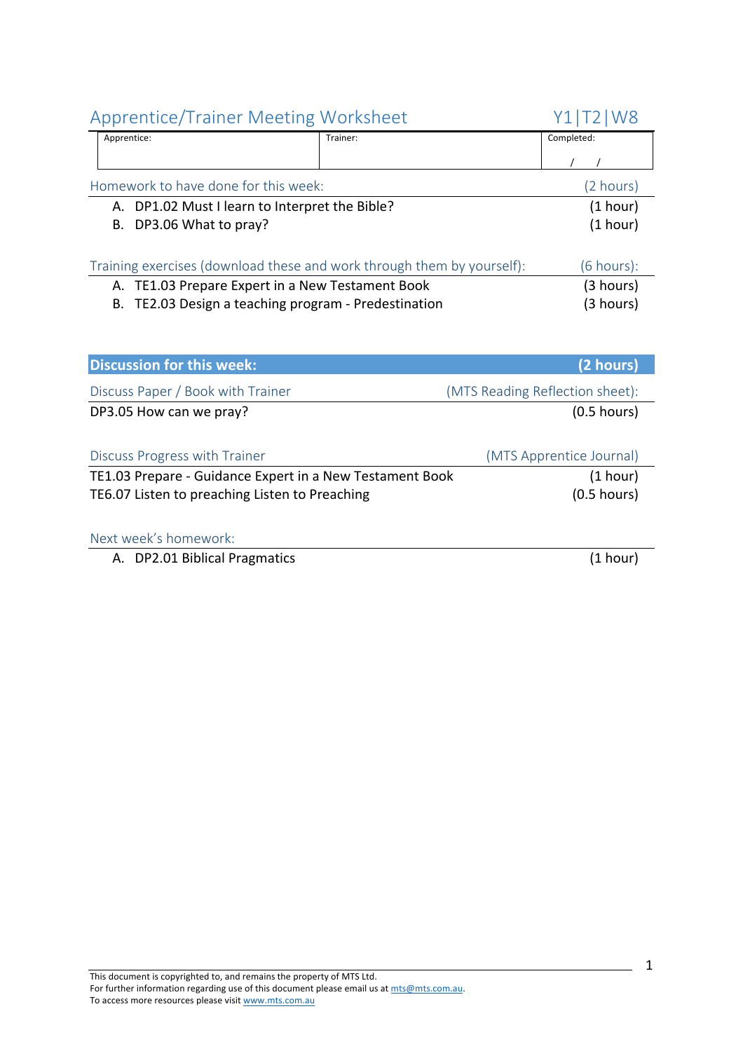| Apprentice: |                                                   | Trainer:                                                               | Completed:            |
|-------------|---------------------------------------------------|------------------------------------------------------------------------|-----------------------|
|             |                                                   |                                                                        |                       |
|             | Homework to have done for this week:              |                                                                        | (2 hours)             |
|             | A. DP1.02 Must I learn to Interpret the Bible?    |                                                                        | (1 hour)              |
|             | B. DP3.06 What to pray?                           |                                                                        | (1 hour)              |
|             |                                                   | Training exercises (download these and work through them by yourself): | $(6 \text{ hours})$ : |
|             | A. TE1.03 Prepare Expert in a New Testament Book  |                                                                        | (3 hours)             |
| В.          | TE2.03 Design a teaching program - Predestination |                                                                        | (3 hours)             |

| <b>Discussion for this week:</b>                         | (2 hours)                       |
|----------------------------------------------------------|---------------------------------|
| Discuss Paper / Book with Trainer                        | (MTS Reading Reflection sheet): |
| DP3.05 How can we pray?                                  | $(0.5$ hours)                   |
|                                                          |                                 |
| Discuss Progress with Trainer                            | (MTS Apprentice Journal)        |
| TE1.03 Prepare - Guidance Expert in a New Testament Book | (1 hour)                        |
| TE6.07 Listen to preaching Listen to Preaching           | $(0.5$ hours)                   |
|                                                          |                                 |
|                                                          |                                 |

#### Next week's homework:

A. DP2.01 Biblical Pragmatics (1 hour)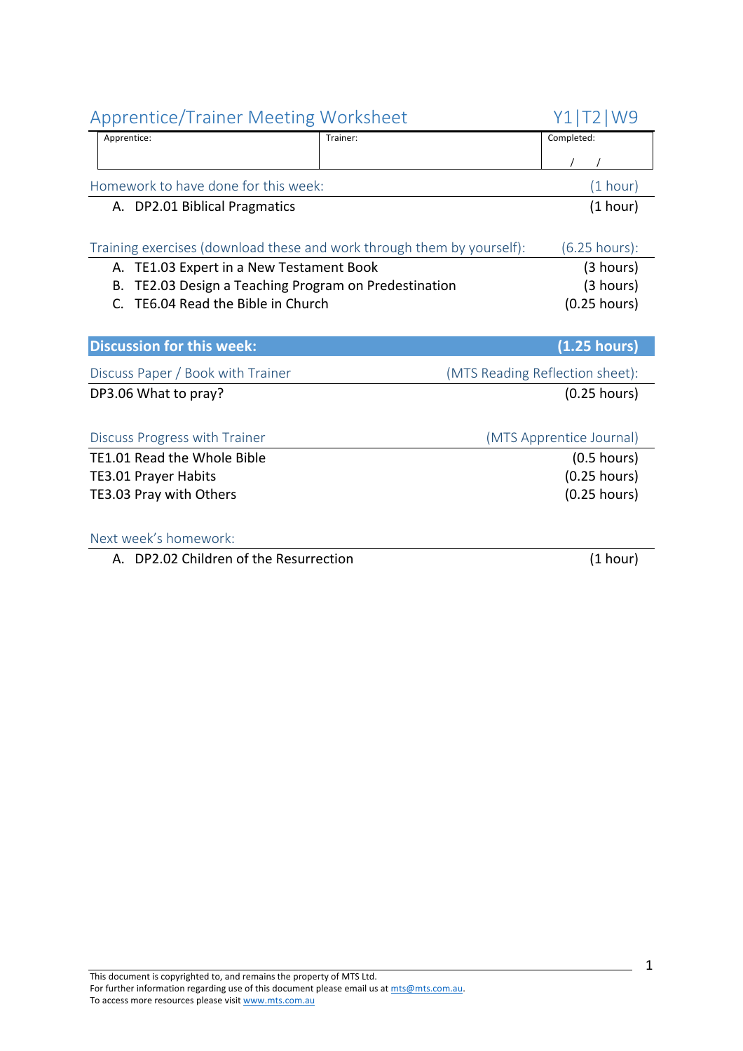| <b>Apprentice/Trainer Meeting Worksheet</b>                            | Y1 T2 W9 |                                 |
|------------------------------------------------------------------------|----------|---------------------------------|
| Apprentice:                                                            | Trainer: | Completed:                      |
|                                                                        |          |                                 |
| Homework to have done for this week:                                   |          | (1 hour)                        |
| A. DP2.01 Biblical Pragmatics                                          |          | (1 hour)                        |
|                                                                        |          |                                 |
| Training exercises (download these and work through them by yourself): |          | $(6.25$ hours):                 |
| A. TE1.03 Expert in a New Testament Book                               |          | (3 hours)                       |
| TE2.03 Design a Teaching Program on Predestination<br>В.               |          | (3 hours)                       |
| TE6.04 Read the Bible in Church<br>$\mathsf{C}$                        |          | $(0.25$ hours)                  |
|                                                                        |          |                                 |
| <b>Discussion for this week:</b>                                       |          | (1.25 hours)                    |
| Discuss Paper / Book with Trainer                                      |          | (MTS Reading Reflection sheet): |
| DP3.06 What to pray?                                                   |          | $(0.25$ hours)                  |
|                                                                        |          |                                 |
| Discuss Progress with Trainer                                          |          | (MTS Apprentice Journal)        |
| TE1.01 Read the Whole Bible                                            |          | $(0.5$ hours)                   |
| <b>TE3.01 Prayer Habits</b>                                            |          | $(0.25$ hours)                  |
| TE3.03 Pray with Others                                                |          | $(0.25$ hours)                  |
|                                                                        |          |                                 |
| Next week's homework:                                                  |          |                                 |
|                                                                        |          |                                 |

A. DP2.02 Children of the Resurrection (1 hour)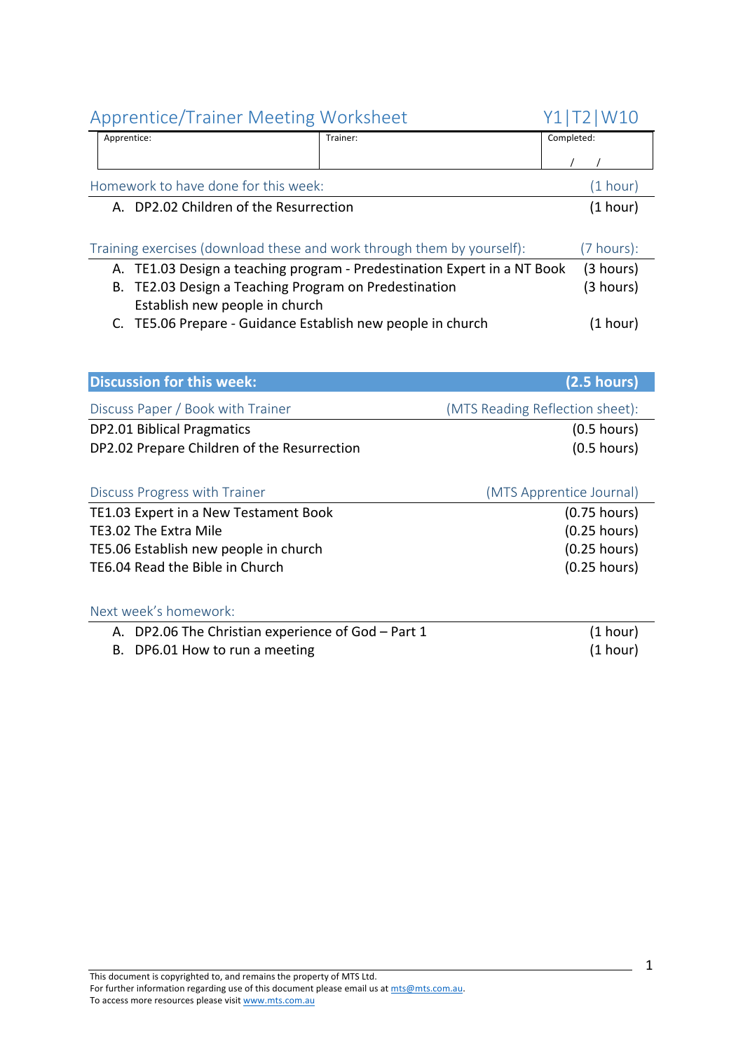| <b>Apprentice/Trainer Meeting Worksheet</b>                                          |          | Y1 T2 W10  |
|--------------------------------------------------------------------------------------|----------|------------|
| Apprentice:                                                                          | Trainer: | Completed: |
|                                                                                      |          |            |
| Homework to have done for this week:                                                 |          |            |
| A. DP2.02 Children of the Resurrection                                               |          | (1 hour)   |
|                                                                                      |          |            |
| Training exercises (download these and work through them by yourself):<br>(7 hours): |          |            |
| A. TE1.03 Design a teaching program - Predestination Expert in a NT Book             |          | (3 hours)  |
| B. TE2.03 Design a Teaching Program on Predestination                                |          | (3 hours)  |

|                                                             | $\sim \cdot \cdot \cdot \cdot$ |
|-------------------------------------------------------------|--------------------------------|
| Establish new people in church                              |                                |
| C. TE5.06 Prepare - Guidance Establish new people in church | (1 hour)                       |

| <b>Discussion for this week:</b>            | $(2.5$ hours)                   |
|---------------------------------------------|---------------------------------|
| Discuss Paper / Book with Trainer           | (MTS Reading Reflection sheet): |
| <b>DP2.01 Biblical Pragmatics</b>           | $(0.5$ hours)                   |
| DP2.02 Prepare Children of the Resurrection | $(0.5$ hours)                   |
|                                             |                                 |
| Discuss Progress with Trainer               | (MTS Apprentice Journal)        |
| TE1.03 Expert in a New Testament Book       | $(0.75$ hours)                  |
| TE3.02 The Extra Mile                       | $(0.25$ hours)                  |
| TE5.06 Establish new people in church       | $(0.25$ hours)                  |
|                                             |                                 |
| TE6.04 Read the Bible in Church             | $(0.25$ hours)                  |
|                                             |                                 |

| A. DP2.06 The Christian experience of God - Part 1 | (1 hour) |
|----------------------------------------------------|----------|
| B. DP6.01 How to run a meeting                     | (1 hour) |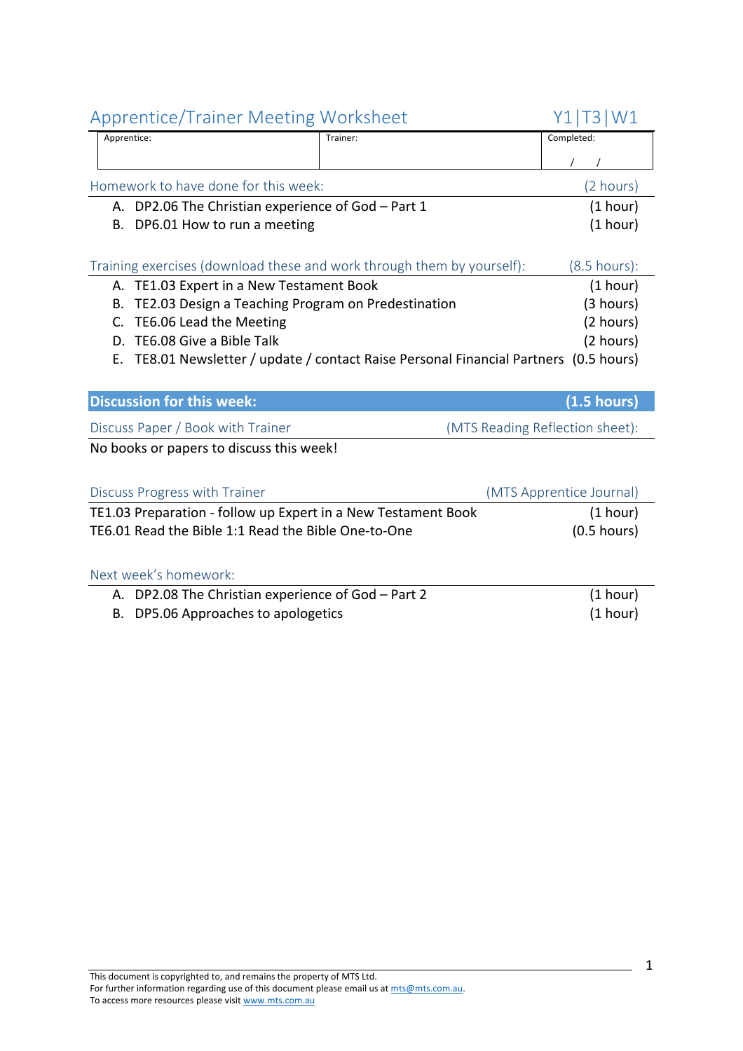|                                                                                          | Applemnce/manier ivieeting violistieet             |                                                                        | <b>ITIDIMAT</b>                 |
|------------------------------------------------------------------------------------------|----------------------------------------------------|------------------------------------------------------------------------|---------------------------------|
|                                                                                          | Apprentice:                                        | Trainer:                                                               | Completed:                      |
|                                                                                          |                                                    |                                                                        |                                 |
|                                                                                          | Homework to have done for this week:               |                                                                        | (2 hours)                       |
|                                                                                          | A. DP2.06 The Christian experience of God - Part 1 |                                                                        | (1 hour)                        |
|                                                                                          | B. DP6.01 How to run a meeting                     |                                                                        | (1 hour)                        |
|                                                                                          |                                                    |                                                                        |                                 |
|                                                                                          |                                                    | Training exercises (download these and work through them by yourself): | $(8.5 \text{ hours})$ :         |
| А.                                                                                       | TE1.03 Expert in a New Testament Book              |                                                                        | (1 hour)                        |
| В.                                                                                       | TE2.03 Design a Teaching Program on Predestination |                                                                        | (3 hours)                       |
| C.                                                                                       | TE6.06 Lead the Meeting                            |                                                                        | (2 hours)                       |
| D.                                                                                       | TE6.08 Give a Bible Talk                           |                                                                        | (2 hours)                       |
| TE8.01 Newsletter / update / contact Raise Personal Financial Partners (0.5 hours)<br>Е. |                                                    |                                                                        |                                 |
|                                                                                          |                                                    |                                                                        |                                 |
|                                                                                          | <b>Discussion for this week:</b>                   |                                                                        | $(1.5 \text{ hours})$           |
|                                                                                          | Discuss Paper / Book with Trainer                  |                                                                        | (MTS Reading Reflection sheet): |
|                                                                                          | No books or papers to discuss this week!           |                                                                        |                                 |
|                                                                                          |                                                    |                                                                        |                                 |

| Discuss Progress with Trainer                                 | (MTS Apprentice Journal) |
|---------------------------------------------------------------|--------------------------|
| TE1.03 Preparation - follow up Expert in a New Testament Book | (1 hour)                 |
| TE6.01 Read the Bible 1:1 Read the Bible One-to-One           | $(0.5 \text{ hours})$    |

| A. DP2.08 The Christian experience of God - Part 2 | (1 hour) |
|----------------------------------------------------|----------|
| B. DP5.06 Approaches to apologetics                | (1 hour) |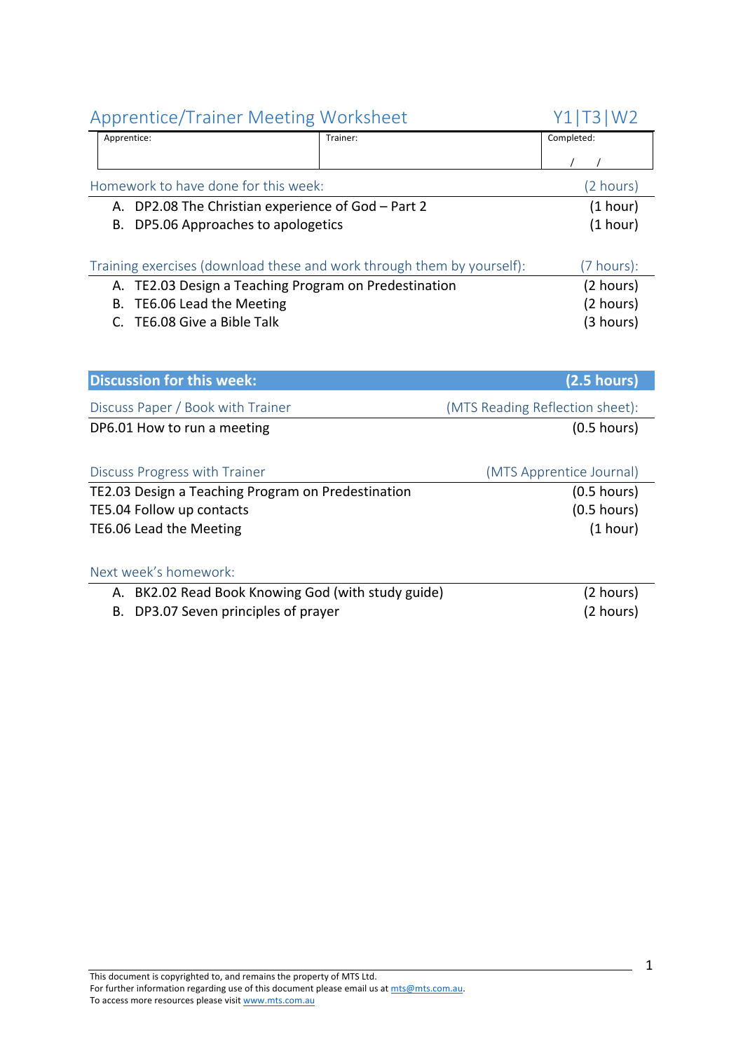| Apprentice:                            | Trainer:                                                               | Completed: |
|----------------------------------------|------------------------------------------------------------------------|------------|
|                                        |                                                                        |            |
| Homework to have done for this week:   |                                                                        | (2 hours)  |
|                                        | A. DP2.08 The Christian experience of God - Part 2                     | (1 hour)   |
| DP5.06 Approaches to apologetics<br>В. |                                                                        | (1 hour)   |
|                                        | Training exercises (download these and work through them by yourself): | (7 hours): |
|                                        | A. TE2.03 Design a Teaching Program on Predestination                  | (2 hours)  |
| TE6.06 Lead the Meeting<br>В.          |                                                                        | (2 hours)  |
| TE6.08 Give a Bible Talk               |                                                                        | (3 hours)  |
|                                        |                                                                        |            |
|                                        |                                                                        |            |

| <b>Discussion for this week:</b>                      | (2.5 hours)                     |
|-------------------------------------------------------|---------------------------------|
| Discuss Paper / Book with Trainer                     | (MTS Reading Reflection sheet): |
| DP6.01 How to run a meeting                           | $(0.5$ hours)                   |
|                                                       |                                 |
| Discuss Progress with Trainer                         | (MTS Apprentice Journal)        |
| TE2.03 Design a Teaching Program on Predestination    | $(0.5$ hours)                   |
| TE5.04 Follow up contacts                             | $(0.5$ hours)                   |
| TE6.06 Lead the Meeting                               | (1 hour)                        |
|                                                       |                                 |
| Next week's homework:                                 |                                 |
| BK2.02 Read Book Knowing God (with study guide)<br>А. | (2 hours)                       |
| DP3.07 Seven principles of prayer<br>В.               | (2 hours)                       |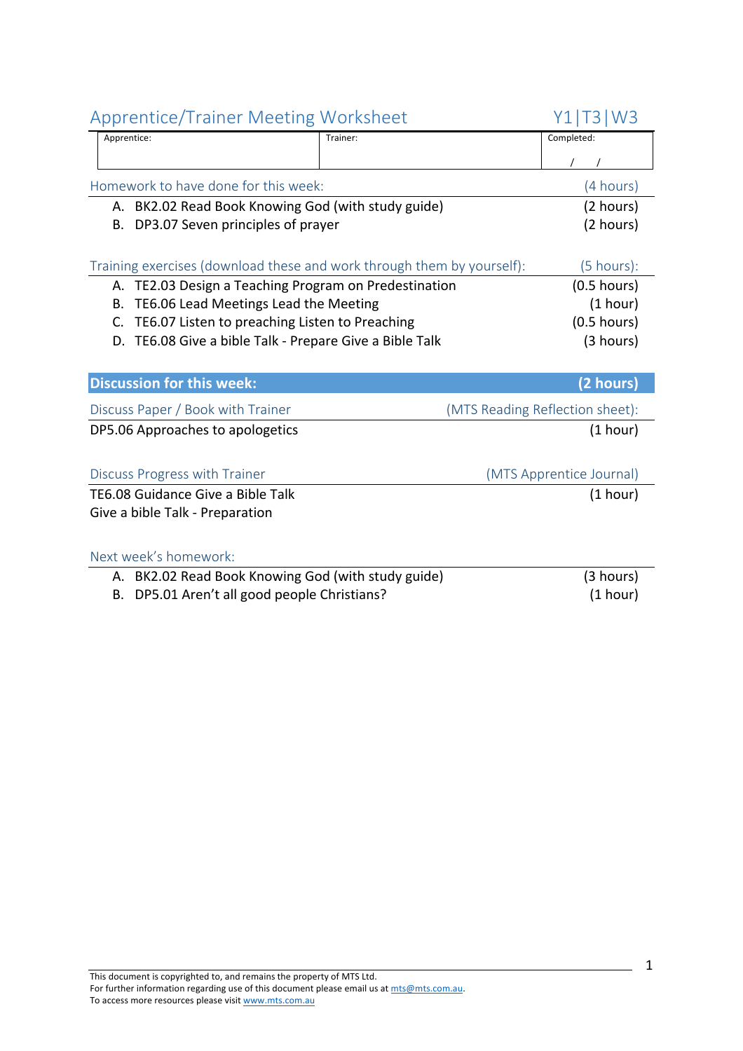| Applemne, Halliel Meeting Worksheet                                    |          | <b>UTIIDIMAD</b>                |  |
|------------------------------------------------------------------------|----------|---------------------------------|--|
| Apprentice:                                                            | Trainer: | Completed:                      |  |
|                                                                        |          |                                 |  |
| Homework to have done for this week:                                   |          | (4 hours)                       |  |
| A. BK2.02 Read Book Knowing God (with study guide)                     |          | (2 hours)                       |  |
| DP3.07 Seven principles of prayer<br>В.                                |          | (2 hours)                       |  |
|                                                                        |          |                                 |  |
| Training exercises (download these and work through them by yourself): |          | $(5 \text{ hours})$ :           |  |
| A. TE2.03 Design a Teaching Program on Predestination                  |          | $(0.5$ hours)                   |  |
| TE6.06 Lead Meetings Lead the Meeting<br>В.                            |          | (1 hour)                        |  |
| TE6.07 Listen to preaching Listen to Preaching<br>C.                   |          | $(0.5$ hours)                   |  |
| TE6.08 Give a bible Talk - Prepare Give a Bible Talk<br>D.             |          | (3 hours)                       |  |
|                                                                        |          |                                 |  |
| <b>Discussion for this week:</b><br>(2 hours)                          |          |                                 |  |
| Discuss Paper / Book with Trainer                                      |          | (MTS Reading Reflection sheet): |  |
| DP5.06 Approaches to apologetics                                       |          | (1 hour)                        |  |
|                                                                        |          |                                 |  |
| Discuss Progress with Trainer                                          |          | (MTS Apprentice Journal)        |  |
| TE6.08 Guidance Give a Bible Talk<br>(1 hour)                          |          |                                 |  |
| Give a bible Talk - Preparation                                        |          |                                 |  |
|                                                                        |          |                                 |  |
| Next week's homework:                                                  |          |                                 |  |
| A. BK2.02 Read Book Knowing God (with study guide)                     |          | (3 hours)                       |  |
| DP5.01 Aren't all good people Christians?<br>В.                        |          | (1 hour)                        |  |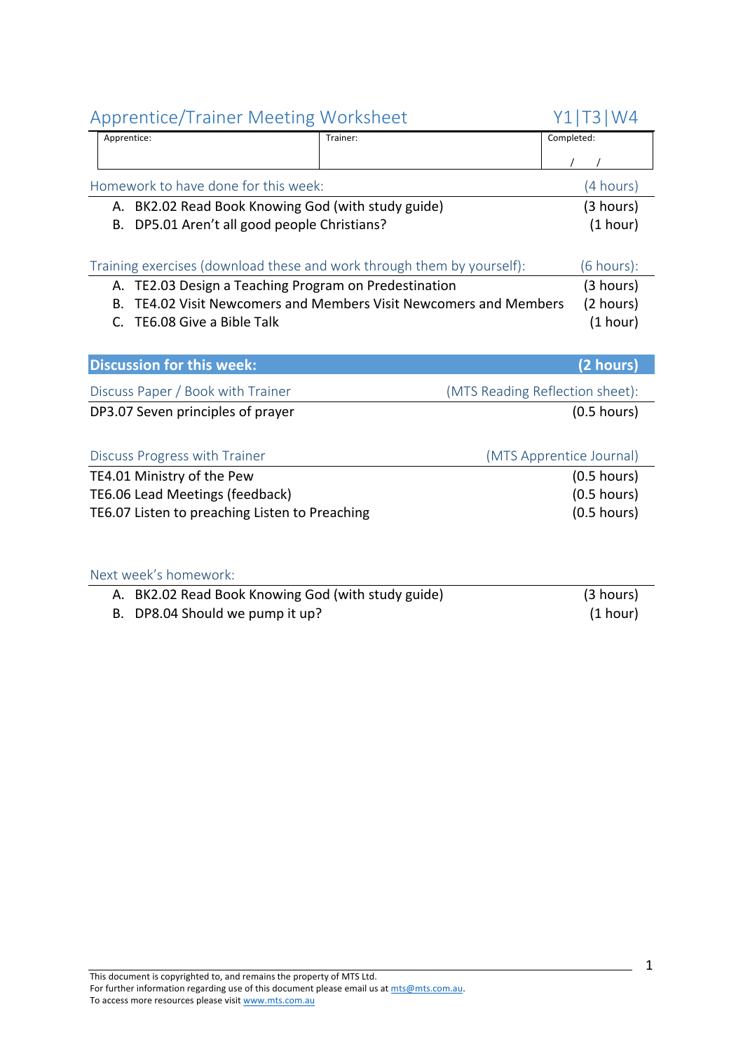|    | <b>I</b> ipplemate I raniel intecting indirect        |                                                                        | . _ , . _ , . v                 |
|----|-------------------------------------------------------|------------------------------------------------------------------------|---------------------------------|
|    | Apprentice:                                           | Trainer:                                                               | Completed:                      |
|    |                                                       |                                                                        |                                 |
|    | Homework to have done for this week:                  |                                                                        | (4 hours)                       |
|    | A. BK2.02 Read Book Knowing God (with study guide)    |                                                                        | (3 hours)                       |
| В. | DP5.01 Aren't all good people Christians?             |                                                                        | (1 hour)                        |
|    |                                                       |                                                                        |                                 |
|    |                                                       | Training exercises (download these and work through them by yourself): | $(6 \text{ hours})$ :           |
|    | A. TE2.03 Design a Teaching Program on Predestination |                                                                        | (3 hours)                       |
| Β. |                                                       | TE4.02 Visit Newcomers and Members Visit Newcomers and Members         | (2 hours)                       |
| C. | TE6.08 Give a Bible Talk                              |                                                                        | (1 hour)                        |
|    |                                                       |                                                                        |                                 |
|    | <b>Discussion for this week:</b>                      |                                                                        |                                 |
|    |                                                       |                                                                        | (2 hours)                       |
|    | Discuss Paper / Book with Trainer                     |                                                                        | (MTS Reading Reflection sheet): |
|    | DP3.07 Seven principles of prayer                     |                                                                        | $(0.5$ hours)                   |
|    |                                                       |                                                                        |                                 |
|    | Discuss Progress with Trainer                         |                                                                        | (MTS Apprentice Journal)        |
|    | TE4.01 Ministry of the Pew                            |                                                                        | $(0.5$ hours)                   |
|    | TE6.06 Lead Meetings (feedback)                       |                                                                        | $(0.5$ hours)                   |
|    | TE6.07 Listen to preaching Listen to Preaching        |                                                                        | $(0.5$ hours)                   |
|    |                                                       |                                                                        |                                 |
|    |                                                       |                                                                        |                                 |
|    |                                                       |                                                                        |                                 |

#### Next week's homework:

A. BK2.02 Read Book Knowing God (with study guide) (3 hours) (3 hours)<br>B. DP8.04 Should we pump it up? B. DP8.04 Should we pump it up?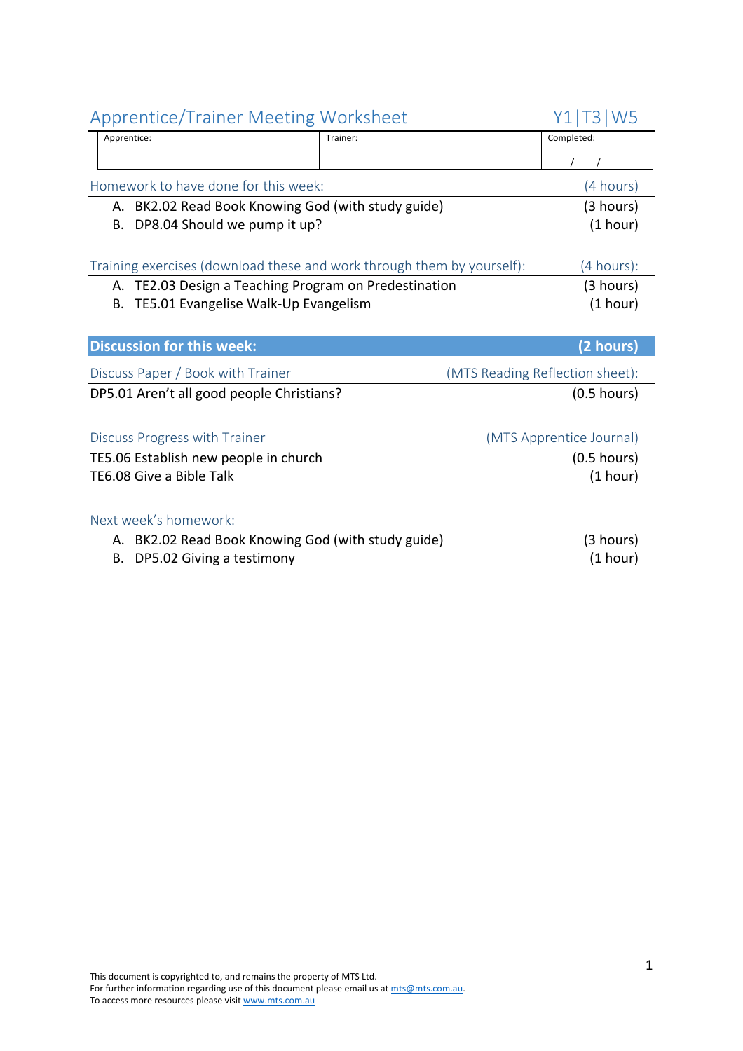| <b>Apprentice/Trainer Meeting Worksheet</b>                            |          | Y1 T3 W5                        |
|------------------------------------------------------------------------|----------|---------------------------------|
| Apprentice:                                                            | Trainer: | Completed:                      |
|                                                                        |          |                                 |
| Homework to have done for this week:                                   |          | (4 hours)                       |
| A. BK2.02 Read Book Knowing God (with study guide)                     |          | (3 hours)                       |
| DP8.04 Should we pump it up?<br>В.                                     |          | (1 hour)                        |
|                                                                        |          |                                 |
| Training exercises (download these and work through them by yourself): |          | (4 hours):                      |
| A. TE2.03 Design a Teaching Program on Predestination                  |          | (3 hours)                       |
| TE5.01 Evangelise Walk-Up Evangelism<br>В.                             |          | (1 hour)                        |
|                                                                        |          |                                 |
| <b>Discussion for this week:</b>                                       |          | (2 hours)                       |
| Discuss Paper / Book with Trainer                                      |          |                                 |
|                                                                        |          | (MTS Reading Reflection sheet): |
| DP5.01 Aren't all good people Christians?                              |          | $(0.5$ hours)                   |
|                                                                        |          |                                 |
|                                                                        |          |                                 |
| Discuss Progress with Trainer                                          |          | (MTS Apprentice Journal)        |
| TE5.06 Establish new people in church                                  |          | $(0.5$ hours)                   |
| TE6.08 Give a Bible Talk                                               |          | (1 hour)                        |
|                                                                        |          |                                 |
| Next week's homework:                                                  |          |                                 |
| A. BK2.02 Read Book Knowing God (with study guide)                     |          | (3 hours)                       |
| DP5.02 Giving a testimony<br>В.                                        |          | (1 hour)                        |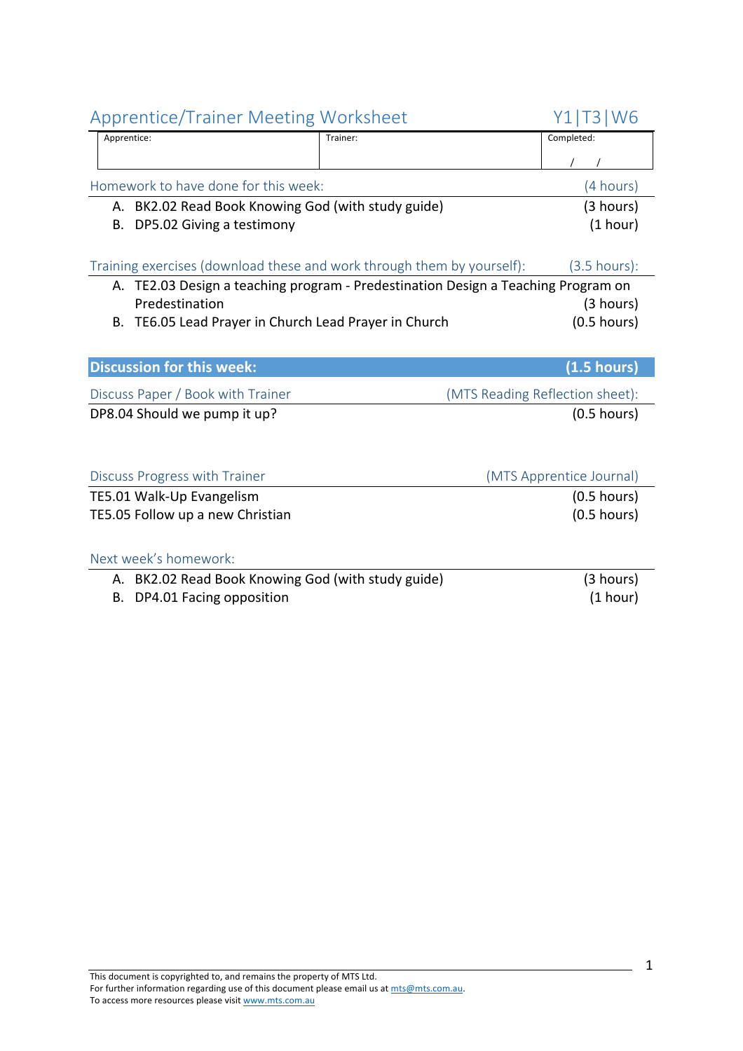| Apprentice: |                                                    | Trainer:                                                                          | Completed:                      |
|-------------|----------------------------------------------------|-----------------------------------------------------------------------------------|---------------------------------|
|             |                                                    |                                                                                   |                                 |
|             |                                                    |                                                                                   |                                 |
|             | Homework to have done for this week:               |                                                                                   | (4 hours)                       |
|             | A. BK2.02 Read Book Knowing God (with study guide) |                                                                                   | (3 hours)                       |
| В.          | DP5.02 Giving a testimony                          |                                                                                   | (1 hour)                        |
|             |                                                    |                                                                                   |                                 |
|             |                                                    | Training exercises (download these and work through them by yourself):            | $(3.5 \text{ hours})$ :         |
|             |                                                    | A. TE2.03 Design a teaching program - Predestination Design a Teaching Program on |                                 |
|             | Predestination                                     |                                                                                   | (3 hours)                       |
| В.          | TE6.05 Lead Prayer in Church Lead Prayer in Church |                                                                                   | $(0.5$ hours)                   |
|             |                                                    |                                                                                   |                                 |
|             | <b>Discussion for this week:</b>                   |                                                                                   | (1.5 hours)                     |
|             | Discuss Paper / Book with Trainer                  |                                                                                   | (MTS Reading Reflection sheet): |
|             | DP8.04 Should we pump it up?                       |                                                                                   | $(0.5$ hours)                   |
|             |                                                    |                                                                                   |                                 |
|             |                                                    |                                                                                   |                                 |
|             | Discuss Progress with Trainer                      |                                                                                   | (MTS Apprentice Journal)        |
|             | TE5.01 Walk-Up Evangelism                          |                                                                                   | $(0.5$ hours)                   |
|             | TE5.05 Follow up a new Christian                   |                                                                                   | $(0.5$ hours)                   |
|             |                                                    |                                                                                   |                                 |
|             | Next week's homework:                              |                                                                                   |                                 |
| А.          | BK2.02 Read Book Knowing God (with study guide)    |                                                                                   | (3 hours)                       |
| В.          | DP4.01 Facing opposition                           |                                                                                   | (1 hour)                        |
|             |                                                    |                                                                                   |                                 |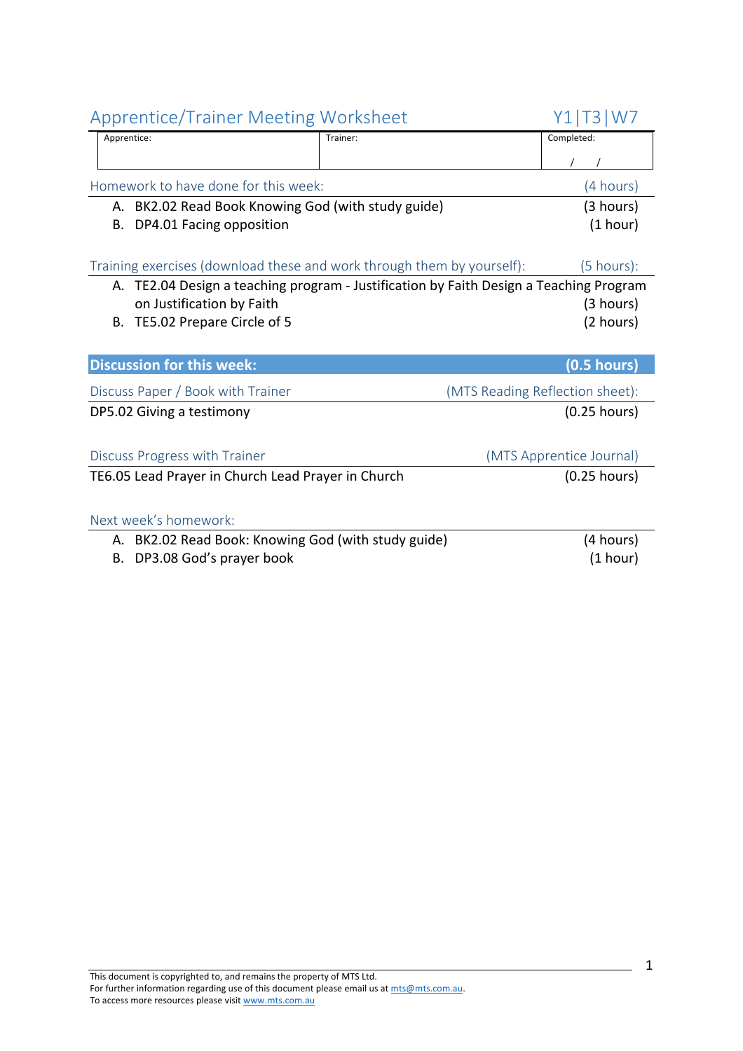| <b>Apprentice/Trainer Meeting Worksheet</b>                            |                                                                                        | Y1 T3 W7                        |
|------------------------------------------------------------------------|----------------------------------------------------------------------------------------|---------------------------------|
| Apprentice:                                                            | Trainer:                                                                               | Completed:                      |
|                                                                        |                                                                                        |                                 |
| Homework to have done for this week:                                   |                                                                                        | (4 hours)                       |
| A. BK2.02 Read Book Knowing God (with study guide)                     |                                                                                        | (3 hours)                       |
| DP4.01 Facing opposition<br>В.                                         |                                                                                        | (1 hour)                        |
|                                                                        |                                                                                        |                                 |
| Training exercises (download these and work through them by yourself): |                                                                                        | $(5 \text{ hours})$ :           |
|                                                                        | A. TE2.04 Design a teaching program - Justification by Faith Design a Teaching Program |                                 |
| on Justification by Faith                                              |                                                                                        | (3 hours)                       |
| TE5.02 Prepare Circle of 5<br>В.                                       |                                                                                        | (2 hours)                       |
|                                                                        |                                                                                        |                                 |
| <b>Discussion for this week:</b>                                       |                                                                                        | $(0.5$ hours)                   |
| Discuss Paper / Book with Trainer                                      |                                                                                        | (MTS Reading Reflection sheet): |
| DP5.02 Giving a testimony                                              |                                                                                        | $(0.25$ hours)                  |
|                                                                        |                                                                                        |                                 |
| Discuss Progress with Trainer                                          |                                                                                        | (MTS Apprentice Journal)        |
| TE6.05 Lead Prayer in Church Lead Prayer in Church                     |                                                                                        | $(0.25$ hours)                  |
|                                                                        |                                                                                        |                                 |
| Next week's homework:                                                  |                                                                                        |                                 |
| A. BK2.02 Read Book: Knowing God (with study guide)                    |                                                                                        | (4 hours)                       |
| DP3.08 God's prayer book<br>В.                                         |                                                                                        | (1 hour)                        |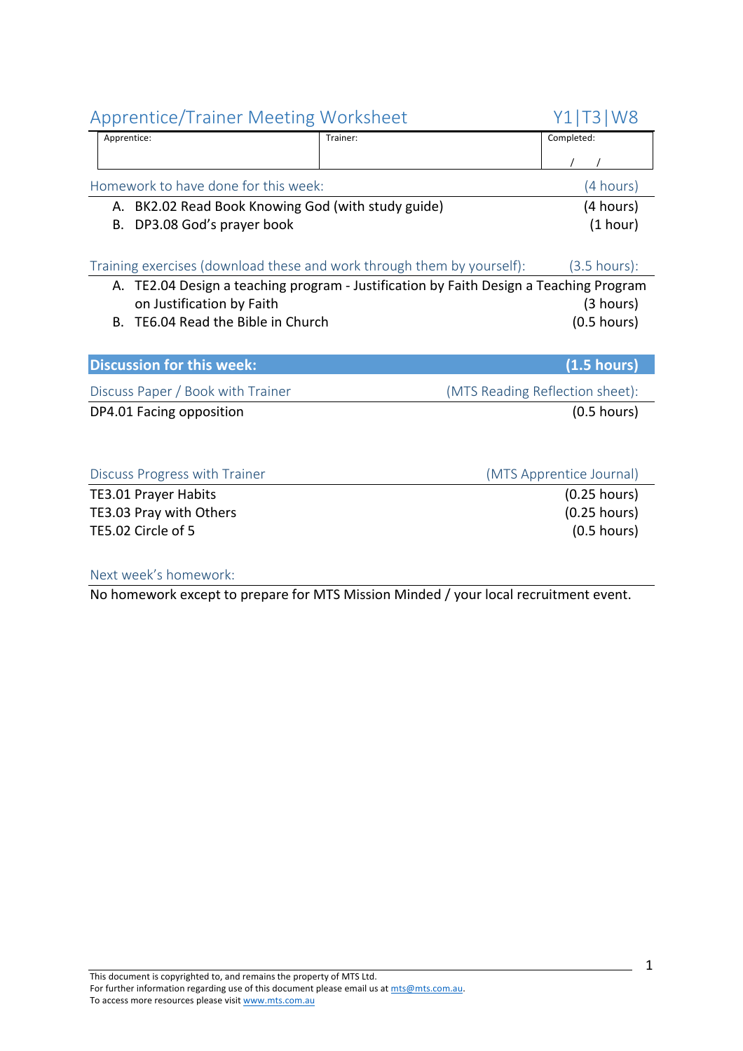Apprentice: Trainer: Completed:  $\frac{1}{1}$ Homework to have done for this week: (4 hours) A. BK2.02 Read Book Knowing God (with study guide) (4 hours) B. DP3.08 God's prayer book (1 hour) Training exercises (download these and work through them by yourself): (3.5 hours): A. TE2.04 Design a teaching program - Justification by Faith Design a Teaching Program on Justification by Faith (3 hours) B. TE6.04 Read the Bible in Church (0.5 hours) **Discussion for this week: (1.5 hours)** Discuss Paper / Book with Trainer (MTS Reading Reflection sheet): DP4.01 Facing opposition (0.5 hours) Discuss Progress with Trainer (MTS Apprentice Journal) TE3.01 Prayer Habits (0.25 hours) TE3.03 Pray with Others (0.25 hours)

TE5.02 Circle of 5 (0.5 hours)

#### Next week's homework:

No homework except to prepare for MTS Mission Minded / your local recruitment event.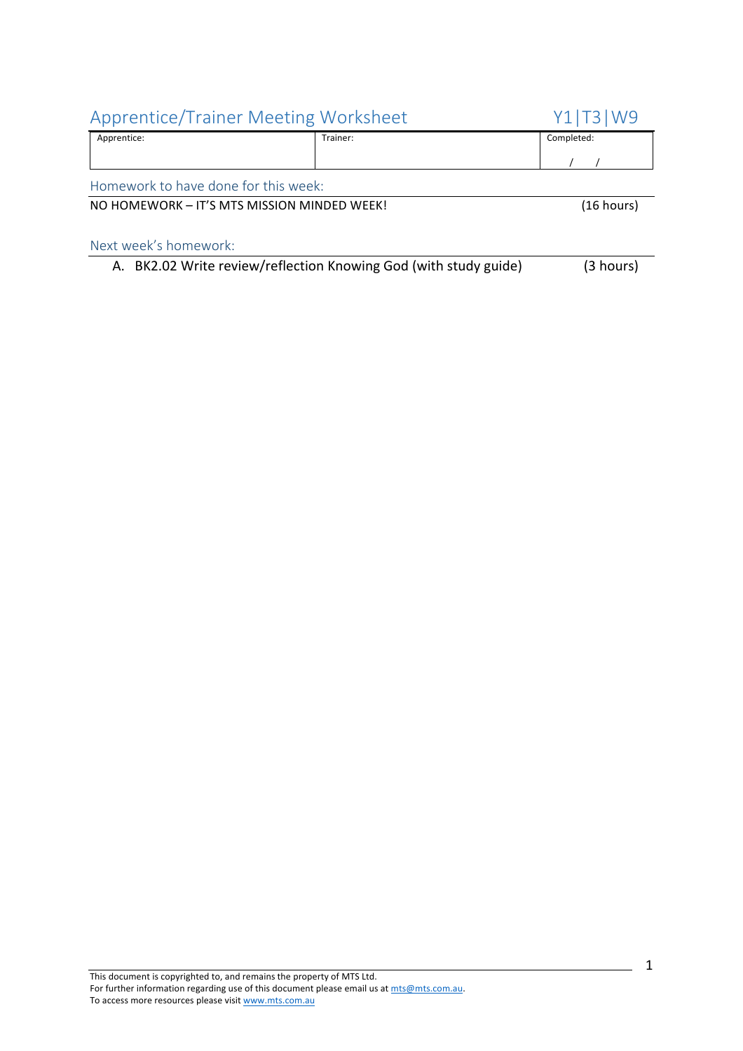| Apprentice: | $\overline{\phantom{0}}$<br>Trainer: | completed:<br>. |
|-------------|--------------------------------------|-----------------|
|             |                                      |                 |

Homework to have done for this week:

#### NO HOMEWORK – IT'S MTS MISSION MINDED WEEK! (16 hours)

|  | A. BK2.02 Write review/reflection Knowing God (with study guide) | (3 hours) |
|--|------------------------------------------------------------------|-----------|
|--|------------------------------------------------------------------|-----------|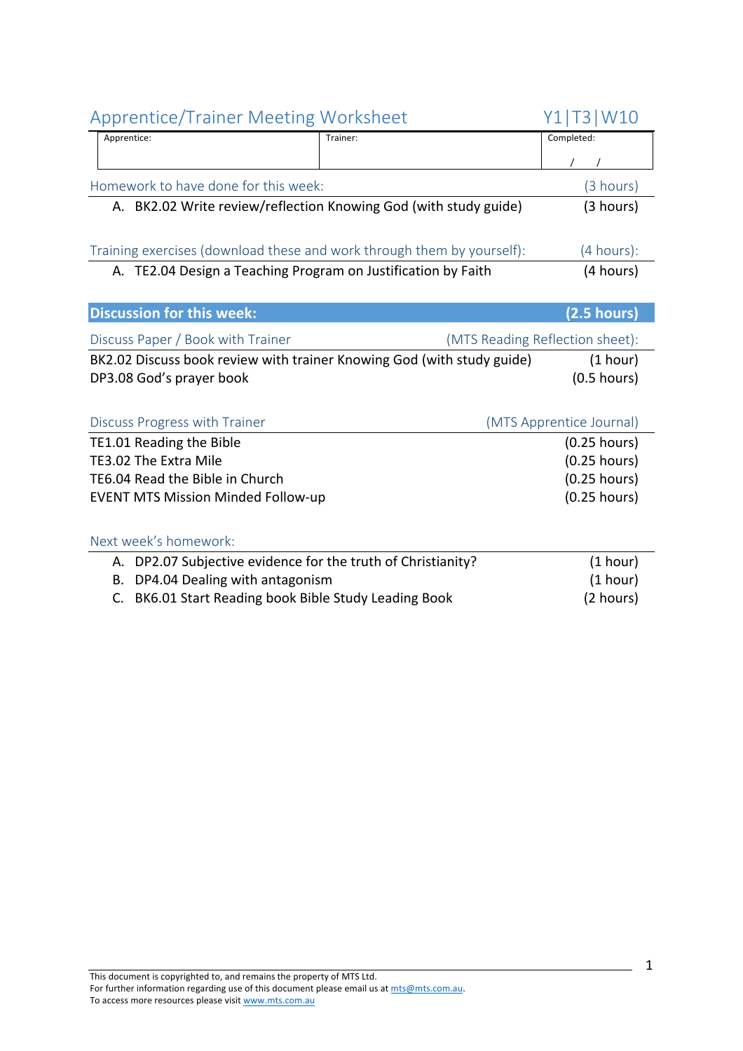| <b>Apprentice/Trainer Meeting Worksheet</b>                                                | Y1 T3 W10                       |
|--------------------------------------------------------------------------------------------|---------------------------------|
| Apprentice:<br>Trainer:                                                                    | Completed:                      |
|                                                                                            |                                 |
| Homework to have done for this week:                                                       | (3 hours)                       |
| A. BK2.02 Write review/reflection Knowing God (with study guide)                           | (3 hours)                       |
|                                                                                            |                                 |
| Training exercises (download these and work through them by yourself):                     | (4 hours):                      |
| A. TE2.04 Design a Teaching Program on Justification by Faith                              | (4 hours)                       |
|                                                                                            |                                 |
| <b>Discussion for this week:</b>                                                           | (2.5 hours)                     |
| Discuss Paper / Book with Trainer                                                          | (MTS Reading Reflection sheet): |
| BK2.02 Discuss book review with trainer Knowing God (with study guide)                     | (1 hour)                        |
| DP3.08 God's prayer book                                                                   | $(0.5$ hours)                   |
|                                                                                            |                                 |
| Discuss Progress with Trainer                                                              | (MTS Apprentice Journal)        |
| TE1.01 Reading the Bible                                                                   | $(0.25$ hours)                  |
| TE3.02 The Extra Mile                                                                      | $(0.25$ hours)                  |
| TE6.04 Read the Bible in Church                                                            | $(0.25$ hours)                  |
| <b>EVENT MTS Mission Minded Follow-up</b>                                                  | $(0.25$ hours)                  |
|                                                                                            |                                 |
| Next week's homework:                                                                      |                                 |
|                                                                                            |                                 |
| A. DP2.07 Subjective evidence for the truth of Christianity?                               | (1 hour)                        |
| DP4.04 Dealing with antagonism<br>В.<br>BK6.01 Start Reading book Bible Study Leading Book | (1 hour)<br>(2 hours)           |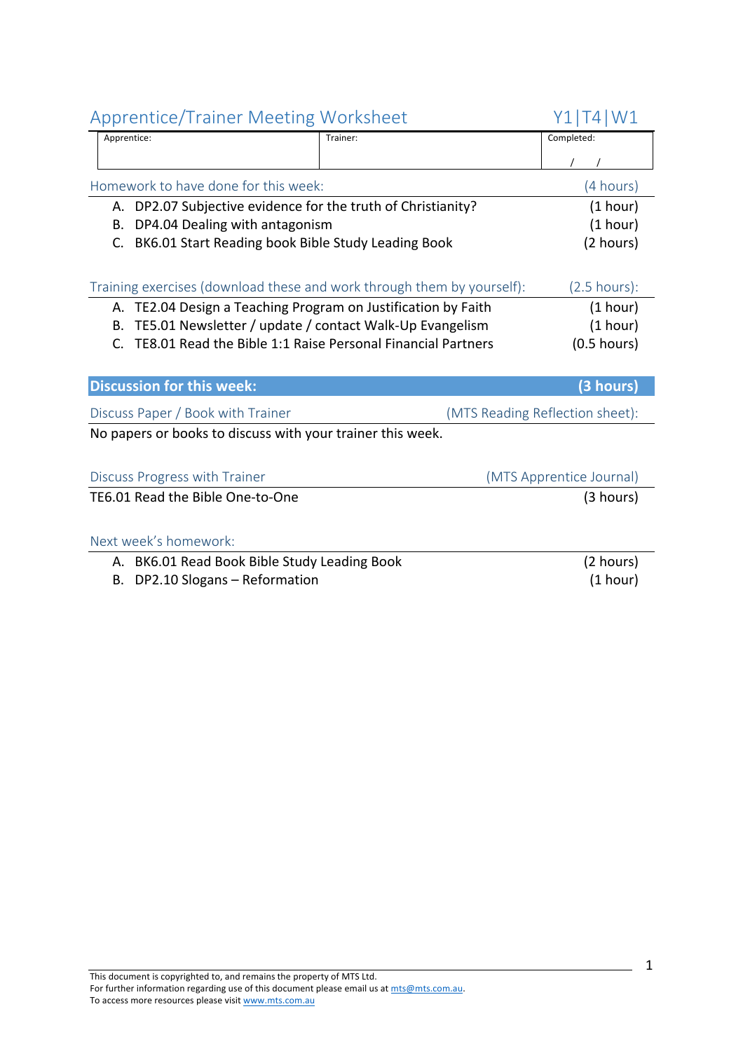| Apprentice/Trailier ivieeting worksheet                                |                                 |
|------------------------------------------------------------------------|---------------------------------|
| Apprentice:<br>Trainer:                                                | Completed:                      |
|                                                                        |                                 |
| Homework to have done for this week:                                   | (4 hours)                       |
| DP2.07 Subjective evidence for the truth of Christianity?<br>А.        | (1 hour)                        |
| DP4.04 Dealing with antagonism<br>В.                                   | (1 hour)                        |
| BK6.01 Start Reading book Bible Study Leading Book<br>C.               | (2 hours)                       |
| Training exercises (download these and work through them by yourself): | $(2.5 \text{ hours})$ :         |
| A. TE2.04 Design a Teaching Program on Justification by Faith          | (1 hour)                        |
| TE5.01 Newsletter / update / contact Walk-Up Evangelism<br>В.          | (1 hour)                        |
| TE8.01 Read the Bible 1:1 Raise Personal Financial Partners<br>C.      | $(0.5$ hours)                   |
|                                                                        |                                 |
|                                                                        |                                 |
| <b>Discussion for this week:</b>                                       | (3 hours)                       |
| Discuss Paper / Book with Trainer                                      | (MTS Reading Reflection sheet): |
| No papers or books to discuss with your trainer this week.             |                                 |
|                                                                        |                                 |
| Discuss Progress with Trainer                                          | (MTS Apprentice Journal)        |
| TE6.01 Read the Bible One-to-One                                       | (3 hours)                       |
|                                                                        |                                 |
| Next week's homework:                                                  |                                 |
| A. BK6.01 Read Book Bible Study Leading Book                           | (2 hours)                       |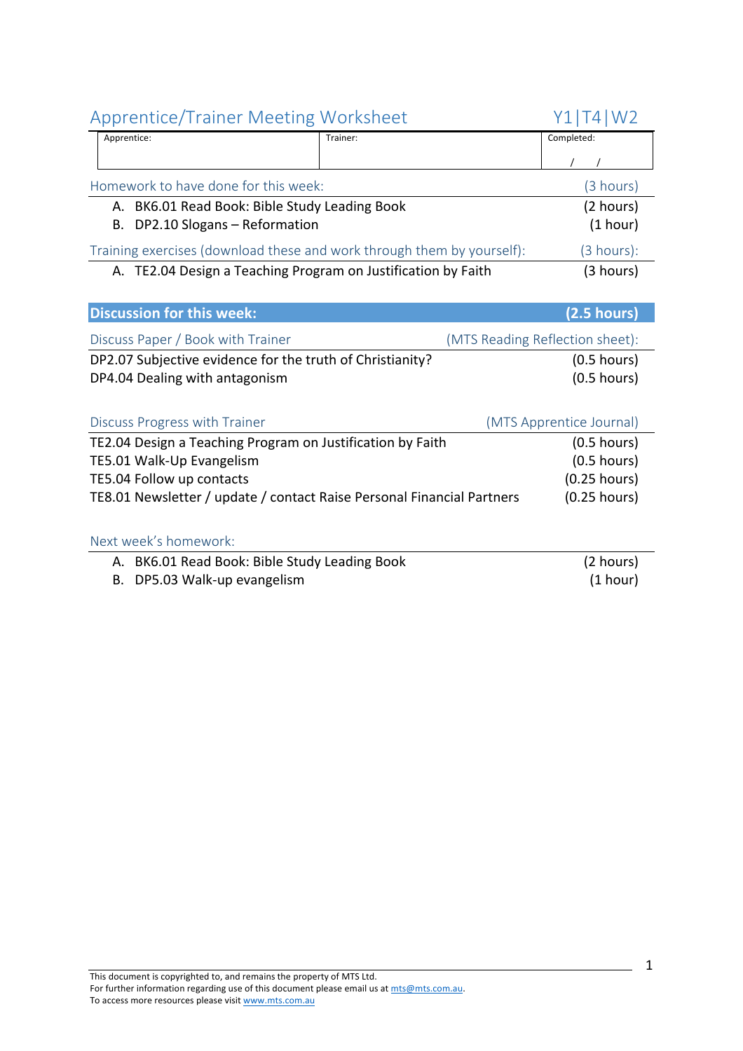| Apprentice:                                                            | Trainer:                                                      | Completed: |
|------------------------------------------------------------------------|---------------------------------------------------------------|------------|
|                                                                        |                                                               |            |
| Homework to have done for this week:                                   |                                                               | (3 hours)  |
|                                                                        | A. BK6.01 Read Book: Bible Study Leading Book                 | (2 hours)  |
| B. DP2.10 Slogans - Reformation                                        |                                                               | (1 hour)   |
| Training exercises (download these and work through them by yourself): |                                                               | (3 hours): |
|                                                                        | A. TE2.04 Design a Teaching Program on Justification by Faith | (3 hours)  |
|                                                                        |                                                               |            |

| <b>Discussion for this week:</b>                          | $(2.5 \text{ hours})$           |
|-----------------------------------------------------------|---------------------------------|
| Discuss Paper / Book with Trainer                         | (MTS Reading Reflection sheet): |
| DP2.07 Subjective evidence for the truth of Christianity? | $(0.5$ hours)                   |
| DP4.04 Dealing with antagonism                            | $(0.5$ hours)                   |

| Discuss Progress with Trainer                                          | (MTS Apprentice Journal) |
|------------------------------------------------------------------------|--------------------------|
| TE2.04 Design a Teaching Program on Justification by Faith             | $(0.5$ hours)            |
| TE5.01 Walk-Up Evangelism                                              | $(0.5 \text{ hours})$    |
| TE5.04 Follow up contacts                                              | $(0.25$ hours)           |
| TE8.01 Newsletter / update / contact Raise Personal Financial Partners | $(0.25$ hours)           |

#### Next week's homework:

| A. BK6.01 Read Book: Bible Study Leading Book | (2 hours) |
|-----------------------------------------------|-----------|
| B. DP5.03 Walk-up evangelism                  | (1 hour)  |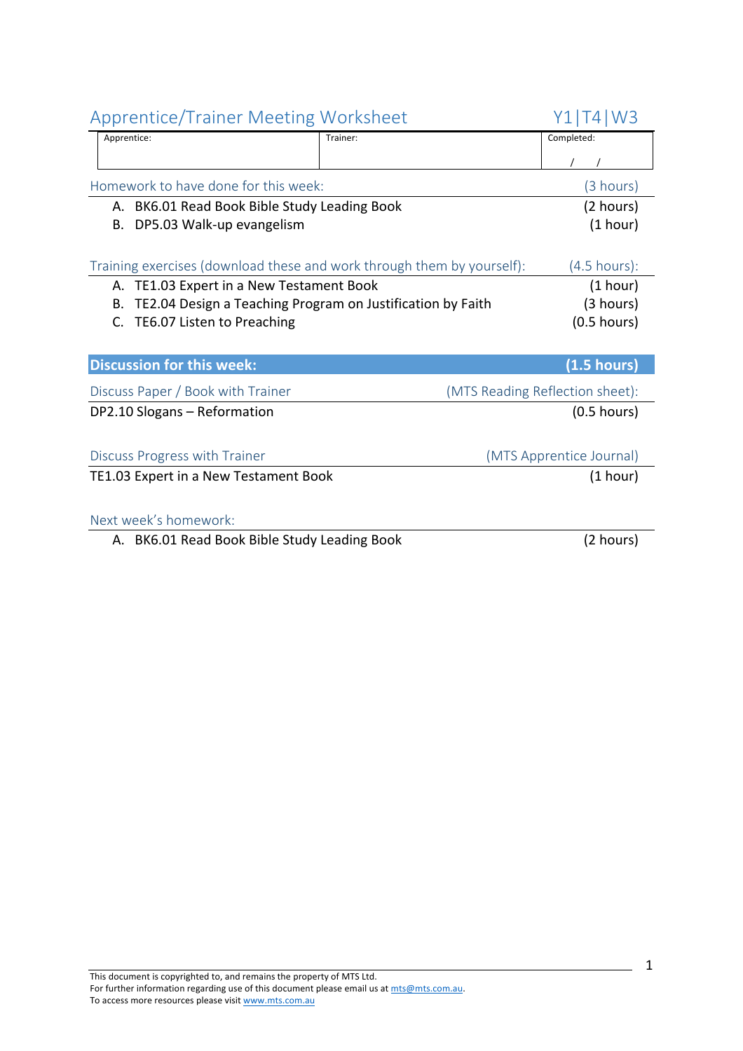| <b>Apprentice/Trainer Meeting Worksheet</b>                            |          | T4 W3<br>Y1 I                   |
|------------------------------------------------------------------------|----------|---------------------------------|
| Apprentice:                                                            | Trainer: | Completed:                      |
|                                                                        |          |                                 |
| Homework to have done for this week:                                   |          | (3 hours)                       |
| BK6.01 Read Book Bible Study Leading Book<br>А.                        |          | (2 hours)                       |
| DP5.03 Walk-up evangelism<br>В.                                        |          | (1 hour)                        |
| Training exercises (download these and work through them by yourself): |          | $(4.5 \text{ hours})$ :         |
| A. TE1.03 Expert in a New Testament Book                               |          | (1 hour)                        |
| TE2.04 Design a Teaching Program on Justification by Faith<br>В.       |          | (3 hours)                       |
| C. TE6.07 Listen to Preaching                                          |          | $(0.5$ hours)                   |
|                                                                        |          |                                 |
| <b>Discussion for this week:</b>                                       |          | $(1.5$ hours)                   |
| Discuss Paper / Book with Trainer                                      |          | (MTS Reading Reflection sheet): |
| DP2.10 Slogans - Reformation                                           |          | $(0.5$ hours)                   |
| Discuss Progress with Trainer                                          |          | (MTS Apprentice Journal)        |
| TE1.03 Expert in a New Testament Book                                  |          | (1 hour)                        |
| Next week's homework:                                                  |          |                                 |
| A. BK6.01 Read Book Bible Study Leading Book                           |          | (2 hours)                       |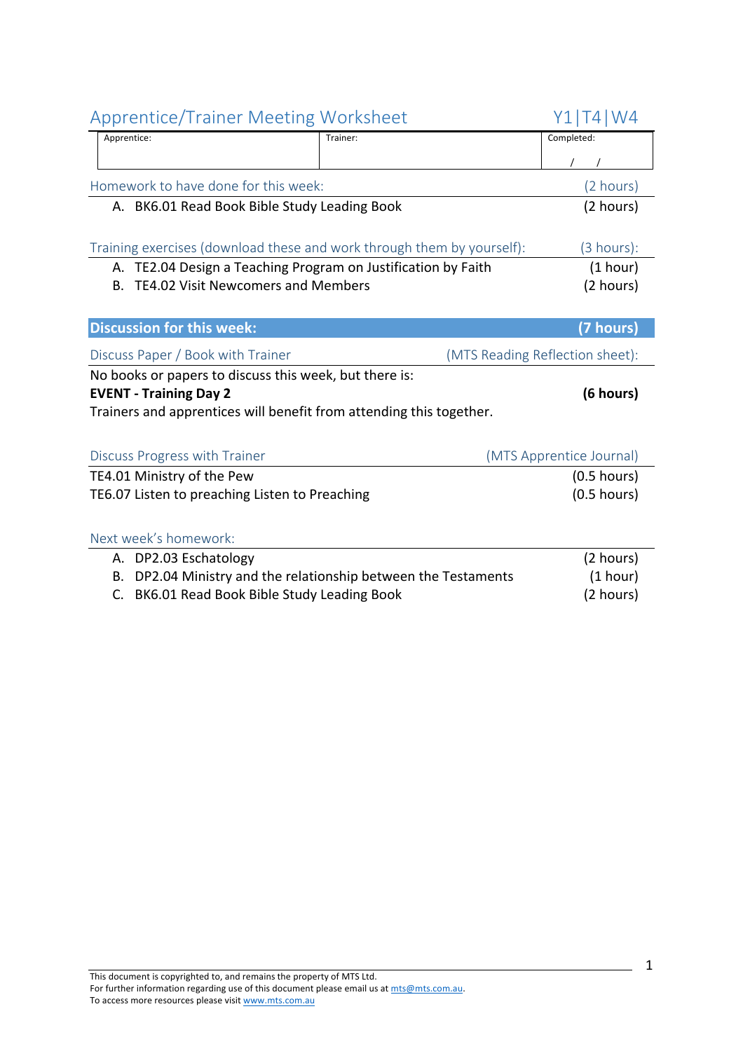| <b>Apprentice/Trainer Meeting Worksheet</b>                            |                                                             | Y1 T4 W4                        |
|------------------------------------------------------------------------|-------------------------------------------------------------|---------------------------------|
| Apprentice:                                                            | Trainer:                                                    | Completed:                      |
|                                                                        |                                                             |                                 |
| Homework to have done for this week:                                   |                                                             | (2 hours)                       |
| A. BK6.01 Read Book Bible Study Leading Book                           |                                                             | (2 hours)                       |
|                                                                        |                                                             |                                 |
| Training exercises (download these and work through them by yourself): |                                                             | (3 hours):                      |
| A. TE2.04 Design a Teaching Program on Justification by Faith          |                                                             | (1 hour)                        |
| <b>TE4.02 Visit Newcomers and Members</b><br><b>B.</b>                 |                                                             | (2 hours)                       |
|                                                                        |                                                             |                                 |
| <b>Discussion for this week:</b>                                       |                                                             | (7 hours)                       |
| Discuss Paper / Book with Trainer                                      |                                                             | (MTS Reading Reflection sheet): |
| No books or papers to discuss this week, but there is:                 |                                                             |                                 |
| <b>EVENT - Training Day 2</b>                                          |                                                             | (6 hours)                       |
| Trainers and apprentices will benefit from attending this together.    |                                                             |                                 |
|                                                                        |                                                             |                                 |
| Discuss Progress with Trainer                                          |                                                             | (MTS Apprentice Journal)        |
| TE4.01 Ministry of the Pew                                             |                                                             | $(0.5$ hours)                   |
| TE6.07 Listen to preaching Listen to Preaching                         |                                                             | $(0.5$ hours)                   |
|                                                                        |                                                             |                                 |
| Next week's homework:                                                  |                                                             |                                 |
| A. DP2.03 Eschatology                                                  |                                                             | (2 hours)                       |
| В.                                                                     | DP2.04 Ministry and the relationship between the Testaments | (1 hour)                        |
| BK6.01 Read Book Bible Study Leading Book<br>C.                        |                                                             | (2 hours)                       |
|                                                                        |                                                             |                                 |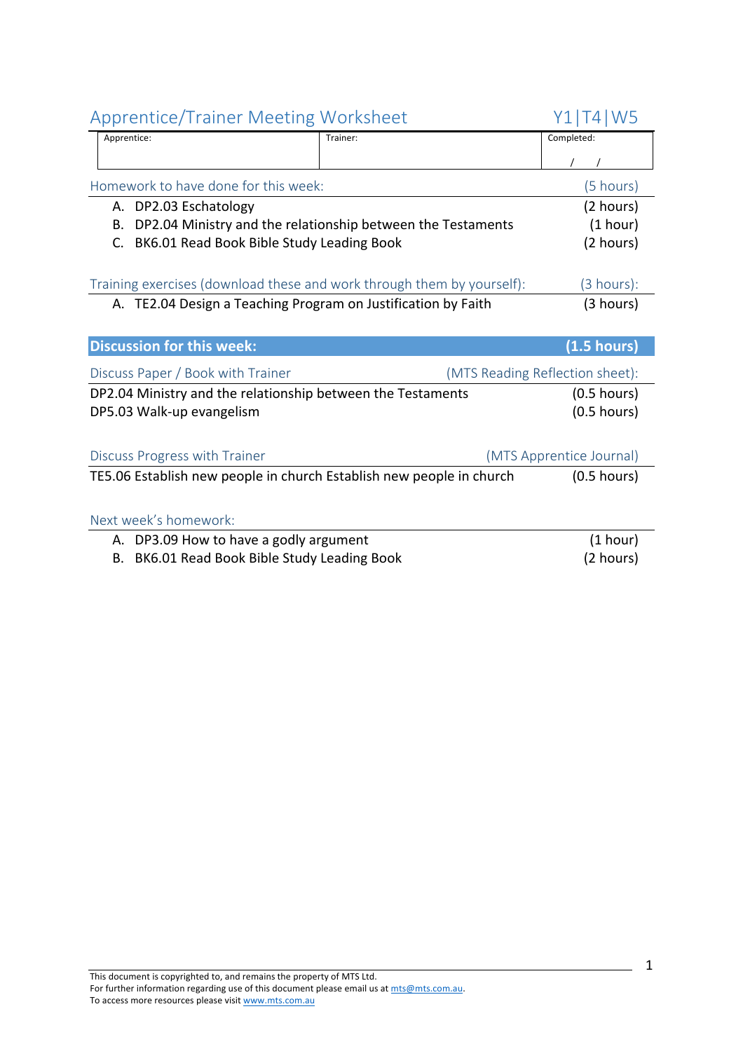|             | Apprentice/ Hallier McCellig Worksheet                        |                                                                        | <b>  ⊥     ┬   Ⅴ Ⅴ ノ</b>        |
|-------------|---------------------------------------------------------------|------------------------------------------------------------------------|---------------------------------|
| Apprentice: |                                                               | Trainer:                                                               | Completed:                      |
|             |                                                               |                                                                        |                                 |
|             | Homework to have done for this week:                          |                                                                        | (5 hours)                       |
|             | A. DP2.03 Eschatology                                         |                                                                        | (2 hours)                       |
| В.          |                                                               | DP2.04 Ministry and the relationship between the Testaments            | (1 hour)                        |
|             | C. BK6.01 Read Book Bible Study Leading Book                  |                                                                        | (2 hours)                       |
|             |                                                               |                                                                        |                                 |
|             |                                                               | Training exercises (download these and work through them by yourself): | (3 hours):                      |
|             | A. TE2.04 Design a Teaching Program on Justification by Faith |                                                                        | (3 hours)                       |
|             |                                                               |                                                                        |                                 |
|             | <b>Discussion for this week:</b>                              |                                                                        | (1.5 hours)                     |
|             | Discuss Paper / Book with Trainer                             |                                                                        | (MTS Reading Reflection sheet): |
|             | DP2.04 Ministry and the relationship between the Testaments   |                                                                        | $(0.5$ hours)                   |
|             | DP5.03 Walk-up evangelism                                     |                                                                        | $(0.5$ hours)                   |
|             |                                                               |                                                                        |                                 |
|             | Discuss Progress with Trainer                                 |                                                                        | (MTS Apprentice Journal)        |
|             |                                                               | TE5.06 Establish new people in church Establish new people in church   | $(0.5$ hours)                   |
|             |                                                               |                                                                        |                                 |
|             | Next week's homework:                                         |                                                                        |                                 |
|             | A. DP3.09 How to have a godly argument                        |                                                                        | (1 hour)                        |
|             | B. BK6.01 Read Book Bible Study Leading Book                  |                                                                        | (2 hours)                       |
|             |                                                               |                                                                        |                                 |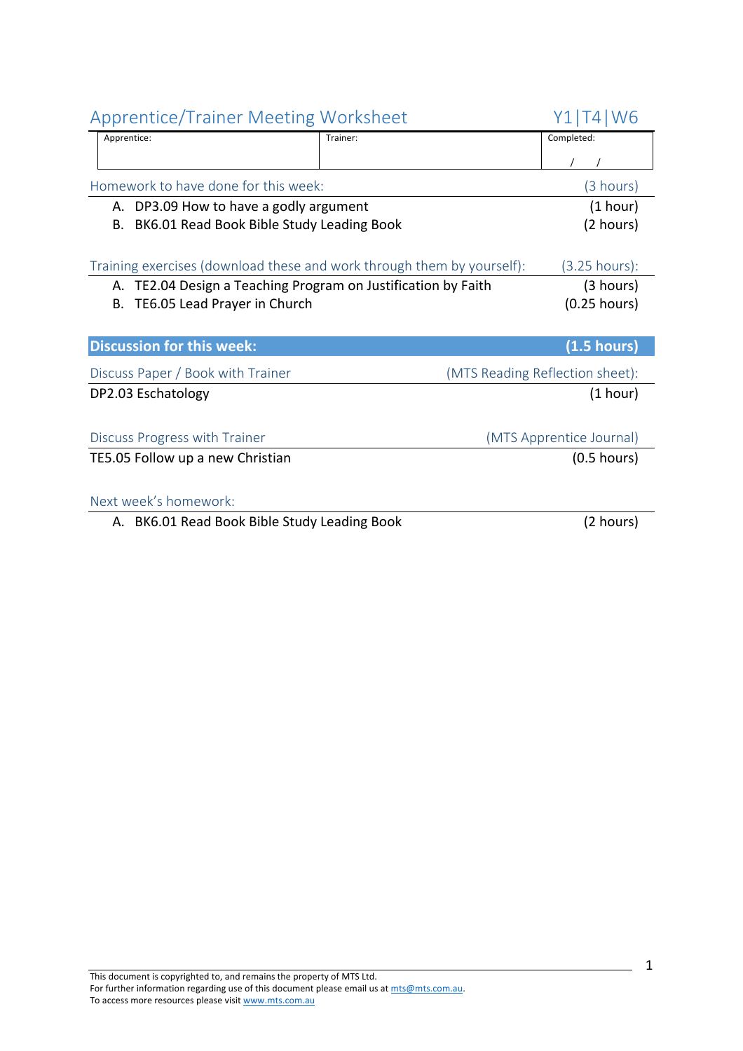| <b>Apprentice/Trainer Meeting Worksheet</b>                            |          | Y1 T4 W6                        |
|------------------------------------------------------------------------|----------|---------------------------------|
| Apprentice:                                                            | Trainer: | Completed:                      |
|                                                                        |          |                                 |
| Homework to have done for this week:                                   |          | (3 hours)                       |
| A. DP3.09 How to have a godly argument                                 |          | (1 hour)                        |
| BK6.01 Read Book Bible Study Leading Book<br>В.                        |          | (2 hours)                       |
|                                                                        |          |                                 |
| Training exercises (download these and work through them by yourself): |          | (3.25 hours):                   |
| TE2.04 Design a Teaching Program on Justification by Faith<br>А.       |          | (3 hours)                       |
| TE6.05 Lead Prayer in Church<br>В.                                     |          | $(0.25$ hours)                  |
|                                                                        |          |                                 |
| <b>Discussion for this week:</b>                                       |          | (1.5 hours)                     |
| Discuss Paper / Book with Trainer                                      |          | (MTS Reading Reflection sheet): |
| DP2.03 Eschatology                                                     |          | (1 hour)                        |
|                                                                        |          |                                 |
| Discuss Progress with Trainer                                          |          | (MTS Apprentice Journal)        |
| TE5.05 Follow up a new Christian                                       |          | $(0.5$ hours)                   |
|                                                                        |          |                                 |
| Next week's homework:                                                  |          |                                 |
| A. BK6.01 Read Book Bible Study Leading Book                           |          | (2 hours)                       |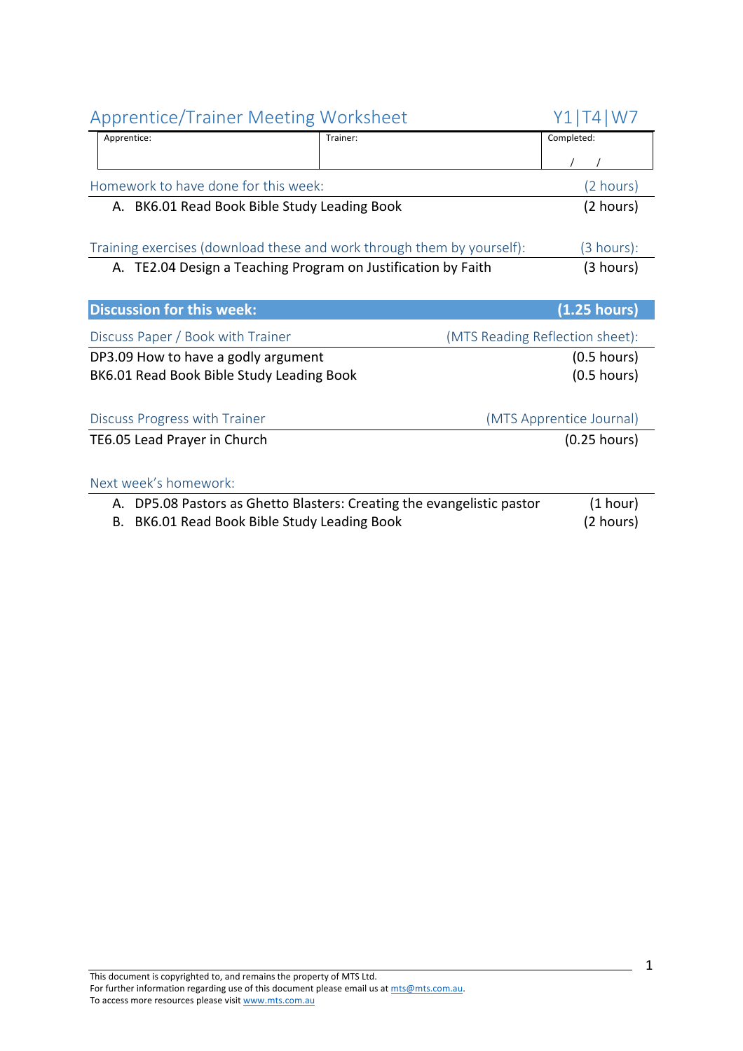| <b>Apprentice/Trainer Meeting Worksheet</b>                            |          | Y1 T4 W7                        |
|------------------------------------------------------------------------|----------|---------------------------------|
| Apprentice:                                                            | Trainer: | Completed:                      |
|                                                                        |          |                                 |
| Homework to have done for this week:                                   |          | (2 hours)                       |
| A. BK6.01 Read Book Bible Study Leading Book                           |          | (2 hours)                       |
|                                                                        |          |                                 |
| Training exercises (download these and work through them by yourself): |          | $(3 \text{ hours})$ :           |
| A. TE2.04 Design a Teaching Program on Justification by Faith          |          | (3 hours)                       |
|                                                                        |          |                                 |
| <b>Discussion for this week:</b>                                       |          | $(1.25$ hours)                  |
| Discuss Paper / Book with Trainer                                      |          | (MTS Reading Reflection sheet): |
| DP3.09 How to have a godly argument                                    |          | $(0.5$ hours)                   |
| BK6.01 Read Book Bible Study Leading Book                              |          | $(0.5$ hours)                   |
|                                                                        |          |                                 |
| Discuss Progress with Trainer                                          |          | (MTS Apprentice Journal)        |
| TE6.05 Lead Prayer in Church                                           |          | $(0.25$ hours)                  |
|                                                                        |          |                                 |
| Next week's homework:                                                  |          |                                 |
| A. DP5.08 Pastors as Ghetto Blasters: Creating the evangelistic pastor |          | (1 hour)                        |
| B. BK6.01 Read Book Bible Study Leading Book                           |          | (2 hours)                       |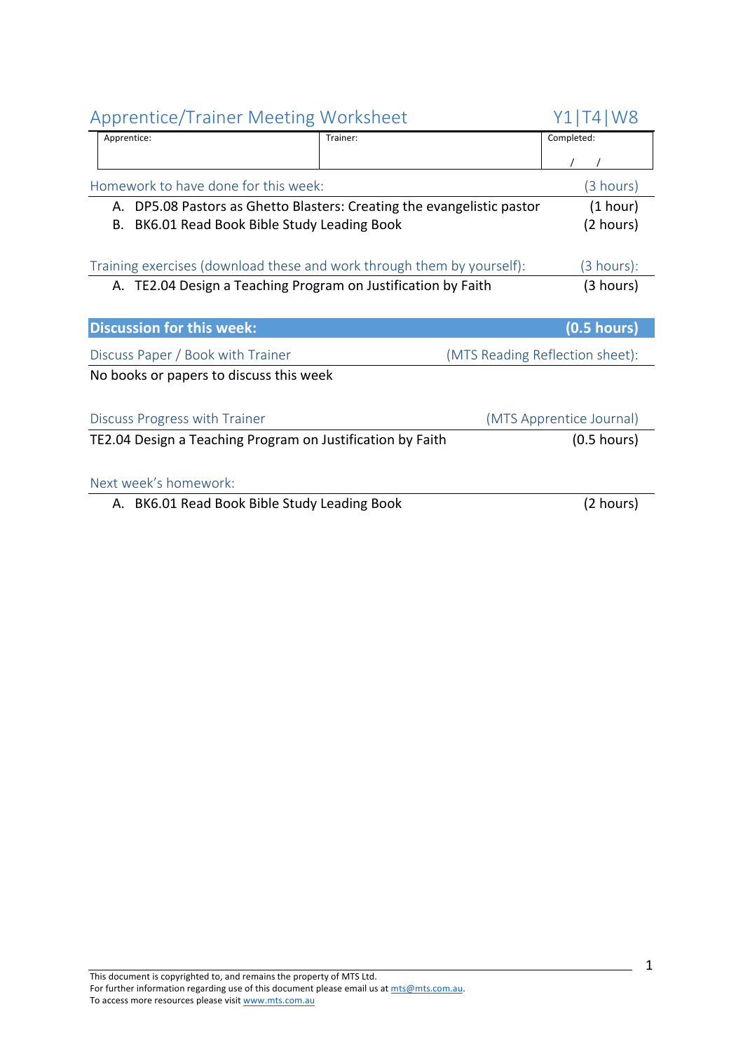| <b>Apprentice/Trainer Meeting Worksheet</b>                            |                                                                        | ั4 W8                           |  |
|------------------------------------------------------------------------|------------------------------------------------------------------------|---------------------------------|--|
| Apprentice:                                                            | Trainer:                                                               | Completed:                      |  |
|                                                                        |                                                                        |                                 |  |
| Homework to have done for this week:                                   |                                                                        | (3 hours)                       |  |
|                                                                        | A. DP5.08 Pastors as Ghetto Blasters: Creating the evangelistic pastor | (1 hour)                        |  |
| BK6.01 Read Book Bible Study Leading Book<br>В.                        |                                                                        | (2 hours)                       |  |
|                                                                        |                                                                        |                                 |  |
| Training exercises (download these and work through them by yourself): |                                                                        | (3 hours):                      |  |
| A. TE2.04 Design a Teaching Program on Justification by Faith          |                                                                        | (3 hours)                       |  |
|                                                                        |                                                                        |                                 |  |
| <b>Discussion for this week:</b>                                       |                                                                        | $(0.5$ hours)                   |  |
| Discuss Paper / Book with Trainer                                      |                                                                        | (MTS Reading Reflection sheet): |  |
| No books or papers to discuss this week                                |                                                                        |                                 |  |
|                                                                        |                                                                        |                                 |  |
| Discuss Progress with Trainer                                          |                                                                        | (MTS Apprentice Journal)        |  |
| TE2.04 Design a Teaching Program on Justification by Faith             |                                                                        | $(0.5$ hours)                   |  |
|                                                                        |                                                                        |                                 |  |
| Next week's homework:                                                  |                                                                        |                                 |  |
| A. BK6.01 Read Book Bible Study Leading Book                           |                                                                        | (2 hours)                       |  |
|                                                                        |                                                                        |                                 |  |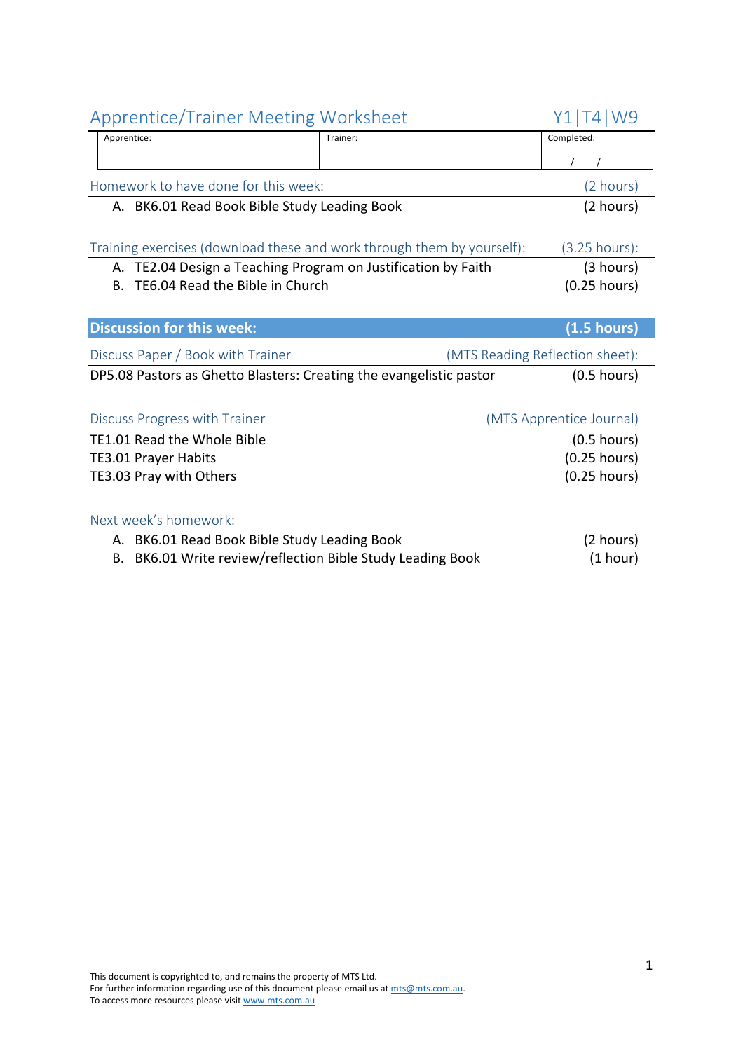| <b>Apprentice/Trainer Meeting Worksheet</b>                            | Y1 T4 W9 |                                 |
|------------------------------------------------------------------------|----------|---------------------------------|
| Apprentice:                                                            | Trainer: | Completed:                      |
|                                                                        |          |                                 |
| Homework to have done for this week:                                   |          | (2 hours)                       |
| A. BK6.01 Read Book Bible Study Leading Book                           |          | (2 hours)                       |
|                                                                        |          |                                 |
| Training exercises (download these and work through them by yourself): |          | $(3.25 \text{ hours})$ :        |
| A. TE2.04 Design a Teaching Program on Justification by Faith          |          | (3 hours)                       |
| TE6.04 Read the Bible in Church<br>Β.                                  |          | $(0.25$ hours)                  |
|                                                                        |          |                                 |
| <b>Discussion for this week:</b>                                       |          | (1.5 hours)                     |
| Discuss Paper / Book with Trainer                                      |          | (MTS Reading Reflection sheet): |
| DP5.08 Pastors as Ghetto Blasters: Creating the evangelistic pastor    |          | $(0.5$ hours)                   |
|                                                                        |          |                                 |
|                                                                        |          |                                 |
| Discuss Progress with Trainer                                          |          | (MTS Apprentice Journal)        |
| TE1.01 Read the Whole Bible                                            |          | $(0.5$ hours)                   |
| <b>TE3.01 Prayer Habits</b>                                            |          | $(0.25$ hours)                  |
| TE3.03 Pray with Others                                                |          | $(0.25$ hours)                  |
|                                                                        |          |                                 |
| Next week's homework:                                                  |          |                                 |
| A. BK6.01 Read Book Bible Study Leading Book                           |          | (2 hours)                       |
| BK6.01 Write review/reflection Bible Study Leading Book<br>В.          |          | (1 hour)                        |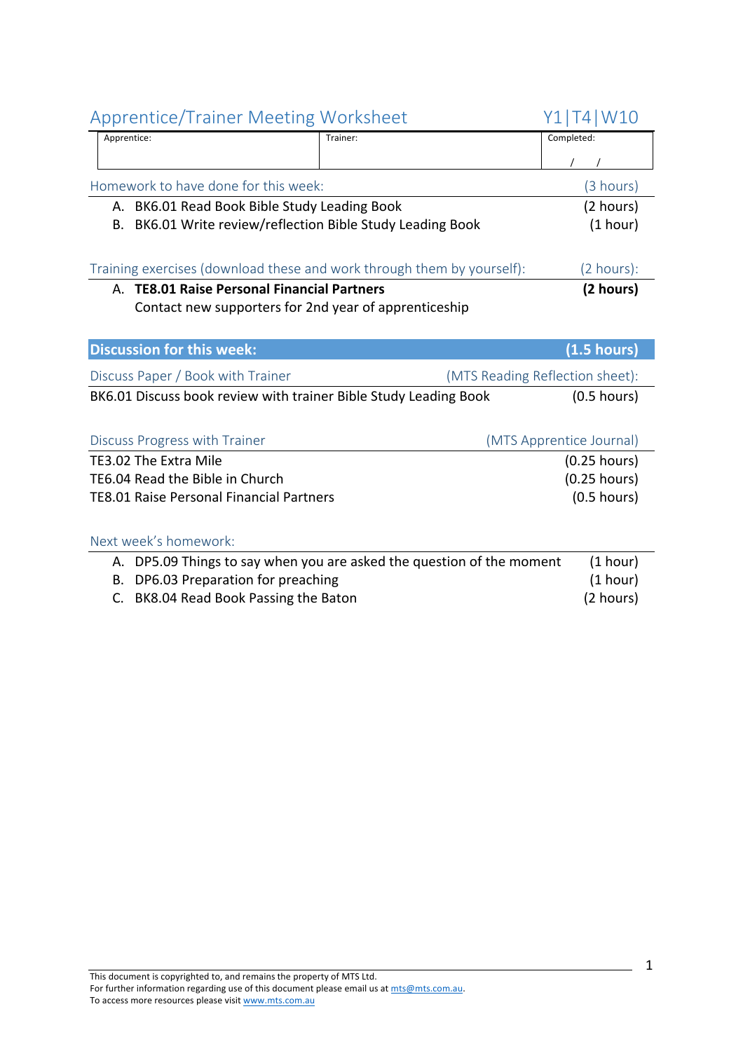| Apprentice:                                                            | Trainer:                                                              | Completed:                      |
|------------------------------------------------------------------------|-----------------------------------------------------------------------|---------------------------------|
|                                                                        |                                                                       |                                 |
| Homework to have done for this week:                                   |                                                                       | (3 hours)                       |
| A. BK6.01 Read Book Bible Study Leading Book                           |                                                                       | (2 hours)                       |
| BK6.01 Write review/reflection Bible Study Leading Book<br>В.          |                                                                       | (1 hour)                        |
|                                                                        |                                                                       |                                 |
| Training exercises (download these and work through them by yourself): |                                                                       | $(2 \text{ hours})$ :           |
| A. TE8.01 Raise Personal Financial Partners                            |                                                                       | (2 hours)                       |
| Contact new supporters for 2nd year of apprenticeship                  |                                                                       |                                 |
|                                                                        |                                                                       |                                 |
| <b>Discussion for this week:</b>                                       |                                                                       | (1.5 hours)                     |
| Discuss Paper / Book with Trainer                                      |                                                                       | (MTS Reading Reflection sheet): |
| BK6.01 Discuss book review with trainer Bible Study Leading Book       |                                                                       | $(0.5$ hours)                   |
|                                                                        |                                                                       |                                 |
| Discuss Progress with Trainer                                          |                                                                       | (MTS Apprentice Journal)        |
| TE3.02 The Extra Mile                                                  |                                                                       | $(0.25$ hours)                  |
| TE6.04 Read the Bible in Church                                        |                                                                       | $(0.25$ hours)                  |
| <b>TE8.01 Raise Personal Financial Partners</b>                        |                                                                       | $(0.5$ hours)                   |
|                                                                        |                                                                       |                                 |
| Next week's homework:                                                  |                                                                       |                                 |
|                                                                        | A. DP5.09 Things to say when you are asked the question of the moment | (1 hour)                        |
| DP6.03 Preparation for preaching<br>В.                                 |                                                                       | (1 hour)                        |
|                                                                        |                                                                       |                                 |

C. BK8.04 Read Book Passing the Baton (2 hours)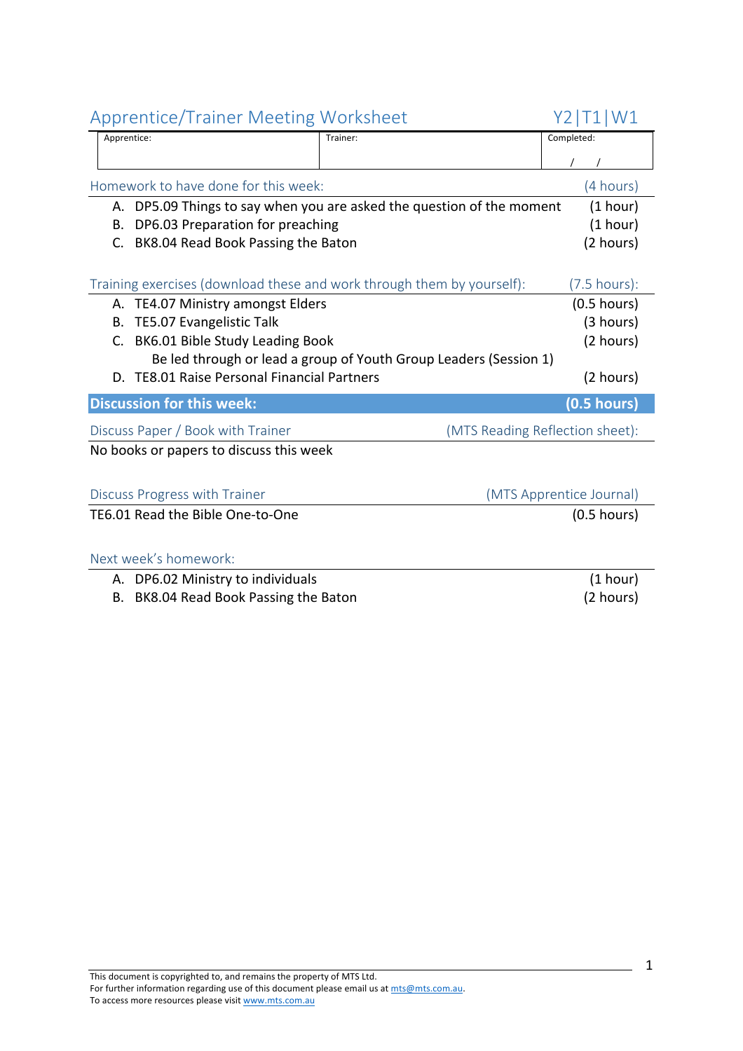| Apprentice/Trainer Meeting Worksheet                                     |          | YZIIIWI                         |
|--------------------------------------------------------------------------|----------|---------------------------------|
| Apprentice:                                                              | Trainer: | Completed:                      |
|                                                                          |          |                                 |
| Homework to have done for this week:                                     |          | (4 hours)                       |
| DP5.09 Things to say when you are asked the question of the moment<br>А. |          | (1 hour)                        |
| DP6.03 Preparation for preaching<br>В.                                   |          | (1 hour)                        |
| BK8.04 Read Book Passing the Baton<br>C.                                 |          | (2 hours)                       |
|                                                                          |          |                                 |
| Training exercises (download these and work through them by yourself):   |          | $(7.5 \text{ hours})$ :         |
| TE4.07 Ministry amongst Elders<br>А.                                     |          | $(0.5$ hours)                   |
| TE5.07 Evangelistic Talk<br>В.                                           |          | (3 hours)                       |
| BK6.01 Bible Study Leading Book<br>C.                                    |          | (2 hours)                       |
| Be led through or lead a group of Youth Group Leaders (Session 1)        |          |                                 |
| D. TE8.01 Raise Personal Financial Partners                              |          | (2 hours)                       |
| <b>Discussion for this week:</b>                                         |          | $(0.5$ hours)                   |
| Discuss Paper / Book with Trainer                                        |          | (MTS Reading Reflection sheet): |
| No books or papers to discuss this week                                  |          |                                 |
| Discuss Progress with Trainer                                            |          | (MTS Apprentice Journal)        |
| TE6.01 Read the Bible One-to-One                                         |          | $(0.5$ hours)                   |
|                                                                          |          |                                 |
| Next week's homework:                                                    |          |                                 |
| DP6.02 Ministry to individuals<br>А.                                     |          | (1 hour)                        |
| BK8.04 Read Book Passing the Baton<br>В.                                 |          | (2 hours)                       |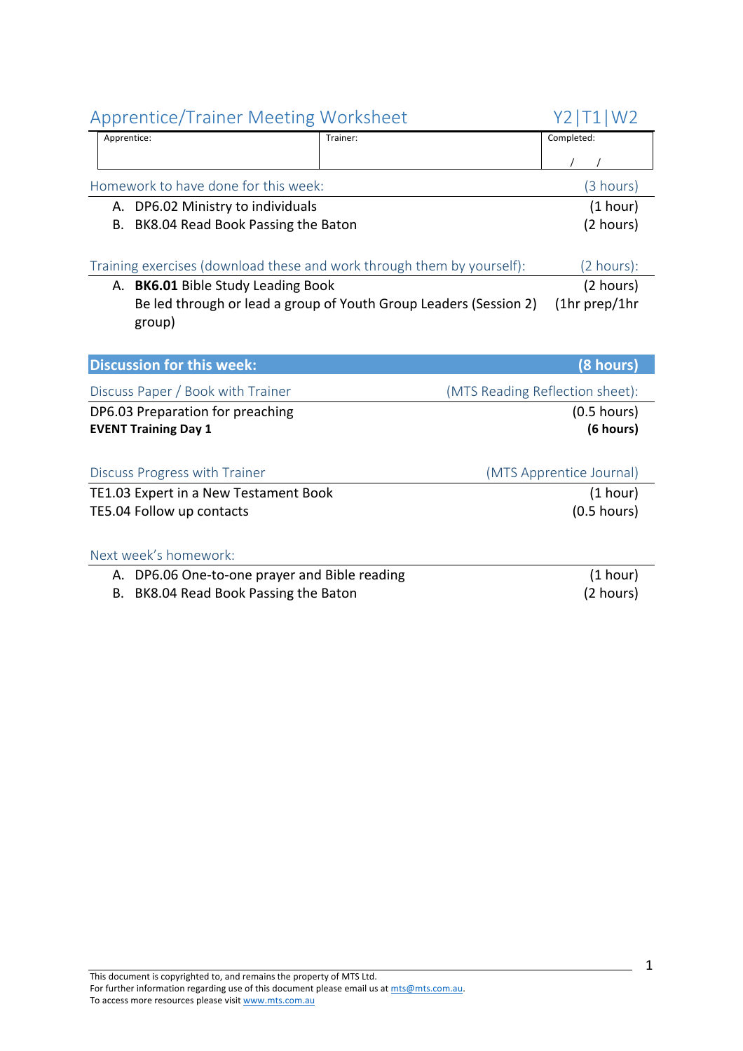| <b>Apprentice/Trainer Meeting Worksheet</b>                            |                                                                   | Y2   T1   W2                    |
|------------------------------------------------------------------------|-------------------------------------------------------------------|---------------------------------|
| Apprentice:                                                            | Trainer:                                                          | Completed:                      |
|                                                                        |                                                                   |                                 |
| Homework to have done for this week:                                   |                                                                   | (3 hours)                       |
| DP6.02 Ministry to individuals<br>А.                                   |                                                                   | (1 hour)                        |
| BK8.04 Read Book Passing the Baton<br>В.                               |                                                                   | (2 hours)                       |
|                                                                        |                                                                   |                                 |
| Training exercises (download these and work through them by yourself): |                                                                   | (2 hours):                      |
| A. BK6.01 Bible Study Leading Book                                     |                                                                   | (2 hours)                       |
|                                                                        | Be led through or lead a group of Youth Group Leaders (Session 2) | $(1hr$ prep/1hr                 |
| group)                                                                 |                                                                   |                                 |
|                                                                        |                                                                   |                                 |
| <b>Discussion for this week:</b>                                       |                                                                   | (8 hours)                       |
| Discuss Paper / Book with Trainer                                      |                                                                   | (MTS Reading Reflection sheet): |
| DP6.03 Preparation for preaching                                       |                                                                   | $(0.5$ hours)                   |
| <b>EVENT Training Day 1</b>                                            |                                                                   | (6 hours)                       |
|                                                                        |                                                                   |                                 |
| Discuss Progress with Trainer                                          |                                                                   | (MTS Apprentice Journal)        |
| TE1.03 Expert in a New Testament Book                                  |                                                                   | (1 hour)                        |
| TE5.04 Follow up contacts                                              |                                                                   | $(0.5$ hours)                   |
|                                                                        |                                                                   |                                 |
| Next week's homework:                                                  |                                                                   |                                 |

### A. DP6.06 One-to-one prayer and Bible reading (1 hour)

B. BK8.04 Read Book Passing the Baton (2 hours)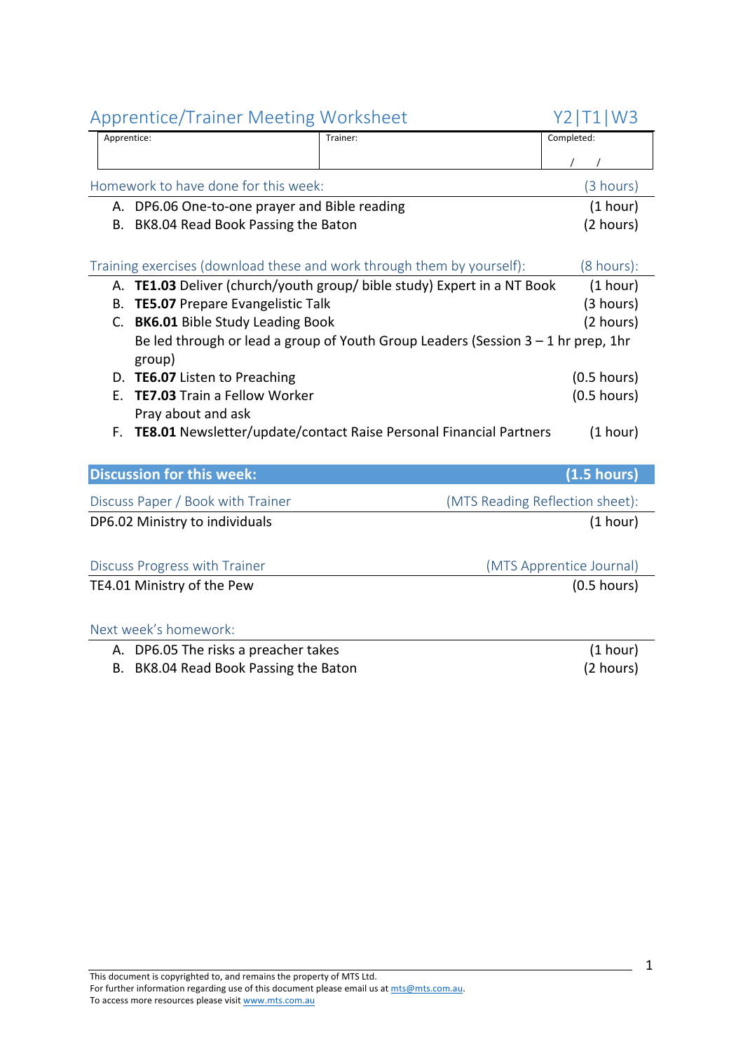|    | Applemne righter inteemig worksheet           |                                                                                     | $L$ $L$ $L$ $L$ $L$ $V$ $V$ $J$ |
|----|-----------------------------------------------|-------------------------------------------------------------------------------------|---------------------------------|
|    | Apprentice:                                   | Trainer:                                                                            | Completed:                      |
|    |                                               |                                                                                     |                                 |
|    | Homework to have done for this week:          |                                                                                     | (3 hours)                       |
|    | A. DP6.06 One-to-one prayer and Bible reading |                                                                                     | (1 hour)                        |
| В. | BK8.04 Read Book Passing the Baton            |                                                                                     | (2 hours)                       |
|    |                                               |                                                                                     |                                 |
|    |                                               | Training exercises (download these and work through them by yourself):              | $(8 \text{ hours})$ :           |
|    |                                               | A. TE1.03 Deliver (church/youth group/ bible study) Expert in a NT Book             | (1 hour)                        |
| В. | <b>TE5.07</b> Prepare Evangelistic Talk       |                                                                                     | (3 hours)                       |
| C. | <b>BK6.01 Bible Study Leading Book</b>        |                                                                                     | (2 hours)                       |
|    | group)                                        | Be led through or lead a group of Youth Group Leaders (Session $3 - 1$ hr prep, 1hr |                                 |
|    | D. TE6.07 Listen to Preaching                 |                                                                                     | $(0.5$ hours)                   |
| Е. | <b>TE7.03</b> Train a Fellow Worker           |                                                                                     | $(0.5$ hours)                   |
|    | Pray about and ask                            |                                                                                     |                                 |
| F. |                                               | TE8.01 Newsletter/update/contact Raise Personal Financial Partners                  | (1 hour)                        |
|    |                                               |                                                                                     |                                 |
|    | <b>Discussion for this week:</b>              |                                                                                     | (1.5 hours)                     |
|    | Discuss Paper / Book with Trainer             |                                                                                     | (MTS Reading Reflection sheet): |
|    | DP6.02 Ministry to individuals                |                                                                                     | (1 hour)                        |
|    |                                               |                                                                                     |                                 |
|    | Discuss Progress with Trainer                 |                                                                                     | (MTS Apprentice Journal)        |
|    | TE4.01 Ministry of the Pew                    |                                                                                     | $(0.5$ hours)                   |
|    |                                               |                                                                                     |                                 |
|    | Next week's homework:                         |                                                                                     |                                 |
|    | A. DP6.05 The risks a preacher takes          |                                                                                     | (1 hour)                        |
|    | B. BK8.04 Read Book Passing the Baton         |                                                                                     | (2 hours)                       |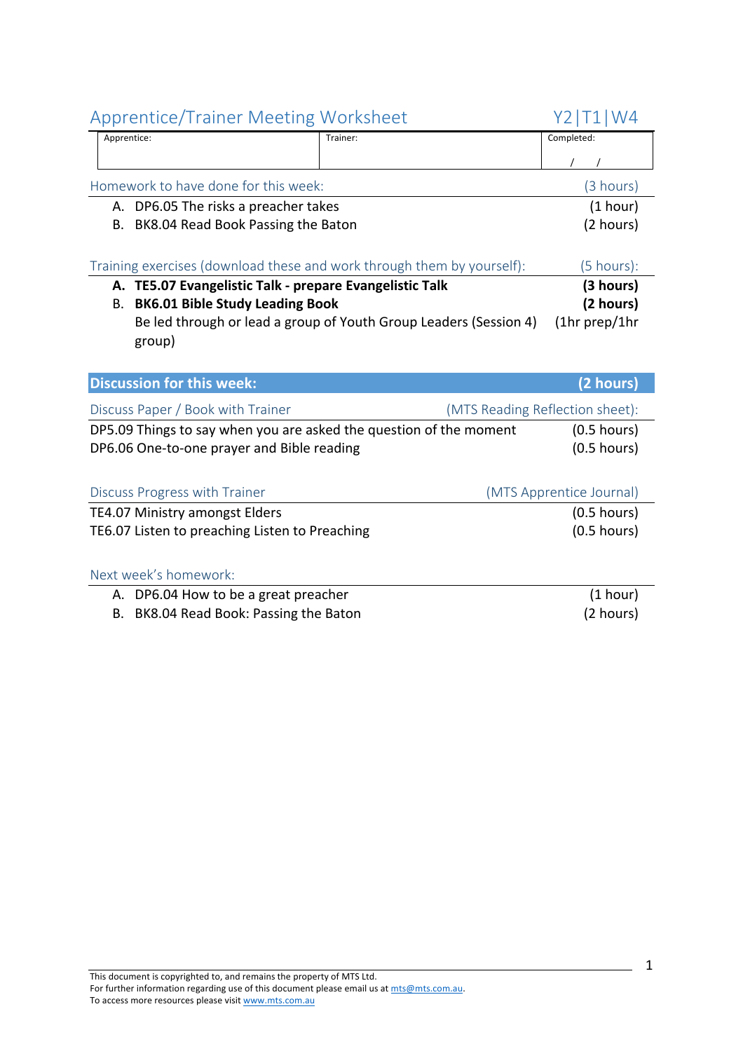#### This document is copyrighted to, and remains the property of MTS Ltd. For further information regarding use of this document please email us at mts@mts.com.au. To access more resources please visit www.mts.com.au

| DP5.09 Things to say when you are asked the question of the moment<br>DP6.06 One-to-one prayer and Bible reading | $(0.5$ hours)<br>$(0.5$ hours) |
|------------------------------------------------------------------------------------------------------------------|--------------------------------|
| Discuss Progress with Trainer                                                                                    | (MTS Apprentice Journal)       |
| TE4.07 Ministry amongst Elders                                                                                   | $(0.5$ hours)                  |
| TE6.07 Listen to preaching Listen to Preaching                                                                   | $(0.5$ hours)                  |
| Next week's homework:                                                                                            |                                |
| A. DP6.04 How to be a great preacher                                                                             | (1 hour)                       |

Homework to have done for this week: (3 hours) A. DP6.05 The risks a preacher takes (1 hour) B. BK8.04 Read Book Passing the Baton (2 hours)

Training exercises (download these and work through them by yourself): (5 hours): **A. TE5.07 Evangelistic Talk - prepare Evangelistic Talk (3 hours)** B. **BK6.01** Bible Study Leading Book (2 hours) Be led through or lead a group of Youth Group Leaders (Session 4) (1hr prep/1hr

**Discussion for this week: (2 hours) (2 hours)** 

Discuss Paper / Book with Trainer (MTS Reading Reflection sheet):

group)

- 
- B. BK8.04 Read Book: Passing the Baton (2 hours)

 $\frac{1}{1}$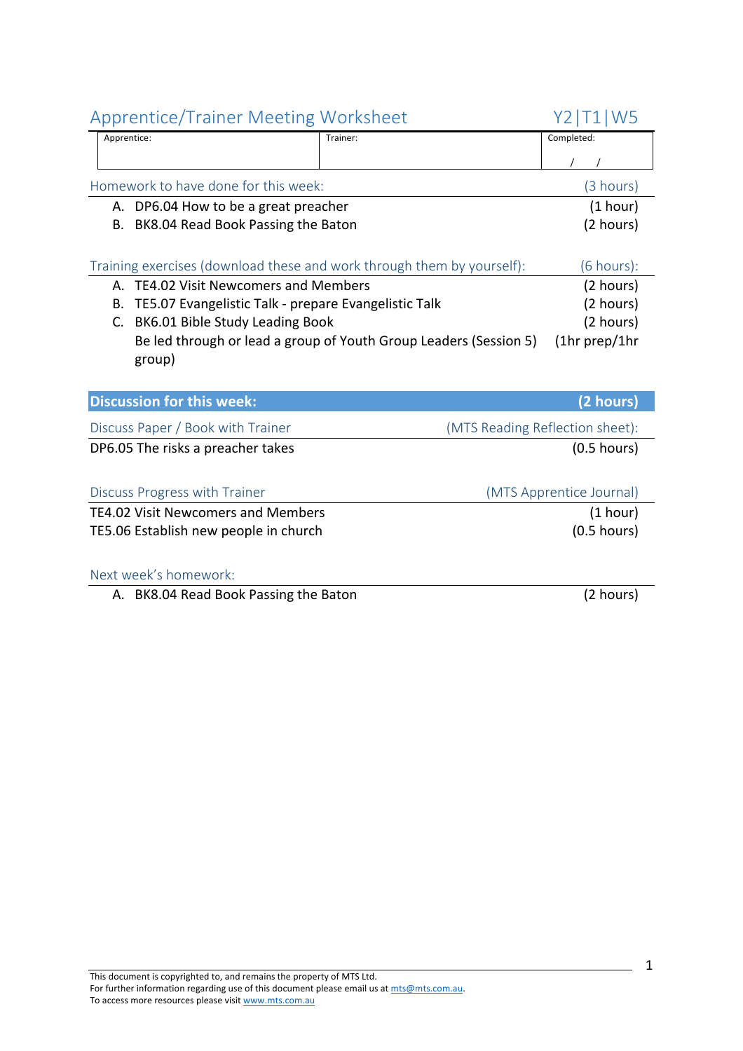## Apprentice/Trainer Meeting Worksheet Y21T11W5

|                                                                        |                                                                   | .                     |
|------------------------------------------------------------------------|-------------------------------------------------------------------|-----------------------|
| Apprentice:                                                            | Trainer:                                                          | Completed:            |
|                                                                        |                                                                   |                       |
| Homework to have done for this week:                                   |                                                                   | (3 hours)             |
| A. DP6.04 How to be a great preacher                                   |                                                                   | (1 hour)              |
| B. BK8.04 Read Book Passing the Baton                                  |                                                                   | (2 hours)             |
|                                                                        |                                                                   |                       |
| Training exercises (download these and work through them by yourself): |                                                                   | $(6 \text{ hours})$ : |
| A. TE4.02 Visit Newcomers and Members                                  |                                                                   | (2 hours)             |
| B. TE5.07 Evangelistic Talk - prepare Evangelistic Talk                |                                                                   | (2 hours)             |
| BK6.01 Bible Study Leading Book<br>C.                                  |                                                                   | (2 hours)             |
|                                                                        | Be led through or lead a group of Youth Group Leaders (Session 5) | (1hr prep/1hr         |

group) **Discussion for this week: (2 hours) (2 hours)** 

| Discuss Paper / Book with Trainer         | (MTS Reading Reflection sheet): |
|-------------------------------------------|---------------------------------|
| DP6.05 The risks a preacher takes         | $(0.5$ hours)                   |
|                                           |                                 |
| Discuss Progress with Trainer             | (MTS Apprentice Journal)        |
| <b>TE4.02 Visit Newcomers and Members</b> | (1 hour)                        |
| TE5.06 Establish new people in church     | $(0.5$ hours)                   |
|                                           |                                 |

#### Next week's homework:

A. BK8.04 Read Book Passing the Baton (2 hours)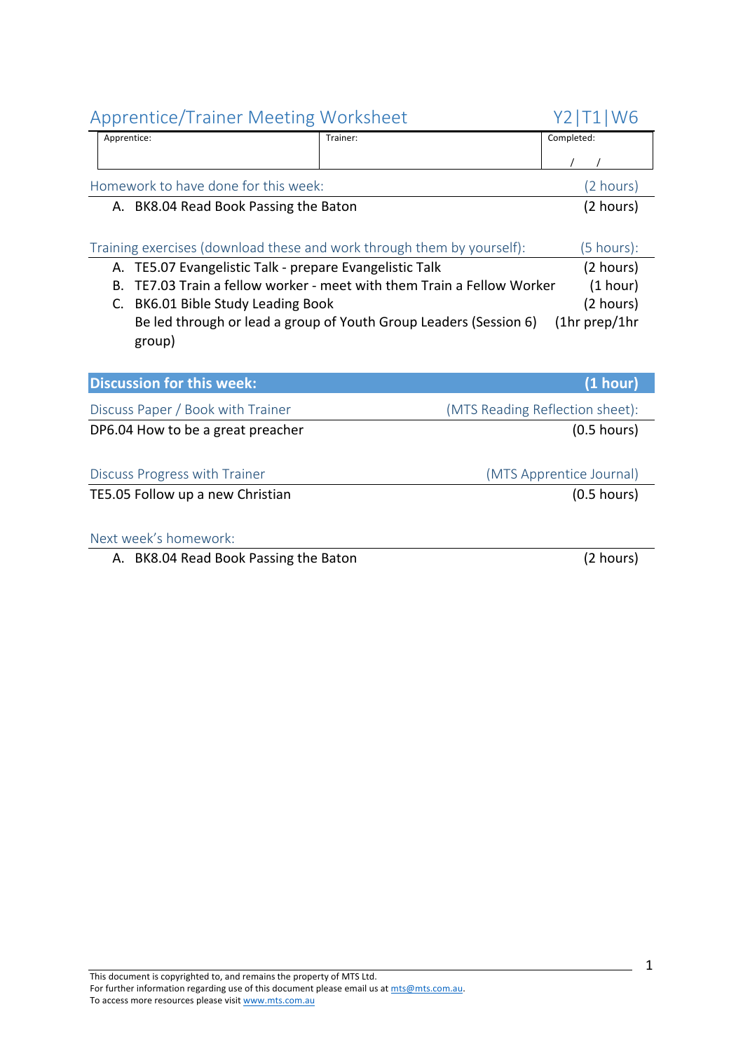# Apprentice/Trainer Meeting Worksheet Y2|T1|W6 Apprentice: Trainer: Completed:  $\frac{1}{1}$ Homework to have done for this week: (2 hours) A. BK8.04 Read Book Passing the Baton (2 hours) Training exercises (download these and work through them by yourself): (5 hours): A. TE5.07 Evangelistic Talk - prepare Evangelistic Talk (2 hours) B. TE7.03 Train a fellow worker - meet with them Train a Fellow Worker (1 hour) C. BK6.01 Bible Study Leading Book (2 hours) Be led through or lead a group of Youth Group Leaders (Session 6) (1hr prep/1hr group) **Discussion for this week: (1 hour) (1 hour)** Discuss Paper / Book with Trainer (MTS Reading Reflection sheet): DP6.04 How to be a great preacher (0.5 hours) Discuss Progress with Trainer (MTS Apprentice Journal) TE5.05 Follow up a new Christian (0.5 hours)

#### Next week's homework:

A. BK8.04 Read Book Passing the Baton (2 hours)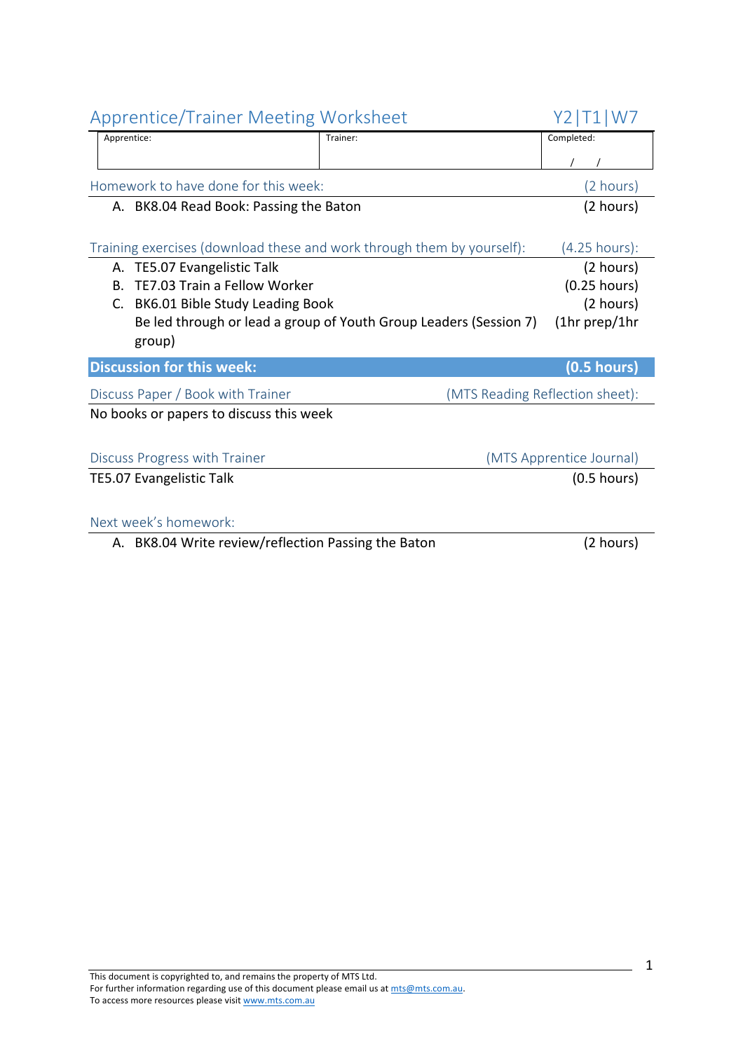| <b>Apprentice/Trainer Meeting Worksheet</b>                            |                                                                   | Y2   T1   W7                    |
|------------------------------------------------------------------------|-------------------------------------------------------------------|---------------------------------|
| Apprentice:                                                            | Trainer:                                                          | Completed:                      |
|                                                                        |                                                                   |                                 |
| Homework to have done for this week:                                   |                                                                   | (2 hours)                       |
| A. BK8.04 Read Book: Passing the Baton                                 |                                                                   | (2 hours)                       |
|                                                                        |                                                                   |                                 |
| Training exercises (download these and work through them by yourself): |                                                                   | $(4.25$ hours):                 |
| TE5.07 Evangelistic Talk<br>А.                                         |                                                                   | (2 hours)                       |
| TE7.03 Train a Fellow Worker<br>Β.                                     |                                                                   | $(0.25$ hours)                  |
| BK6.01 Bible Study Leading Book<br>C.                                  |                                                                   | (2 hours)                       |
|                                                                        | Be led through or lead a group of Youth Group Leaders (Session 7) | $(1hr$ prep/1hr                 |
| group)                                                                 |                                                                   |                                 |
| <b>Discussion for this week:</b>                                       |                                                                   | $(0.5$ hours)                   |
| Discuss Paper / Book with Trainer                                      |                                                                   | (MTS Reading Reflection sheet): |
| No books or papers to discuss this week                                |                                                                   |                                 |
|                                                                        |                                                                   |                                 |
| Discuss Progress with Trainer                                          |                                                                   | (MTS Apprentice Journal)        |
| <b>TE5.07 Evangelistic Talk</b>                                        |                                                                   | $(0.5$ hours)                   |
|                                                                        |                                                                   |                                 |
| Next week's homework:                                                  |                                                                   |                                 |
| A. BK8.04 Write review/reflection Passing the Baton                    |                                                                   | (2 hours)                       |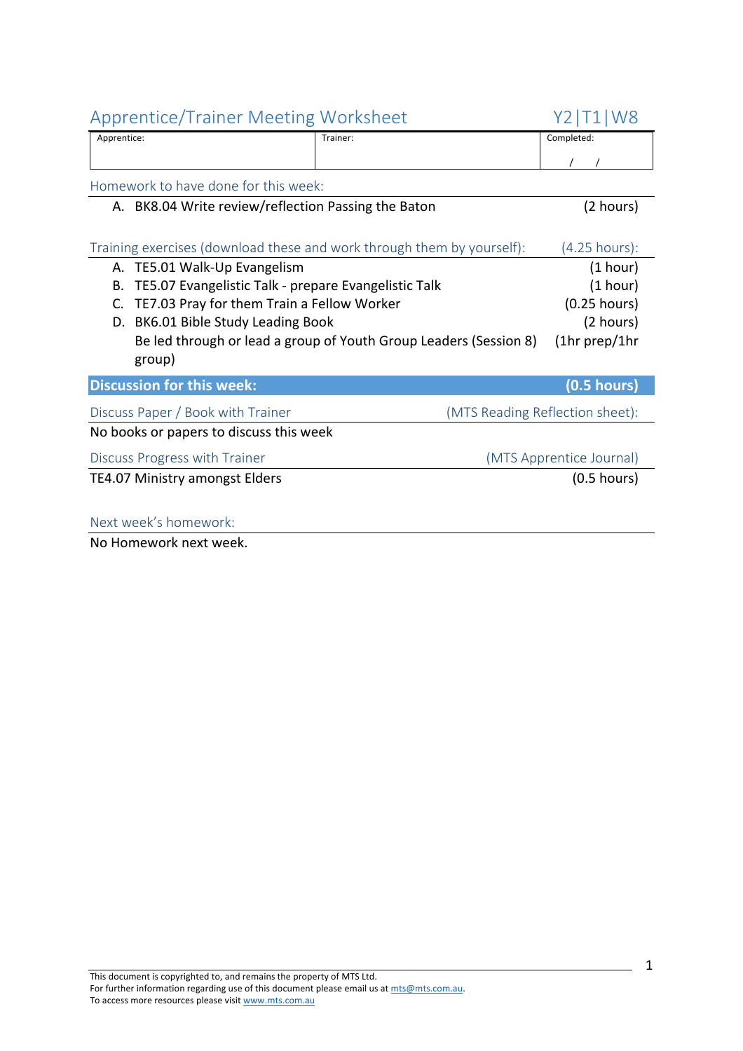| <b>Apprentice/Trainer Meeting Worksheet</b>                            |                                                                   | Y2   T1   W8                    |
|------------------------------------------------------------------------|-------------------------------------------------------------------|---------------------------------|
| Apprentice:                                                            | Trainer:                                                          | Completed:                      |
|                                                                        |                                                                   |                                 |
| Homework to have done for this week:                                   |                                                                   |                                 |
| A. BK8.04 Write review/reflection Passing the Baton                    |                                                                   | (2 hours)                       |
|                                                                        |                                                                   |                                 |
| Training exercises (download these and work through them by yourself): |                                                                   | $(4.25$ hours):                 |
| A. TE5.01 Walk-Up Evangelism                                           |                                                                   | (1 hour)                        |
| TE5.07 Evangelistic Talk - prepare Evangelistic Talk<br>В.             |                                                                   | (1 hour)                        |
| TE7.03 Pray for them Train a Fellow Worker<br>C.                       |                                                                   | $(0.25$ hours)                  |
| BK6.01 Bible Study Leading Book<br>D.                                  |                                                                   | (2 hours)                       |
|                                                                        | Be led through or lead a group of Youth Group Leaders (Session 8) | $(1hr$ prep/1hr                 |
| group)                                                                 |                                                                   |                                 |
| <b>Discussion for this week:</b>                                       |                                                                   | $(0.5$ hours)                   |
| Discuss Paper / Book with Trainer                                      |                                                                   | (MTS Reading Reflection sheet): |
| No books or papers to discuss this week                                |                                                                   |                                 |
| Discuss Progress with Trainer                                          |                                                                   | (MTS Apprentice Journal)        |
| <b>TE4.07 Ministry amongst Elders</b>                                  |                                                                   | $(0.5$ hours)                   |
|                                                                        |                                                                   |                                 |
| Next week's homework:                                                  |                                                                   |                                 |

No Homework next week.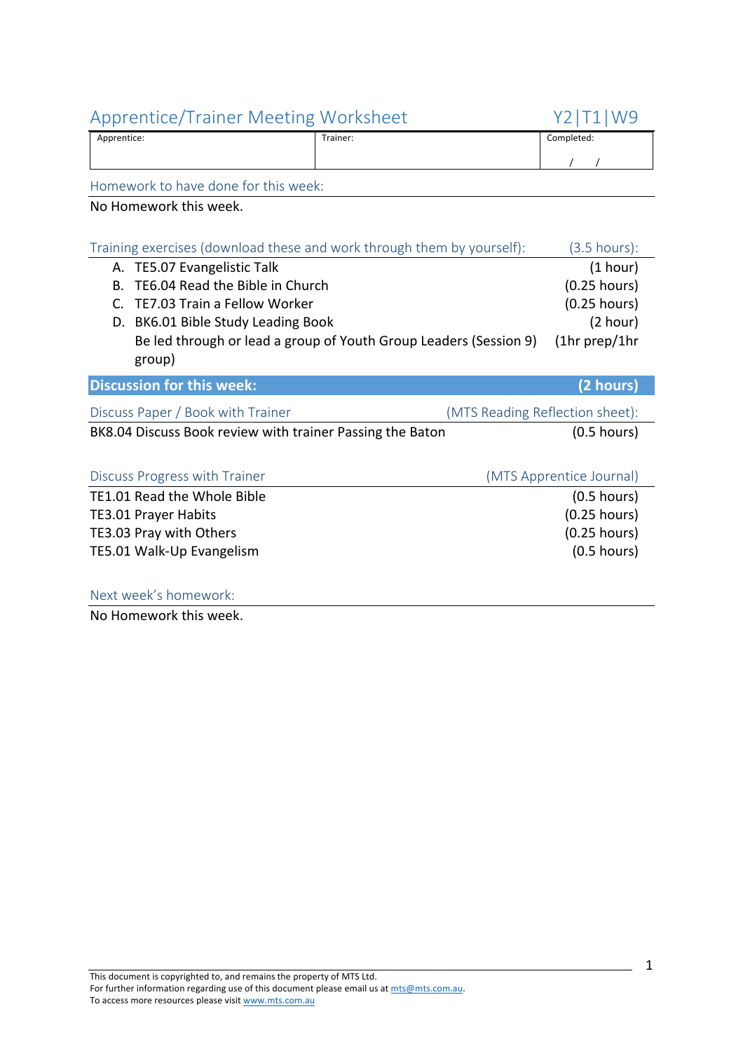| Apprentice: | Trainer:<br>. | Completed: |
|-------------|---------------|------------|
|             |               |            |

Homework to have done for this week:

No Homework this week.

|    | Training exercises (download these and work through them by yourself): |                                 | (3.5 hours):             |
|----|------------------------------------------------------------------------|---------------------------------|--------------------------|
|    | A. TE5.07 Evangelistic Talk                                            |                                 | (1 hour)                 |
| В. | TE6.04 Read the Bible in Church                                        |                                 | $(0.25$ hours)           |
| C. | <b>TE7.03 Train a Fellow Worker</b>                                    |                                 | $(0.25$ hours)           |
|    | D. BK6.01 Bible Study Leading Book                                     |                                 | (2 hour)                 |
|    | Be led through or lead a group of Youth Group Leaders (Session 9)      |                                 | $(1hr$ prep/1hr          |
|    | group)                                                                 |                                 |                          |
|    | <b>Discussion for this week:</b>                                       |                                 | (2 hours)                |
|    | Discuss Paper / Book with Trainer                                      | (MTS Reading Reflection sheet): |                          |
|    | BK8.04 Discuss Book review with trainer Passing the Baton              |                                 | $(0.5$ hours)            |
|    |                                                                        |                                 |                          |
|    | Discuss Progress with Trainer                                          |                                 | (MTS Apprentice Journal) |
|    | TE1.01 Read the Whole Bible                                            |                                 | $(0.5$ hours)            |
|    |                                                                        |                                 |                          |
|    | <b>TE3.01 Prayer Habits</b>                                            |                                 | $(0.25$ hours)           |
|    | TE3.03 Pray with Others                                                |                                 | $(0.25$ hours)           |
|    | TE5.01 Walk-Up Evangelism                                              |                                 | $(0.5$ hours)            |

Next week's homework:

No Homework this week.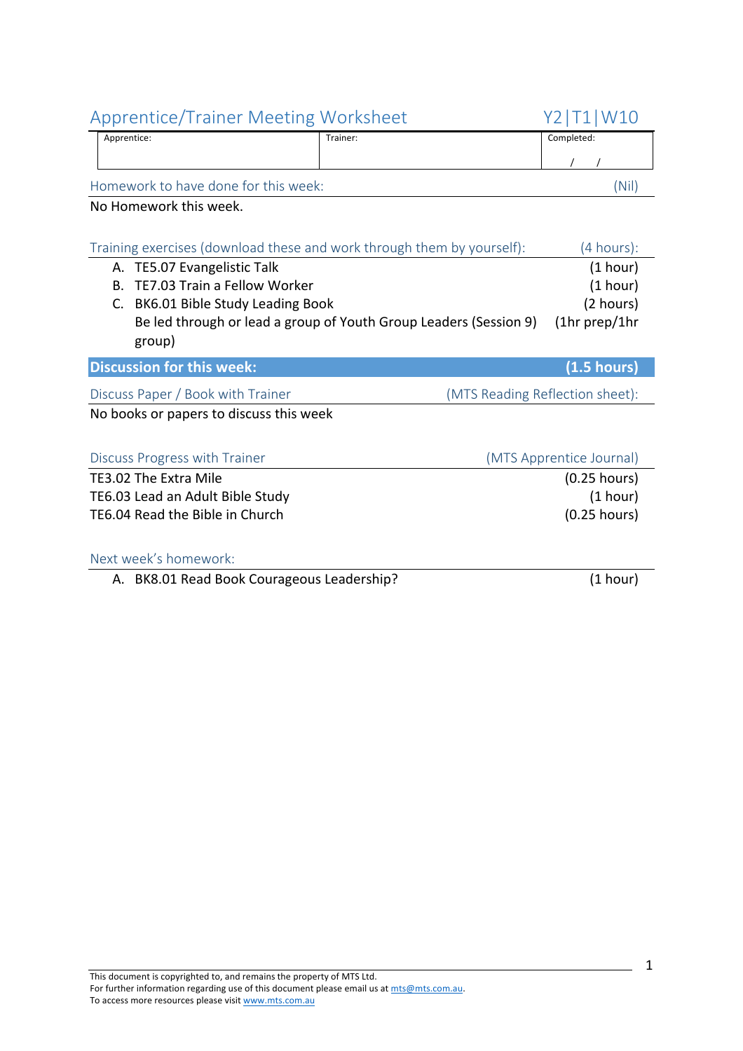| <b>Apprentice/Trainer Meeting Worksheet</b>                            |                                                                   | Y2   T1   W10                   |
|------------------------------------------------------------------------|-------------------------------------------------------------------|---------------------------------|
| Apprentice:                                                            | Trainer:                                                          | Completed:                      |
|                                                                        |                                                                   |                                 |
| Homework to have done for this week:                                   |                                                                   | (Nil)                           |
| No Homework this week.                                                 |                                                                   |                                 |
|                                                                        |                                                                   |                                 |
| Training exercises (download these and work through them by yourself): |                                                                   | (4 hours):                      |
| A. TE5.07 Evangelistic Talk                                            |                                                                   | (1 hour)                        |
| TE7.03 Train a Fellow Worker<br><b>B.</b>                              |                                                                   | (1 hour)                        |
| BK6.01 Bible Study Leading Book<br>C.                                  |                                                                   | (2 hours)                       |
|                                                                        | Be led through or lead a group of Youth Group Leaders (Session 9) | (1hr prep/1hr                   |
| group)                                                                 |                                                                   |                                 |
| <b>Discussion for this week:</b>                                       |                                                                   | (1.5 hours)                     |
| Discuss Paper / Book with Trainer                                      |                                                                   | (MTS Reading Reflection sheet): |
| No books or papers to discuss this week                                |                                                                   |                                 |
|                                                                        |                                                                   |                                 |
| Discuss Progress with Trainer                                          |                                                                   | (MTS Apprentice Journal)        |
| TE3.02 The Extra Mile                                                  |                                                                   | $(0.25$ hours)                  |
| TE6.03 Lead an Adult Bible Study                                       |                                                                   | (1 hour)                        |
| TE6.04 Read the Bible in Church                                        |                                                                   | $(0.25$ hours)                  |
|                                                                        |                                                                   |                                 |
| Next week's homework:                                                  |                                                                   |                                 |

A. BK8.01 Read Book Courageous Leadership? (1 hour)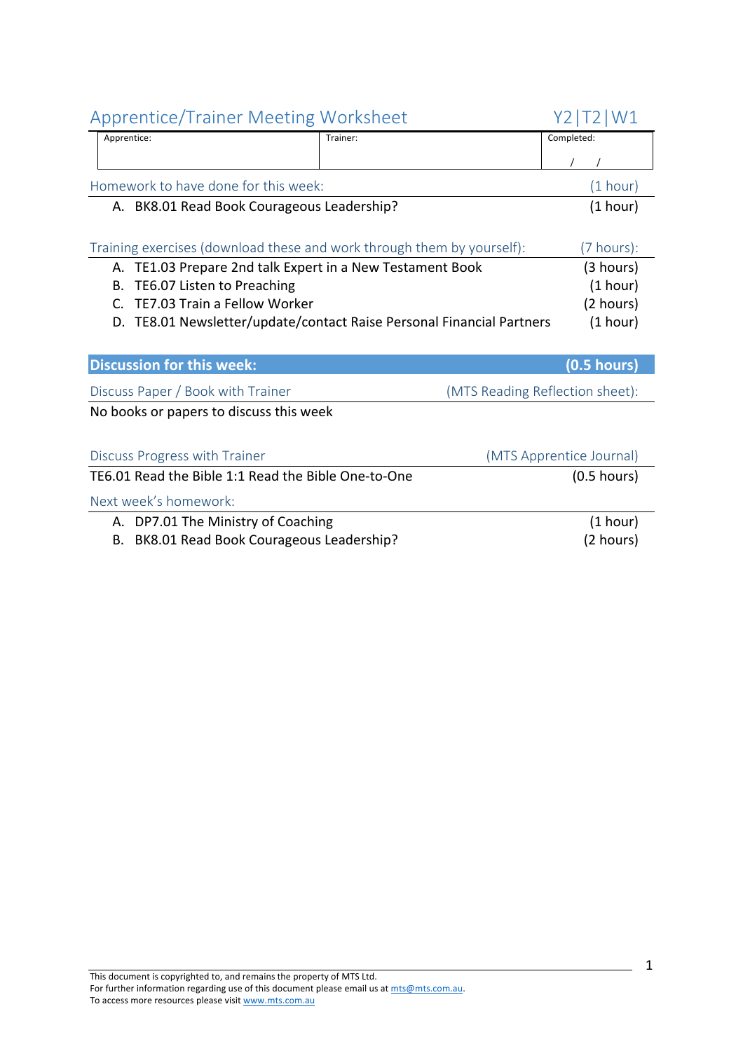| <b>Apprentice/Trainer Meeting Worksheet</b>                              |          | Y2 I T<br><sup>-</sup> 2   W1   |
|--------------------------------------------------------------------------|----------|---------------------------------|
| Apprentice:                                                              | Trainer: | Completed:                      |
|                                                                          |          |                                 |
| Homework to have done for this week:                                     |          | (1 hour)                        |
| A. BK8.01 Read Book Courageous Leadership?                               |          | (1 hour)                        |
| Training exercises (download these and work through them by yourself):   |          | (7 hours):                      |
| TE1.03 Prepare 2nd talk Expert in a New Testament Book<br>А.             |          | (3 hours)                       |
| TE6.07 Listen to Preaching<br>В.                                         |          | (1 hour)                        |
| TE7.03 Train a Fellow Worker<br>C.                                       |          | (2 hours)                       |
| TE8.01 Newsletter/update/contact Raise Personal Financial Partners<br>D. |          | (1 hour)                        |
|                                                                          |          |                                 |
| <b>Discussion for this week:</b>                                         |          | $(0.5$ hours)                   |
| Discuss Paper / Book with Trainer                                        |          | (MTS Reading Reflection sheet): |
| No books or papers to discuss this week                                  |          |                                 |
|                                                                          |          |                                 |
| Discuss Progress with Trainer                                            |          | (MTS Apprentice Journal)        |
| TE6.01 Read the Bible 1:1 Read the Bible One-to-One                      |          | $(0.5$ hours)                   |
| Next week's homework:                                                    |          |                                 |
| A. DP7.01 The Ministry of Coaching                                       |          | (1 hour)                        |
| BK8.01 Read Book Courageous Leadership?<br>В.                            |          | (2 hours)                       |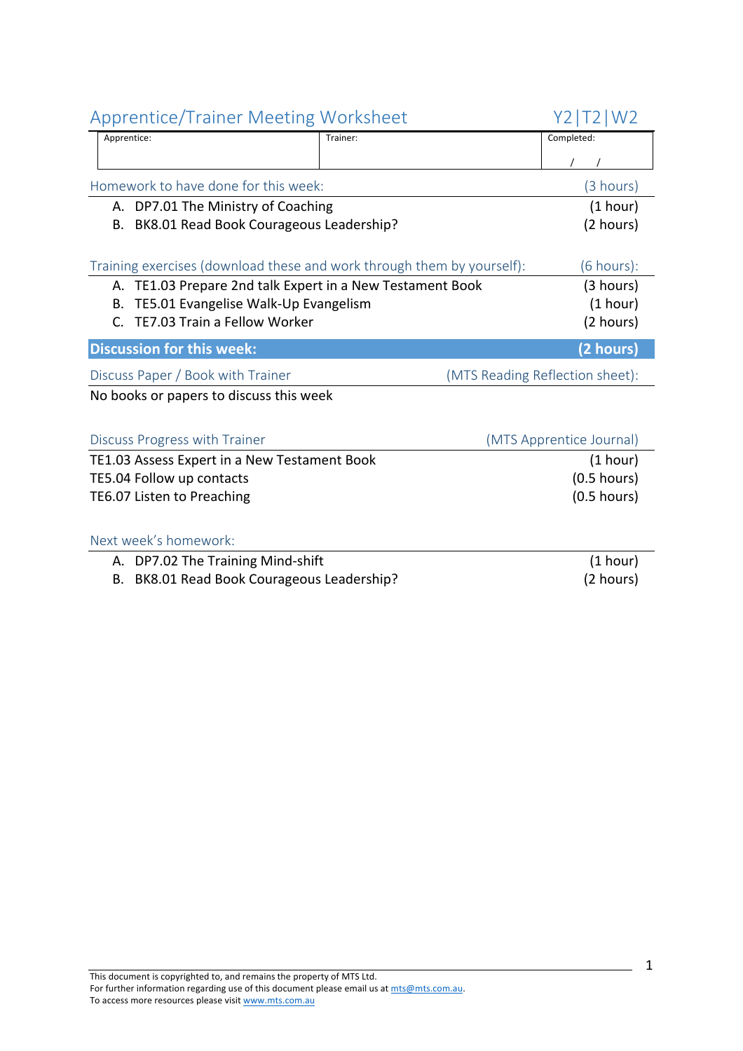| <b>Apprentice/Trainer Meeting Worksheet</b>                            |          | Y2   T2   W2                    |
|------------------------------------------------------------------------|----------|---------------------------------|
| Apprentice:                                                            | Trainer: | Completed:                      |
|                                                                        |          |                                 |
| Homework to have done for this week:                                   |          | (3 hours)                       |
| A. DP7.01 The Ministry of Coaching                                     |          | (1 hour)                        |
| BK8.01 Read Book Courageous Leadership?<br>В.                          |          | (2 hours)                       |
|                                                                        |          |                                 |
| Training exercises (download these and work through them by yourself): |          | $(6 \text{ hours})$ :           |
| A. TE1.03 Prepare 2nd talk Expert in a New Testament Book              |          | (3 hours)                       |
| TE5.01 Evangelise Walk-Up Evangelism<br>В.                             |          | (1 hour)                        |
| TE7.03 Train a Fellow Worker<br>$\mathsf{C}$                           |          | (2 hours)                       |
| <b>Discussion for this week:</b>                                       |          | (2 hours)                       |
| Discuss Paper / Book with Trainer                                      |          | (MTS Reading Reflection sheet): |
| No books or papers to discuss this week                                |          |                                 |
|                                                                        |          |                                 |
| Discuss Progress with Trainer                                          |          | (MTS Apprentice Journal)        |
| TE1.03 Assess Expert in a New Testament Book                           |          | (1 hour)                        |
| TE5.04 Follow up contacts                                              |          | $(0.5$ hours)                   |
| TE6.07 Listen to Preaching                                             |          | $(0.5$ hours)                   |
|                                                                        |          |                                 |
|                                                                        |          |                                 |
| Next week's homework:                                                  |          |                                 |

B. BK8.01 Read Book Courageous Leadership? (2 hours)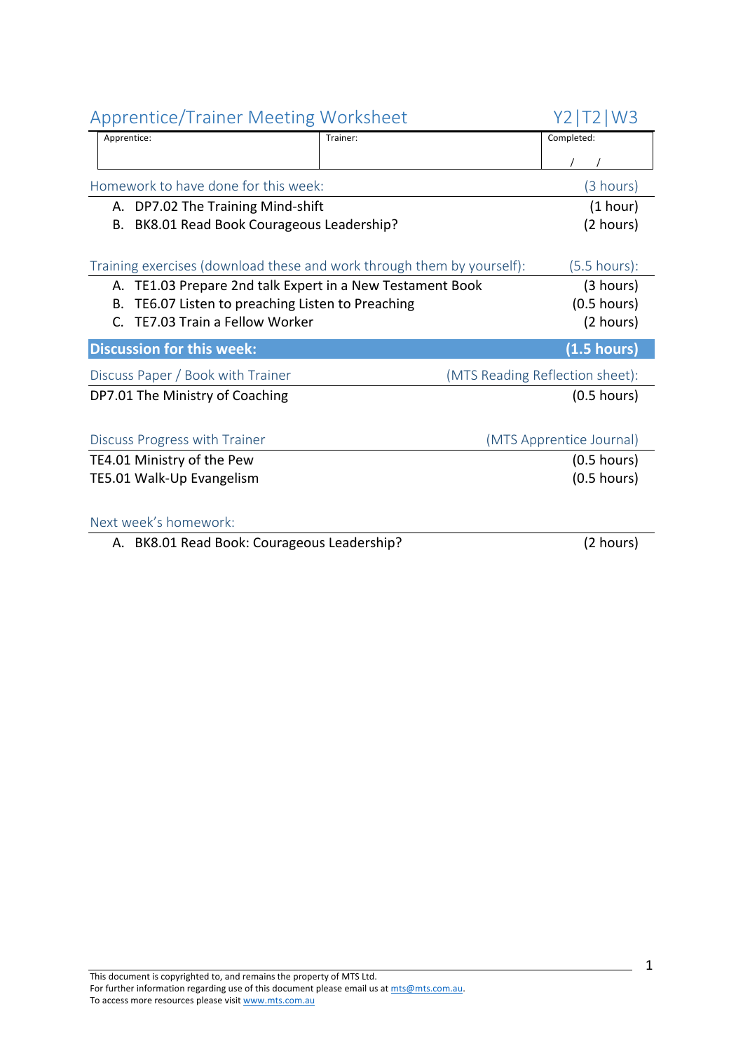| <b>Apprentice/Trainer Meeting Worksheet</b>                            |          | Y2.<br>T2 W3                    |
|------------------------------------------------------------------------|----------|---------------------------------|
| Apprentice:                                                            | Trainer: | Completed:                      |
|                                                                        |          |                                 |
| Homework to have done for this week:                                   |          | (3 hours)                       |
| A. DP7.02 The Training Mind-shift                                      |          | (1 hour)                        |
| BK8.01 Read Book Courageous Leadership?<br>В.                          |          | (2 hours)                       |
|                                                                        |          |                                 |
| Training exercises (download these and work through them by yourself): |          | $(5.5 \text{ hours})$ :         |
| A. TE1.03 Prepare 2nd talk Expert in a New Testament Book              |          | (3 hours)                       |
| TE6.07 Listen to preaching Listen to Preaching<br>В.                   |          | $(0.5$ hours)                   |
| TE7.03 Train a Fellow Worker<br>C.                                     |          | (2 hours)                       |
| <b>Discussion for this week:</b>                                       |          | (1.5 hours)                     |
| Discuss Paper / Book with Trainer                                      |          | (MTS Reading Reflection sheet): |
| DP7.01 The Ministry of Coaching                                        |          | $(0.5$ hours)                   |
|                                                                        |          |                                 |
| Discuss Progress with Trainer                                          |          | (MTS Apprentice Journal)        |
| TE4.01 Ministry of the Pew                                             |          | $(0.5$ hours)                   |
| TE5.01 Walk-Up Evangelism                                              |          | $(0.5$ hours)                   |
| Next week's homework:                                                  |          |                                 |
| A. BK8.01 Read Book: Courageous Leadership?                            |          | (2 hours)                       |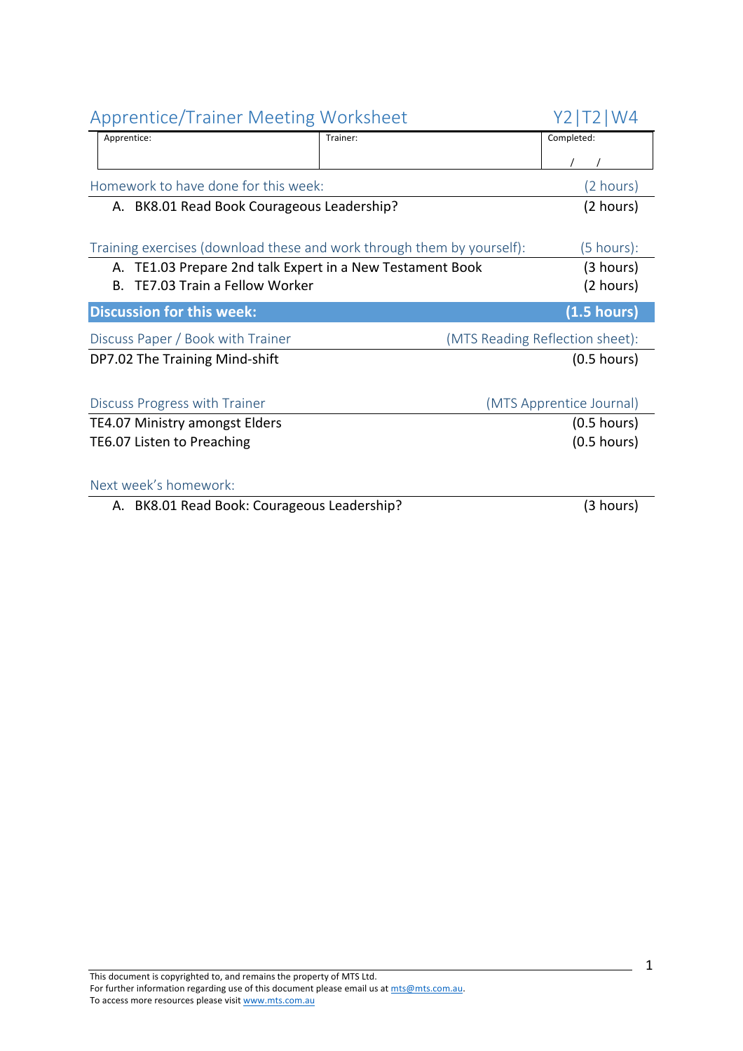| <b>Apprentice/Trainer Meeting Worksheet</b>                                                                                                                                                                                  | Y2.<br>$\mathsf{W}4$ |                                 |
|------------------------------------------------------------------------------------------------------------------------------------------------------------------------------------------------------------------------------|----------------------|---------------------------------|
| Apprentice:                                                                                                                                                                                                                  | Trainer:             | Completed:                      |
|                                                                                                                                                                                                                              |                      |                                 |
| Homework to have done for this week:                                                                                                                                                                                         |                      | (2 hours)                       |
| A. BK8.01 Read Book Courageous Leadership?                                                                                                                                                                                   |                      | (2 hours)                       |
| Training exercises (download these and work through them by yourself):<br>$(5 \text{ hours})$ :<br>A. TE1.03 Prepare 2nd talk Expert in a New Testament Book<br>(3 hours)<br>TE7.03 Train a Fellow Worker<br>(2 hours)<br>B. |                      |                                 |
| <b>Discussion for this week:</b>                                                                                                                                                                                             |                      | $(1.5 \text{ hours})$           |
| Discuss Paper / Book with Trainer                                                                                                                                                                                            |                      | (MTS Reading Reflection sheet): |
| DP7.02 The Training Mind-shift                                                                                                                                                                                               |                      | $(0.5$ hours)                   |
| Discuss Progress with Trainer                                                                                                                                                                                                |                      | (MTS Apprentice Journal)        |
| <b>TE4.07 Ministry amongst Elders</b>                                                                                                                                                                                        |                      | $(0.5$ hours)                   |
| TE6.07 Listen to Preaching                                                                                                                                                                                                   |                      | $(0.5$ hours)                   |
| Next week's homework:                                                                                                                                                                                                        |                      |                                 |
| A. BK8.01 Read Book: Courageous Leadership?                                                                                                                                                                                  |                      | (3 hours)                       |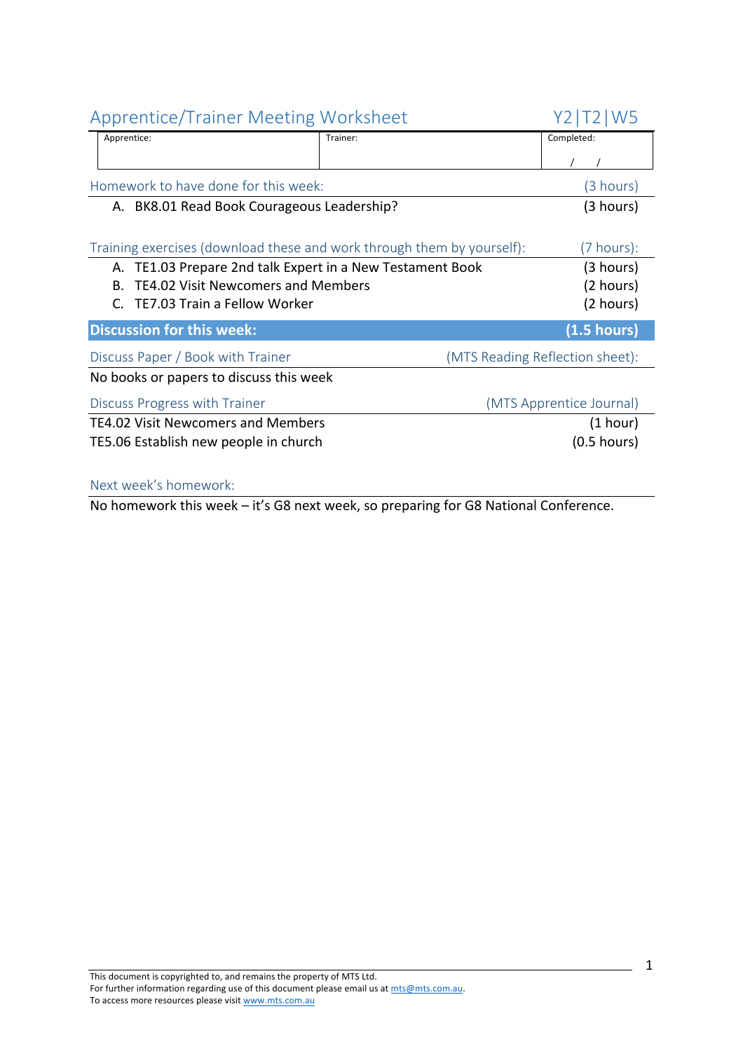| <b>Apprentice/Trainer Meeting Worksheet</b>                            |          | Y2   T2   W5                    |
|------------------------------------------------------------------------|----------|---------------------------------|
| Apprentice:                                                            | Trainer: | Completed:                      |
|                                                                        |          |                                 |
| Homework to have done for this week:                                   |          | (3 hours)                       |
| A. BK8.01 Read Book Courageous Leadership?                             |          | (3 hours)                       |
|                                                                        |          |                                 |
| Training exercises (download these and work through them by yourself): |          | (7 hours):                      |
| TE1.03 Prepare 2nd talk Expert in a New Testament Book<br>А.           |          | (3 hours)                       |
| <b>TE4.02 Visit Newcomers and Members</b><br>B.                        |          | (2 hours)                       |
| TE7.03 Train a Fellow Worker                                           |          | (2 hours)                       |
| <b>Discussion for this week:</b>                                       |          | $(1.5 \text{ hours})$           |
| Discuss Paper / Book with Trainer                                      |          | (MTS Reading Reflection sheet): |
| No books or papers to discuss this week                                |          |                                 |
| Discuss Progress with Trainer                                          |          | (MTS Apprentice Journal)        |
| TE4.02 Visit Newcomers and Members                                     |          | (1 hour)                        |
| TE5.06 Establish new people in church                                  |          | $(0.5$ hours)                   |
|                                                                        |          |                                 |

#### Next week's homework:

No homework this week – it's G8 next week, so preparing for G8 National Conference.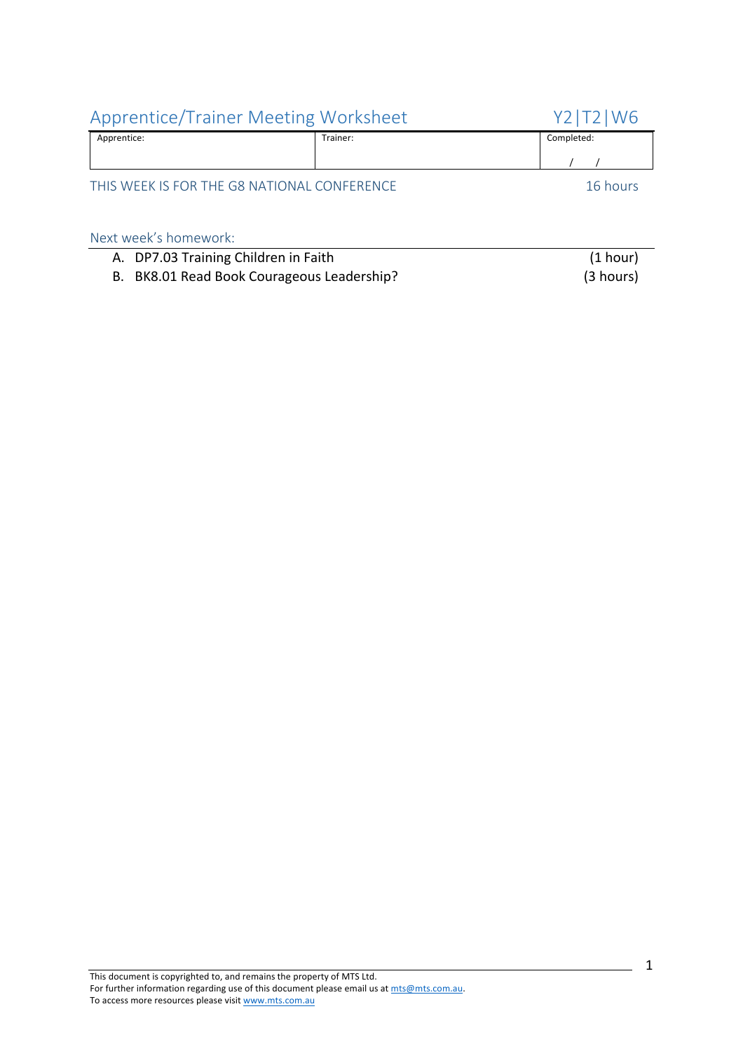| <b>Apprentice/Trainer Meeting Worksheet</b> |          | Y2   T2   W6 |
|---------------------------------------------|----------|--------------|
| Apprentice:                                 | Trainer: | Completed:   |
|                                             |          |              |
| THIS WEEK IS FOR THE G8 NATIONAL CONFERENCE |          | 16 hours     |
| Next week's homework:                       |          |              |

| A. DP7.03 Training Children in Faith       | (1 hour)  |
|--------------------------------------------|-----------|
| B. BK8.01 Read Book Courageous Leadership? | (3 hours) |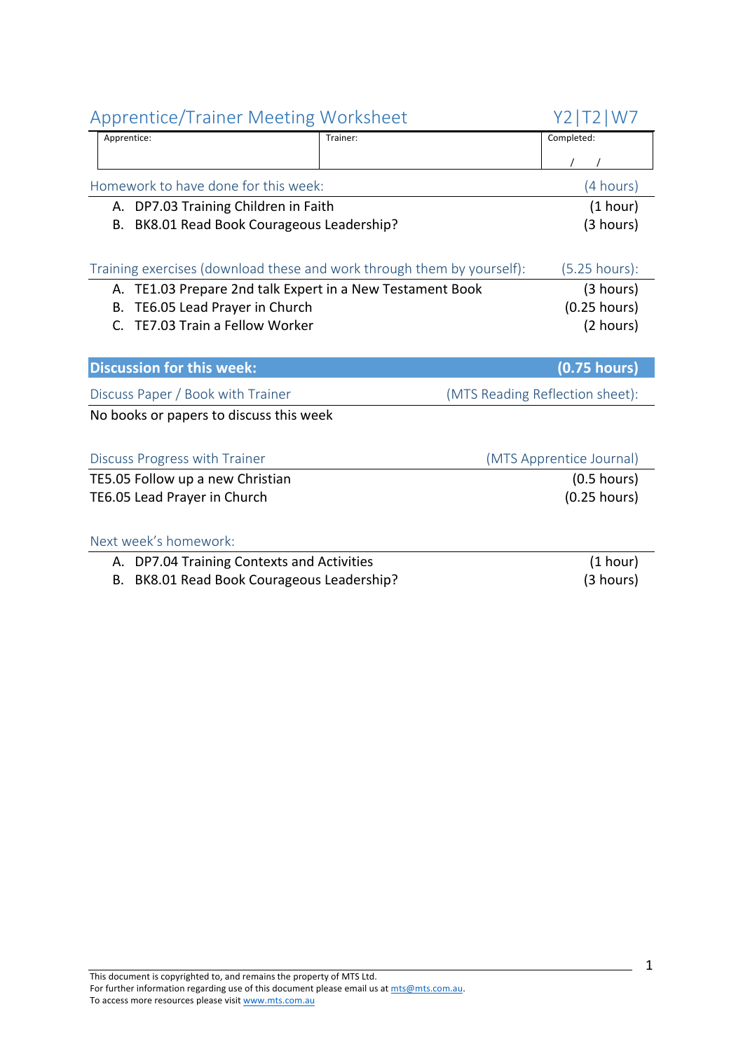| <b>Apprentice/Trainer Meeting Worksheet</b>                            |          | Y2   T2   W7                    |
|------------------------------------------------------------------------|----------|---------------------------------|
| Apprentice:                                                            | Trainer: | Completed:                      |
|                                                                        |          |                                 |
| Homework to have done for this week:                                   |          | (4 hours)                       |
| A. DP7.03 Training Children in Faith                                   |          | (1 hour)                        |
| BK8.01 Read Book Courageous Leadership?<br>В.                          |          | (3 hours)                       |
|                                                                        |          |                                 |
| Training exercises (download these and work through them by yourself): |          | $(5.25$ hours):                 |
| A. TE1.03 Prepare 2nd talk Expert in a New Testament Book              |          | (3 hours)                       |
| TE6.05 Lead Prayer in Church<br>В.                                     |          | $(0.25$ hours)                  |
| TE7.03 Train a Fellow Worker<br>C.                                     |          | (2 hours)                       |
|                                                                        |          |                                 |
| <b>Discussion for this week:</b>                                       |          | $(0.75$ hours)                  |
| Discuss Paper / Book with Trainer                                      |          | (MTS Reading Reflection sheet): |
| No books or papers to discuss this week                                |          |                                 |
|                                                                        |          |                                 |
| Discuss Progress with Trainer                                          |          | (MTS Apprentice Journal)        |
| TE5.05 Follow up a new Christian                                       |          | $(0.5$ hours)                   |
| TE6.05 Lead Prayer in Church                                           |          | $(0.25$ hours)                  |
|                                                                        |          |                                 |
| Next week's homework:                                                  |          |                                 |
| A. DP7.04 Training Contexts and Activities                             |          | (1 hour)                        |
|                                                                        |          | $\sqrt{2}$ $\sqrt{2}$           |

B. BK8.01 Read Book Courageous Leadership? (3 hours)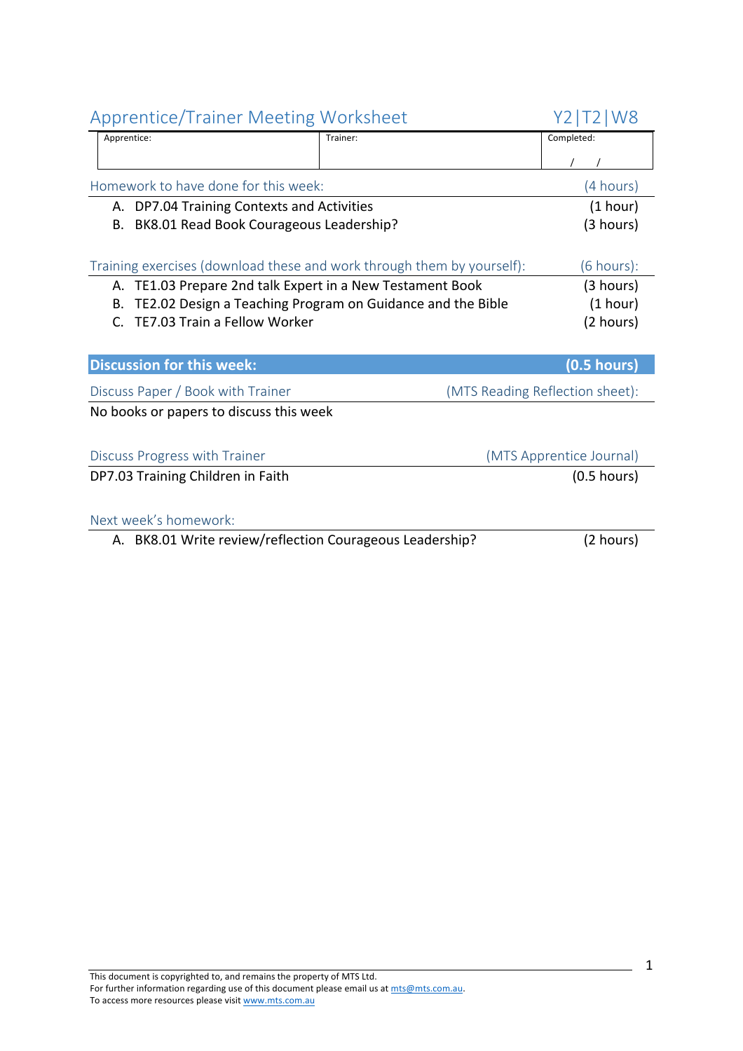| <b>Apprentice/Trainer Meeting Worksheet</b>              |                                                                        | Y2   T2   W8                    |
|----------------------------------------------------------|------------------------------------------------------------------------|---------------------------------|
| Apprentice:                                              | Trainer:                                                               | Completed:                      |
|                                                          |                                                                        |                                 |
| Homework to have done for this week:                     |                                                                        | (4 hours)                       |
| A. DP7.04 Training Contexts and Activities               |                                                                        | (1 hour)                        |
| B. BK8.01 Read Book Courageous Leadership?               |                                                                        | (3 hours)                       |
|                                                          |                                                                        |                                 |
|                                                          | Training exercises (download these and work through them by yourself): | (6 hours):                      |
| А.                                                       | TE1.03 Prepare 2nd talk Expert in a New Testament Book                 | (3 hours)                       |
| В.                                                       | TE2.02 Design a Teaching Program on Guidance and the Bible             | (1 hour)                        |
| TE7.03 Train a Fellow Worker<br>C.                       |                                                                        | (2 hours)                       |
|                                                          |                                                                        |                                 |
| <b>Discussion for this week:</b>                         |                                                                        | $(0.5$ hours)                   |
| Discuss Paper / Book with Trainer                        |                                                                        | (MTS Reading Reflection sheet): |
| No books or papers to discuss this week                  |                                                                        |                                 |
|                                                          |                                                                        |                                 |
| Discuss Progress with Trainer                            |                                                                        | (MTS Apprentice Journal)        |
| DP7.03 Training Children in Faith                        |                                                                        | $(0.5$ hours)                   |
|                                                          |                                                                        |                                 |
| Next week's homework:                                    |                                                                        |                                 |
| A. BK8.01 Write review/reflection Courageous Leadership? |                                                                        | (2 hours)                       |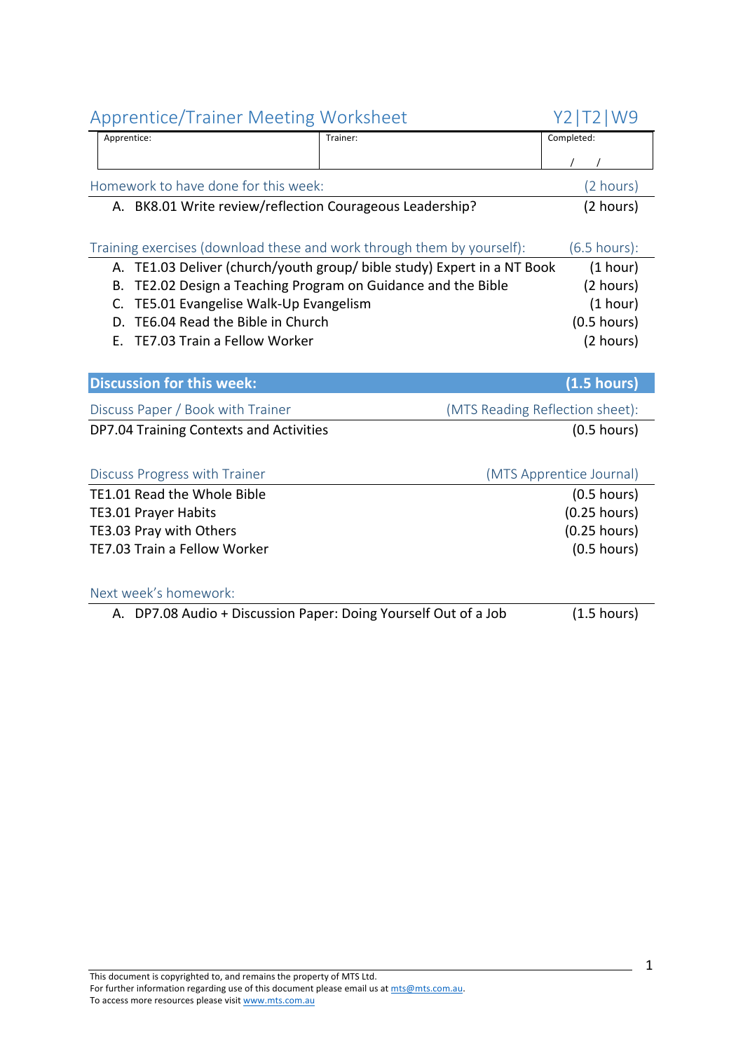| <b>Apprentice/Trainer Meeting Worksheet</b>                            |                                                                         | Y2   T2   W9                    |
|------------------------------------------------------------------------|-------------------------------------------------------------------------|---------------------------------|
| Apprentice:                                                            | Trainer:                                                                | Completed:                      |
|                                                                        |                                                                         |                                 |
| Homework to have done for this week:                                   |                                                                         | (2 hours)                       |
| A. BK8.01 Write review/reflection Courageous Leadership?               |                                                                         | (2 hours)                       |
|                                                                        |                                                                         |                                 |
| Training exercises (download these and work through them by yourself): |                                                                         | $(6.5$ hours):                  |
|                                                                        | A. TE1.03 Deliver (church/youth group/ bible study) Expert in a NT Book | (1 hour)                        |
| В.                                                                     | TE2.02 Design a Teaching Program on Guidance and the Bible              | (2 hours)                       |
| TE5.01 Evangelise Walk-Up Evangelism<br>C.                             |                                                                         | (1 hour)                        |
| TE6.04 Read the Bible in Church<br>D.                                  |                                                                         | $(0.5$ hours)                   |
| TE7.03 Train a Fellow Worker<br>Е.                                     |                                                                         | (2 hours)                       |
|                                                                        |                                                                         |                                 |
|                                                                        |                                                                         |                                 |
| <b>Discussion for this week:</b>                                       |                                                                         | (1.5 hours)                     |
| Discuss Paper / Book with Trainer                                      |                                                                         | (MTS Reading Reflection sheet): |
| DP7.04 Training Contexts and Activities                                |                                                                         | $(0.5$ hours)                   |
|                                                                        |                                                                         |                                 |
| Discuss Progress with Trainer                                          |                                                                         | (MTS Apprentice Journal)        |
| TE1.01 Read the Whole Bible                                            |                                                                         | $(0.5$ hours)                   |
| TE3.01 Prayer Habits                                                   |                                                                         | $(0.25$ hours)                  |
| TE3.03 Pray with Others                                                |                                                                         | $(0.25$ hours)                  |
| TE7.03 Train a Fellow Worker                                           |                                                                         | $(0.5$ hours)                   |
|                                                                        |                                                                         |                                 |
| Next week's homework:                                                  |                                                                         |                                 |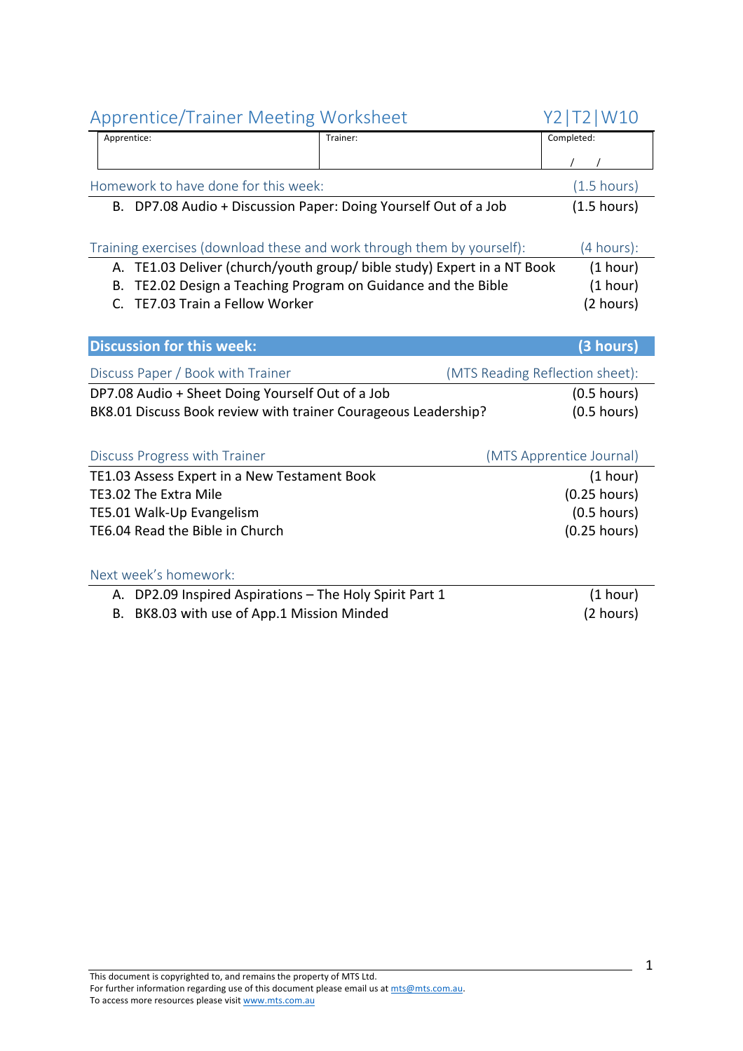| <b>Apprentice/Trainer Meeting Worksheet</b>                    |                                                                         | Y2   T2   W10                   |
|----------------------------------------------------------------|-------------------------------------------------------------------------|---------------------------------|
| Apprentice:                                                    | Trainer:                                                                | Completed:                      |
|                                                                |                                                                         |                                 |
| Homework to have done for this week:                           |                                                                         | $(1.5 \text{ hours})$           |
|                                                                | B. DP7.08 Audio + Discussion Paper: Doing Yourself Out of a Job         | (1.5 hours)                     |
|                                                                |                                                                         |                                 |
|                                                                | Training exercises (download these and work through them by yourself):  | (4 hours):                      |
|                                                                | A. TE1.03 Deliver (church/youth group/ bible study) Expert in a NT Book | (1 hour)                        |
| В.                                                             | TE2.02 Design a Teaching Program on Guidance and the Bible              | (1 hour)                        |
| TE7.03 Train a Fellow Worker<br>$\mathsf{C}$                   |                                                                         | (2 hours)                       |
|                                                                |                                                                         |                                 |
| <b>Discussion for this week:</b>                               |                                                                         | (3 hours)                       |
| Discuss Paper / Book with Trainer                              |                                                                         | (MTS Reading Reflection sheet): |
| DP7.08 Audio + Sheet Doing Yourself Out of a Job               |                                                                         | $(0.5$ hours)                   |
| BK8.01 Discuss Book review with trainer Courageous Leadership? |                                                                         | $(0.5$ hours)                   |
|                                                                |                                                                         |                                 |
| Discuss Progress with Trainer                                  |                                                                         | (MTS Apprentice Journal)        |
| TE1.03 Assess Expert in a New Testament Book                   |                                                                         | (1 hour)                        |
| TE3.02 The Extra Mile                                          |                                                                         | $(0.25$ hours)                  |
| TE5.01 Walk-Up Evangelism                                      |                                                                         | $(0.5$ hours)                   |
| TE6.04 Read the Bible in Church                                |                                                                         | $(0.25$ hours)                  |
|                                                                |                                                                         |                                 |
| Next week's homework:                                          |                                                                         |                                 |
| A. DP2.09 Inspired Aspirations - The Holy Spirit Part 1        |                                                                         | (1 hour)                        |
| BK8.03 with use of App.1 Mission Minded<br>В.                  |                                                                         | (2 hours)                       |
|                                                                |                                                                         |                                 |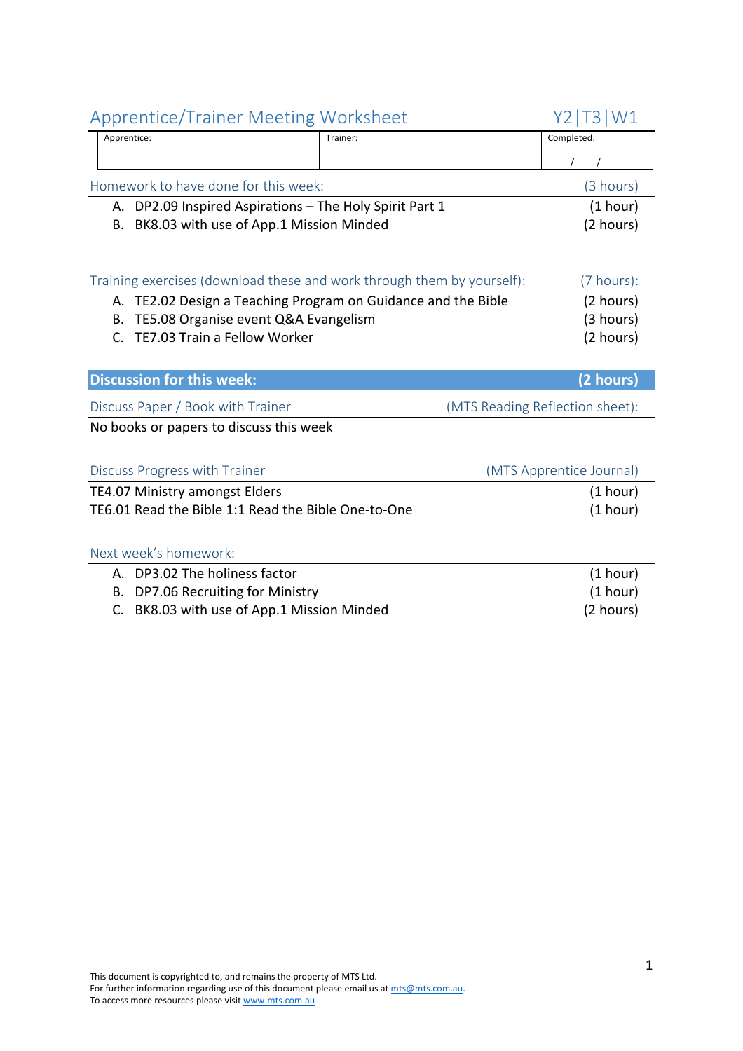| Apprentice: |                                                         | Trainer:                                                               | Completed:                      |
|-------------|---------------------------------------------------------|------------------------------------------------------------------------|---------------------------------|
|             |                                                         |                                                                        |                                 |
|             | Homework to have done for this week:                    |                                                                        | (3 hours)                       |
|             | A. DP2.09 Inspired Aspirations - The Holy Spirit Part 1 |                                                                        | (1 hour)                        |
| В.          | BK8.03 with use of App.1 Mission Minded                 |                                                                        | (2 hours)                       |
|             |                                                         |                                                                        |                                 |
|             |                                                         |                                                                        |                                 |
|             |                                                         | Training exercises (download these and work through them by yourself): | (7 hours):                      |
|             |                                                         | A. TE2.02 Design a Teaching Program on Guidance and the Bible          | (2 hours)                       |
| В.          | TE5.08 Organise event Q&A Evangelism                    |                                                                        | (3 hours)                       |
| $C_{\cdot}$ | TE7.03 Train a Fellow Worker                            |                                                                        | (2 hours)                       |
|             |                                                         |                                                                        |                                 |
|             | <b>Discussion for this week:</b>                        |                                                                        | (2 hours)                       |
|             | Discuss Paper / Book with Trainer                       |                                                                        | (MTS Reading Reflection sheet): |
|             | No books or papers to discuss this week                 |                                                                        |                                 |
|             |                                                         |                                                                        |                                 |
|             | Discuss Progress with Trainer                           |                                                                        | (MTS Apprentice Journal)        |
|             | <b>TE4.07 Ministry amongst Elders</b>                   |                                                                        | (1 hour)                        |
|             | TE6.01 Read the Bible 1:1 Read the Bible One-to-One     |                                                                        | (1 hour)                        |
|             |                                                         |                                                                        |                                 |
|             | Next week's homework:                                   |                                                                        |                                 |
|             | A. DP3.02 The holiness factor                           |                                                                        | (1 hour)                        |
| В.          | DP7.06 Recruiting for Ministry                          |                                                                        | (1 hour)                        |
| C.          | BK8.03 with use of App.1 Mission Minded                 |                                                                        | (2 hours)                       |
|             |                                                         |                                                                        |                                 |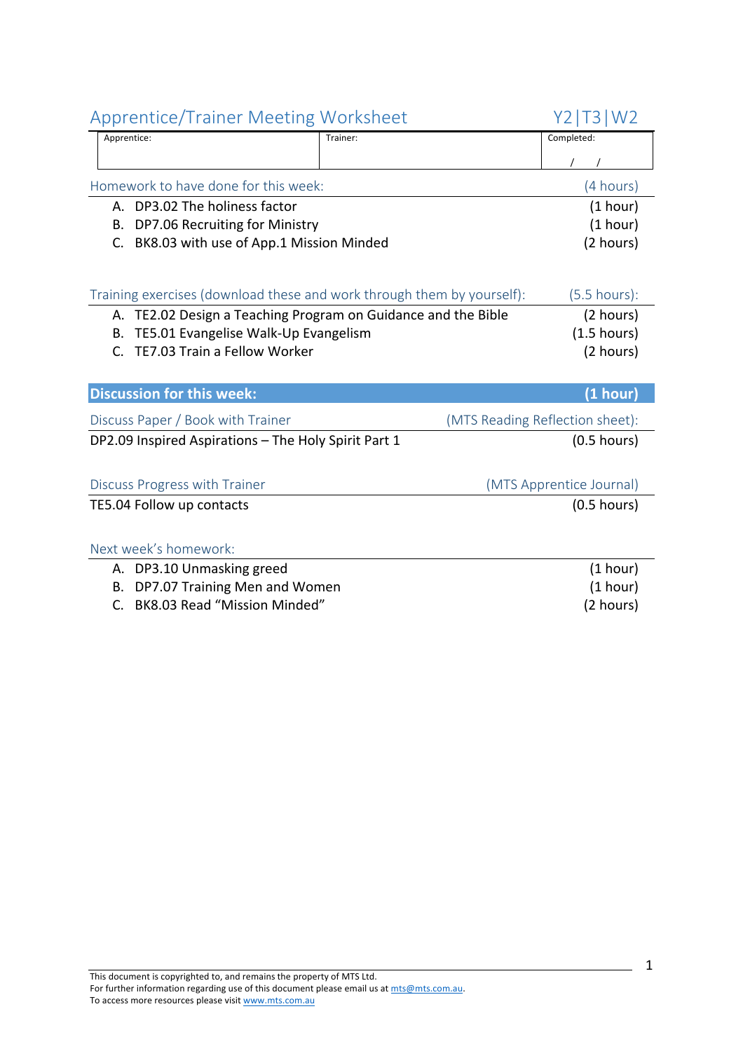| Apprentice/Trainer ivieeting worksheet                                 |                                                               | YZI I 3 I VVZ                   |
|------------------------------------------------------------------------|---------------------------------------------------------------|---------------------------------|
| Apprentice:                                                            | Trainer:                                                      | Completed:                      |
|                                                                        |                                                               |                                 |
| Homework to have done for this week:                                   |                                                               | (4 hours)                       |
| A. DP3.02 The holiness factor                                          |                                                               | (1 hour)                        |
| DP7.06 Recruiting for Ministry<br>В.                                   |                                                               | (1 hour)                        |
| BK8.03 with use of App.1 Mission Minded<br>C.                          |                                                               | (2 hours)                       |
|                                                                        |                                                               |                                 |
| Training exercises (download these and work through them by yourself): |                                                               | $(5.5 \text{ hours})$ :         |
|                                                                        | A. TE2.02 Design a Teaching Program on Guidance and the Bible | (2 hours)                       |
| TE5.01 Evangelise Walk-Up Evangelism<br>В.                             |                                                               | $(1.5 \text{ hours})$           |
| TE7.03 Train a Fellow Worker<br>$\mathsf{C}$ .                         |                                                               | (2 hours)                       |
|                                                                        |                                                               |                                 |
| <b>Discussion for this week:</b>                                       |                                                               | (1 hour)                        |
| Discuss Paper / Book with Trainer                                      |                                                               | (MTS Reading Reflection sheet): |
| DP2.09 Inspired Aspirations - The Holy Spirit Part 1                   |                                                               | $(0.5$ hours)                   |
|                                                                        |                                                               |                                 |
| <b>Discuss Progress with Trainer</b>                                   |                                                               | (MTS Apprentice Journal)        |
| TE5.04 Follow up contacts                                              |                                                               | $(0.5$ hours)                   |
|                                                                        |                                                               |                                 |
| Next week's homework:                                                  |                                                               |                                 |
| A. DP3.10 Unmasking greed                                              |                                                               | (1 hour)                        |
| DP7.07 Training Men and Women<br>В.                                    |                                                               | (1 hour)                        |
| BK8.03 Read "Mission Minded"<br>C.                                     |                                                               | (2 hours)                       |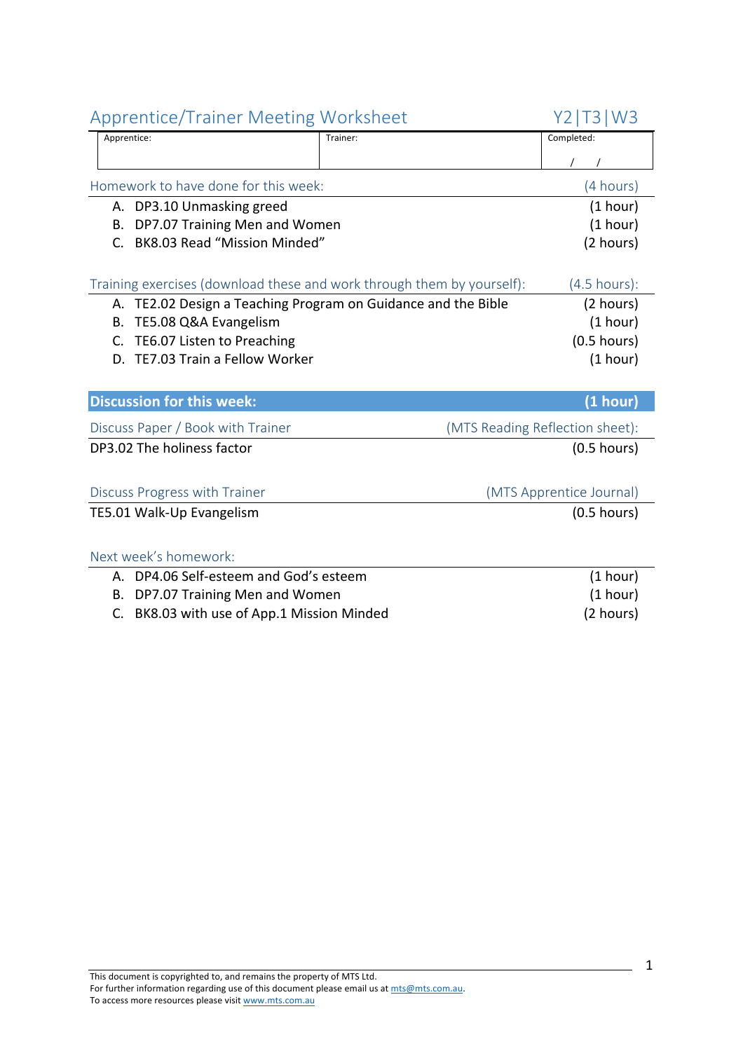| Apprentice/Trailler ivieeting worksneet                                |          | 1 Z   I J   VV J                |
|------------------------------------------------------------------------|----------|---------------------------------|
| Apprentice:                                                            | Trainer: | Completed:                      |
|                                                                        |          |                                 |
| Homework to have done for this week:                                   |          | (4 hours)                       |
| A. DP3.10 Unmasking greed                                              |          | (1 hour)                        |
| DP7.07 Training Men and Women<br>В.                                    |          | (1 hour)                        |
| BK8.03 Read "Mission Minded"<br>C.                                     |          | (2 hours)                       |
| Training exercises (download these and work through them by yourself): |          | $(4.5$ hours):                  |
| A. TE2.02 Design a Teaching Program on Guidance and the Bible          |          | (2 hours)                       |
| TE5.08 Q&A Evangelism<br>В.                                            |          | (1 hour)                        |
| TE6.07 Listen to Preaching<br>C.                                       |          | $(0.5$ hours)                   |
| TE7.03 Train a Fellow Worker<br>D.                                     |          | (1 hour)                        |
|                                                                        |          |                                 |
| <b>Discussion for this week:</b>                                       |          | (1 hour)                        |
| Discuss Paper / Book with Trainer                                      |          | (MTS Reading Reflection sheet): |
| DP3.02 The holiness factor                                             |          | $(0.5$ hours)                   |
|                                                                        |          |                                 |
| Discuss Progress with Trainer                                          |          | (MTS Apprentice Journal)        |
| TE5.01 Walk-Up Evangelism                                              |          | $(0.5$ hours)                   |
|                                                                        |          |                                 |
| Next week's homework:                                                  |          |                                 |
| A. DP4.06 Self-esteem and God's esteem                                 |          | (1 hour)                        |
| DP7.07 Training Men and Women<br>В.                                    |          | (1 hour)                        |
| BK8.03 with use of App.1 Mission Minded<br>C.                          |          | (2 hours)                       |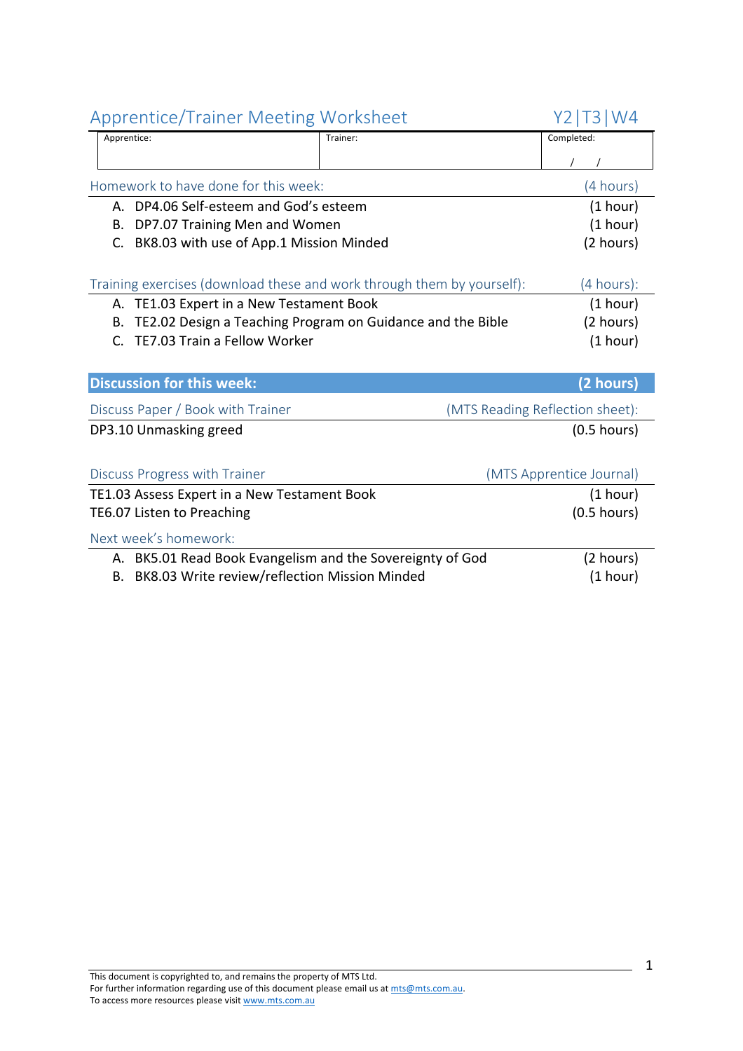| Applentice/Trailler ivideting vvolkslidet                        |                                                                        | 1 Z   1 J   V V <del>T</del>    |
|------------------------------------------------------------------|------------------------------------------------------------------------|---------------------------------|
| Apprentice:                                                      | Trainer:                                                               | Completed:                      |
|                                                                  |                                                                        |                                 |
| Homework to have done for this week:                             |                                                                        | (4 hours)                       |
| A. DP4.06 Self-esteem and God's esteem                           |                                                                        | (1 hour)                        |
| DP7.07 Training Men and Women<br>В.                              |                                                                        | (1 hour)                        |
| BK8.03 with use of App.1 Mission Minded<br>C.                    |                                                                        | (2 hours)                       |
|                                                                  |                                                                        |                                 |
|                                                                  | Training exercises (download these and work through them by yourself): | (4 hours):                      |
| A. TE1.03 Expert in a New Testament Book                         |                                                                        | (1 hour)                        |
| TE2.02 Design a Teaching Program on Guidance and the Bible<br>В. |                                                                        | (2 hours)                       |
| TE7.03 Train a Fellow Worker<br>C.                               |                                                                        | (1 hour)                        |
|                                                                  |                                                                        |                                 |
| <b>Discussion for this week:</b>                                 |                                                                        | (2 hours)                       |
| Discuss Paper / Book with Trainer                                |                                                                        | (MTS Reading Reflection sheet): |
| DP3.10 Unmasking greed                                           |                                                                        | $(0.5$ hours)                   |
|                                                                  |                                                                        |                                 |
| Discuss Progress with Trainer                                    |                                                                        | (MTS Apprentice Journal)        |
| TE1.03 Assess Expert in a New Testament Book                     |                                                                        | (1 hour)                        |
| TE6.07 Listen to Preaching                                       |                                                                        | $(0.5$ hours)                   |
| Next week's homework:                                            |                                                                        |                                 |
| A. BK5.01 Read Book Evangelism and the Sovereignty of God        |                                                                        | (2 hours)                       |
| B. BK8.03 Write review/reflection Mission Minded                 |                                                                        | (1 hour)                        |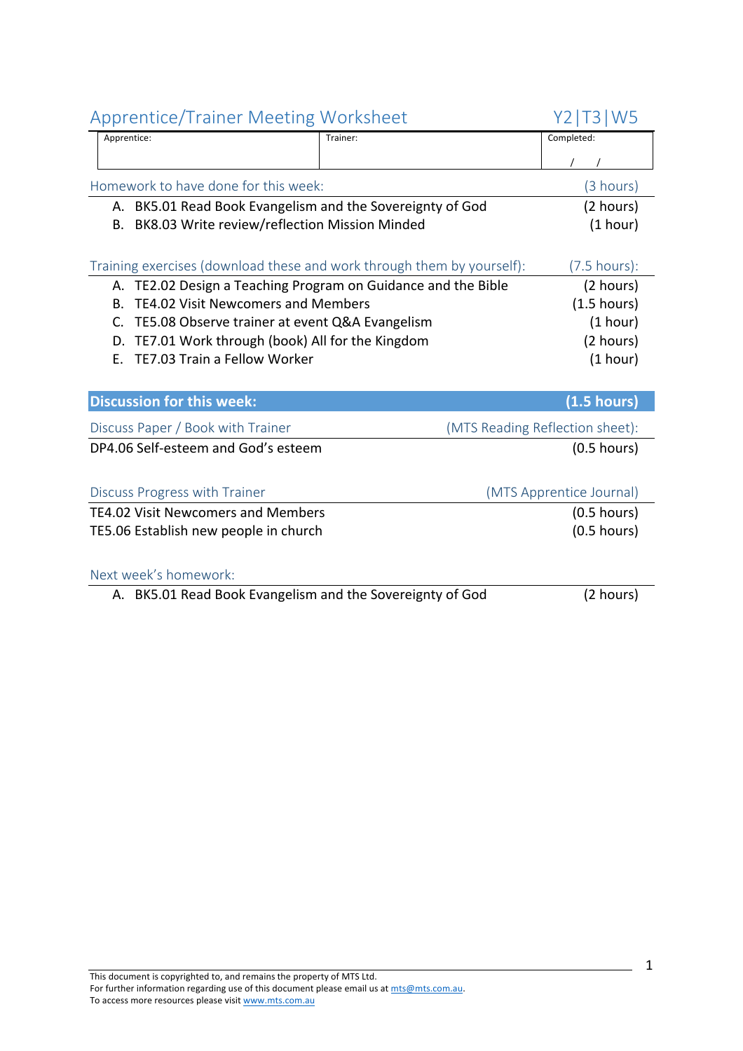|             | $\mathbf{p}$ p. strates $\mathbf{p}$ and strategies in $\mathbf{p}$    |                                 |
|-------------|------------------------------------------------------------------------|---------------------------------|
| Apprentice: | Trainer:                                                               | Completed:                      |
|             |                                                                        |                                 |
|             | Homework to have done for this week:                                   | (3 hours)                       |
|             | A. BK5.01 Read Book Evangelism and the Sovereignty of God              | (2 hours)                       |
| В.          | BK8.03 Write review/reflection Mission Minded                          | (1 hour)                        |
|             |                                                                        |                                 |
|             | Training exercises (download these and work through them by yourself): | $(7.5 \text{ hours})$ :         |
|             | A. TE2.02 Design a Teaching Program on Guidance and the Bible          | (2 hours)                       |
| <b>B.</b>   | <b>TE4.02 Visit Newcomers and Members</b>                              | (1.5 hours)                     |
| C.          | TE5.08 Observe trainer at event Q&A Evangelism                         | (1 hour)                        |
| D.          | TE7.01 Work through (book) All for the Kingdom                         | (2 hours)                       |
| Е.          | TE7.03 Train a Fellow Worker                                           | (1 hour)                        |
|             |                                                                        |                                 |
|             | <b>Discussion for this week:</b>                                       | (1.5 hours)                     |
|             | Discuss Paper / Book with Trainer                                      | (MTS Reading Reflection sheet): |
|             | DP4.06 Self-esteem and God's esteem                                    | $(0.5$ hours)                   |
|             |                                                                        |                                 |
|             | Discuss Progress with Trainer                                          | (MTS Apprentice Journal)        |
|             | <b>TE4.02 Visit Newcomers and Members</b>                              | $(0.5$ hours)                   |
|             | TE5.06 Establish new people in church                                  | $(0.5$ hours)                   |
|             |                                                                        |                                 |
|             | Next week's homework:                                                  |                                 |
|             | A. BK5.01 Read Book Evangelism and the Sovereignty of God              | (2 hours)                       |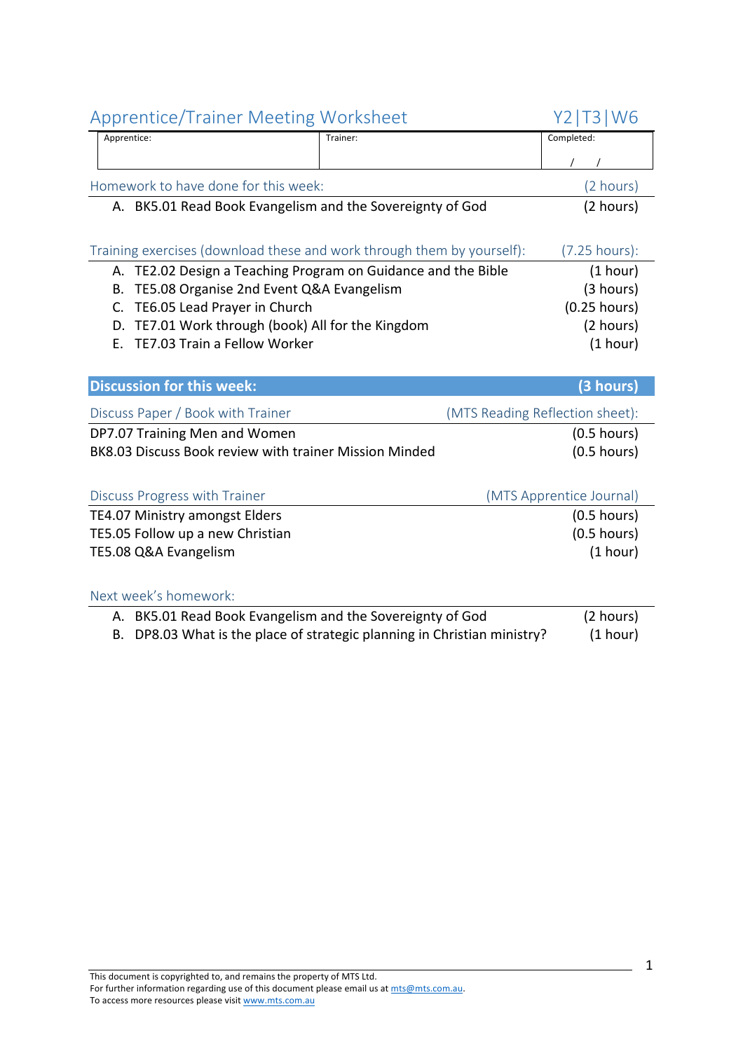| <b>Apprentice/Trainer Meeting Worksheet</b>                            |                                                                       | <b>T3 W6</b><br>Y2.             |
|------------------------------------------------------------------------|-----------------------------------------------------------------------|---------------------------------|
| Apprentice:                                                            | Trainer:                                                              | Completed:                      |
|                                                                        |                                                                       |                                 |
| Homework to have done for this week:                                   |                                                                       | (2 hours)                       |
| A. BK5.01 Read Book Evangelism and the Sovereignty of God              |                                                                       | (2 hours)                       |
|                                                                        |                                                                       |                                 |
| Training exercises (download these and work through them by yourself): |                                                                       | (7.25 hours):                   |
| TE2.02 Design a Teaching Program on Guidance and the Bible<br>А.       |                                                                       | (1 hour)                        |
| TE5.08 Organise 2nd Event Q&A Evangelism<br>В.                         |                                                                       | (3 hours)                       |
| TE6.05 Lead Prayer in Church<br>C.                                     |                                                                       | $(0.25$ hours)                  |
| TE7.01 Work through (book) All for the Kingdom<br>D.                   |                                                                       | (2 hours)                       |
| TE7.03 Train a Fellow Worker<br>Ε.                                     |                                                                       | (1 hour)                        |
|                                                                        |                                                                       |                                 |
| <b>Discussion for this week:</b>                                       |                                                                       | (3 hours)                       |
| Discuss Paper / Book with Trainer                                      |                                                                       | (MTS Reading Reflection sheet): |
| DP7.07 Training Men and Women                                          |                                                                       | $(0.5$ hours)                   |
| BK8.03 Discuss Book review with trainer Mission Minded                 |                                                                       | $(0.5$ hours)                   |
|                                                                        |                                                                       |                                 |
|                                                                        |                                                                       |                                 |
| Discuss Progress with Trainer                                          |                                                                       | (MTS Apprentice Journal)        |
| TE4.07 Ministry amongst Elders                                         |                                                                       | $(0.5$ hours)                   |
| TE5.05 Follow up a new Christian                                       |                                                                       | $(0.5$ hours)                   |
| TE5.08 Q&A Evangelism                                                  |                                                                       | (1 hour)                        |
|                                                                        |                                                                       |                                 |
| Next week's homework:                                                  |                                                                       |                                 |
| A. BK5.01 Read Book Evangelism and the Sovereignty of God              |                                                                       | (2 hours)                       |
| В.                                                                     | DP8.03 What is the place of strategic planning in Christian ministry? | (1 hour)                        |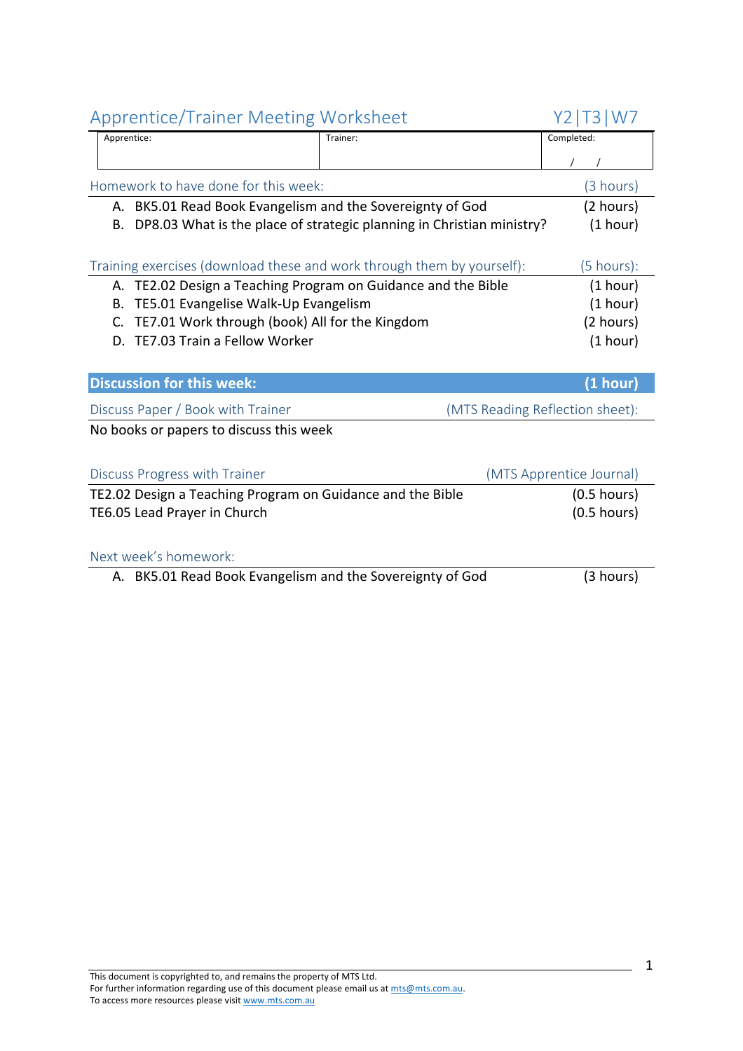| Applemne righter incentig worksheet                                         |          | $\lfloor 2 \rfloor$ $\lfloor 3 \rfloor$ $\lfloor 1 \vee 7 \rfloor$ |
|-----------------------------------------------------------------------------|----------|--------------------------------------------------------------------|
| Apprentice:                                                                 | Trainer: | Completed:                                                         |
|                                                                             |          |                                                                    |
| Homework to have done for this week:                                        |          | (3 hours)                                                          |
| A. BK5.01 Read Book Evangelism and the Sovereignty of God                   |          | (2 hours)                                                          |
| DP8.03 What is the place of strategic planning in Christian ministry?<br>В. |          | (1 hour)                                                           |
|                                                                             |          |                                                                    |
| Training exercises (download these and work through them by yourself):      |          | $(5 \text{ hours})$ :                                              |
| A. TE2.02 Design a Teaching Program on Guidance and the Bible               |          | (1 hour)                                                           |
| TE5.01 Evangelise Walk-Up Evangelism<br>В.                                  |          | (1 hour)                                                           |
| C.<br>TE7.01 Work through (book) All for the Kingdom                        |          | (2 hours)                                                          |
| TE7.03 Train a Fellow Worker<br>D.                                          |          | (1 hour)                                                           |
|                                                                             |          |                                                                    |
| <b>Discussion for this week:</b>                                            |          | (1 hour)                                                           |
| Discuss Paper / Book with Trainer                                           |          | (MTS Reading Reflection sheet):                                    |
| No books or papers to discuss this week                                     |          |                                                                    |
|                                                                             |          |                                                                    |
| Discuss Progress with Trainer                                               |          | (MTS Apprentice Journal)                                           |
| TE2.02 Design a Teaching Program on Guidance and the Bible                  |          | $(0.5$ hours)                                                      |
| TE6.05 Lead Prayer in Church                                                |          | $(0.5$ hours)                                                      |
|                                                                             |          |                                                                    |
| Next week's homework:                                                       |          |                                                                    |
| A. BK5.01 Read Book Evangelism and the Sovereignty of God                   |          | (3 hours)                                                          |
|                                                                             |          |                                                                    |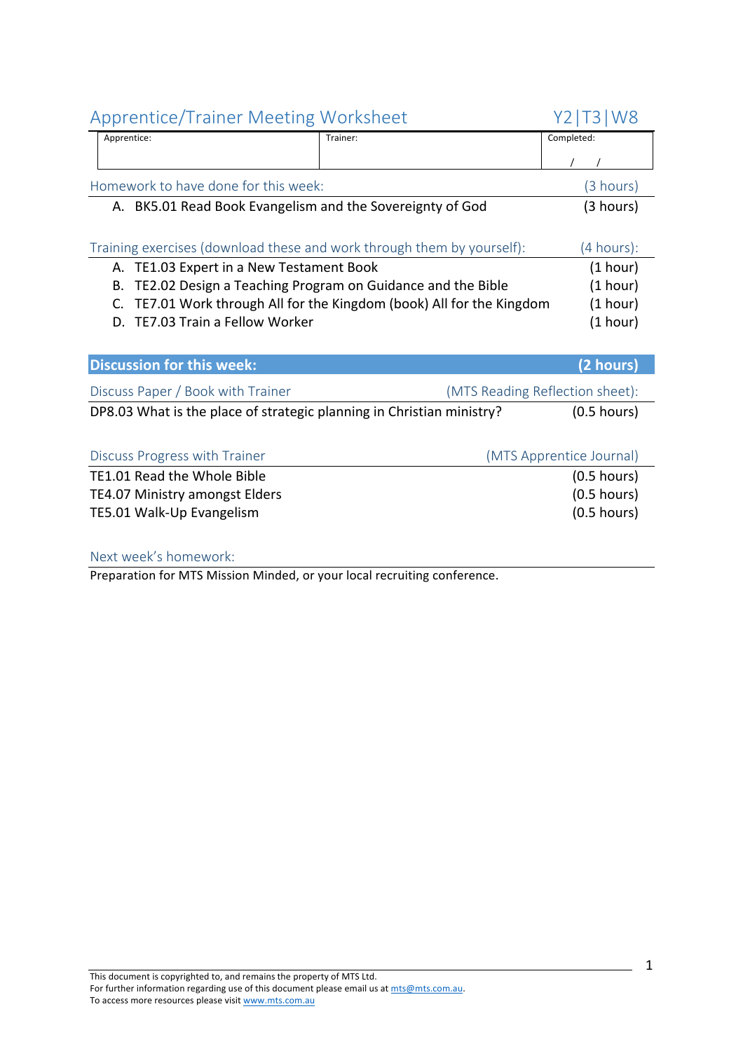| <b>Apprentice/Trainer Meeting Worksheet</b>                            |                                                                    | 13 W8<br>Y2 I                   |
|------------------------------------------------------------------------|--------------------------------------------------------------------|---------------------------------|
| Apprentice:                                                            | Trainer:                                                           | Completed:                      |
|                                                                        |                                                                    |                                 |
| Homework to have done for this week:                                   |                                                                    | (3 hours)                       |
| A. BK5.01 Read Book Evangelism and the Sovereignty of God              |                                                                    | (3 hours)                       |
|                                                                        |                                                                    |                                 |
| Training exercises (download these and work through them by yourself): |                                                                    | (4 hours):                      |
| TE1.03 Expert in a New Testament Book<br>А.                            |                                                                    | (1 hour)                        |
| В.                                                                     | TE2.02 Design a Teaching Program on Guidance and the Bible         | (1 hour)                        |
| C.                                                                     | TE7.01 Work through All for the Kingdom (book) All for the Kingdom | (1 hour)                        |
| TE7.03 Train a Fellow Worker<br>D.                                     |                                                                    | (1 hour)                        |
|                                                                        |                                                                    |                                 |
| <b>Discussion for this week:</b>                                       |                                                                    | (2 hours)                       |
| Discuss Paper / Book with Trainer                                      |                                                                    | (MTS Reading Reflection sheet): |
| DP8.03 What is the place of strategic planning in Christian ministry?  |                                                                    | $(0.5$ hours)                   |
|                                                                        |                                                                    |                                 |
| Discuss Progress with Trainer                                          |                                                                    | (MTS Apprentice Journal)        |
| TE1.01 Read the Whole Bible                                            |                                                                    | $(0.5$ hours)                   |
| <b>TE4.07 Ministry amongst Elders</b>                                  |                                                                    | $(0.5$ hours)                   |
| TE5.01 Walk-Up Evangelism                                              |                                                                    | $(0.5$ hours)                   |
|                                                                        |                                                                    |                                 |

Next week's homework:

Preparation for MTS Mission Minded, or your local recruiting conference.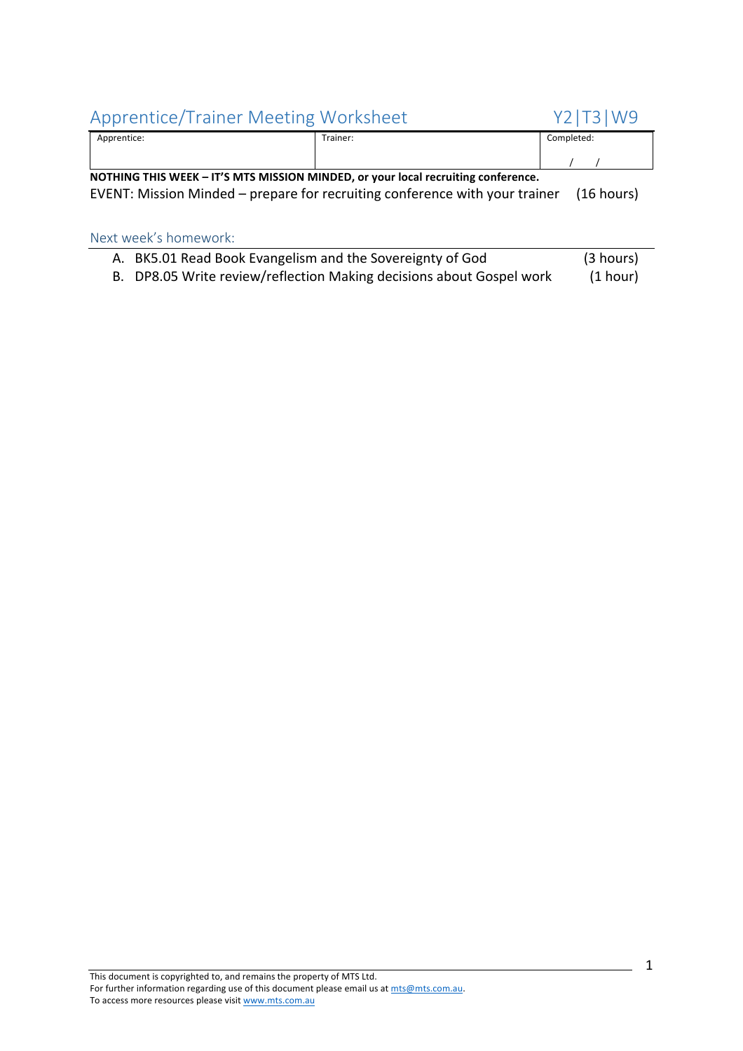## Apprentice/Trainer Meeting Worksheet Y2|T3|W9

| .<br>_      |          |            |
|-------------|----------|------------|
| Apprentice: | Trainer: | Completed: |
|             |          |            |

**NOTHING THIS WEEK – IT'S MTS MISSION MINDED, or your local recruiting conference.** EVENT: Mission Minded – prepare for recruiting conference with your trainer (16 hours)

## Next week's homework:

| A. BK5.01 Read Book Evangelism and the Sovereignty of God            | (3 hours) |
|----------------------------------------------------------------------|-----------|
| B. DP8.05 Write review/reflection Making decisions about Gospel work | (1 hour)  |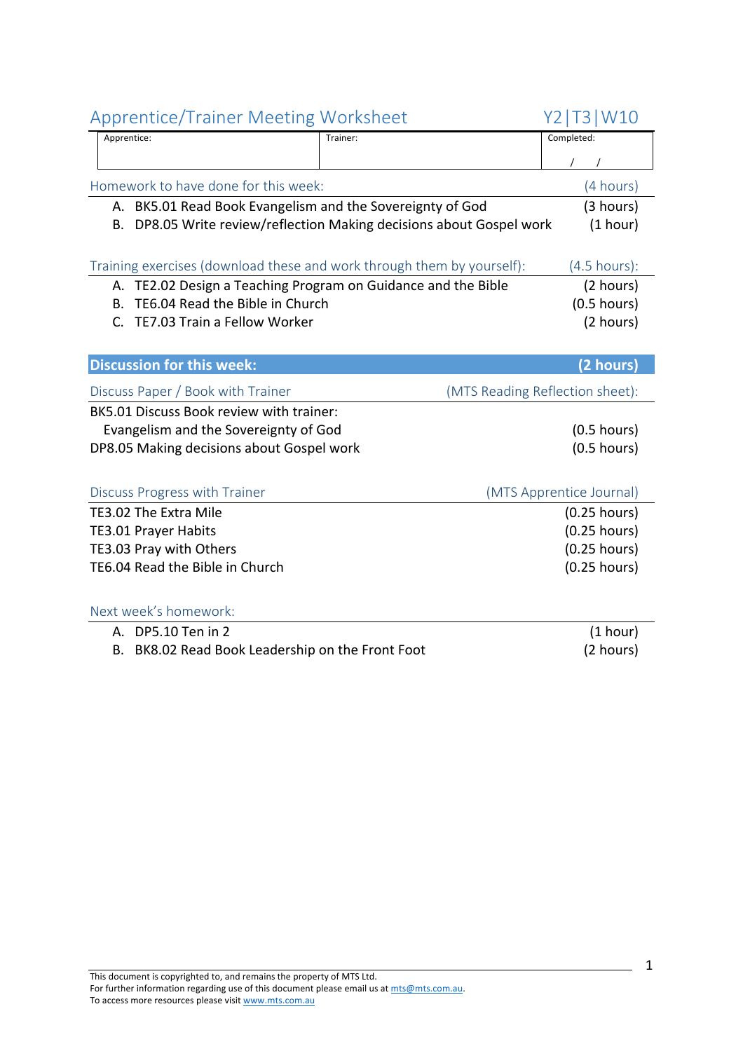## Apprentice/Trainer Meeting Worksheet Y2|T3|W10

| Apprentice/Trainer ivieeting worksneet                                  |          | 1 Z   1 J   VV 1 U              |
|-------------------------------------------------------------------------|----------|---------------------------------|
| Apprentice:                                                             | Trainer: | Completed:                      |
|                                                                         |          |                                 |
| Homework to have done for this week:                                    |          | (4 hours)                       |
| A. BK5.01 Read Book Evangelism and the Sovereignty of God               |          | (3 hours)                       |
| DP8.05 Write review/reflection Making decisions about Gospel work<br>В. |          | (1 hour)                        |
|                                                                         |          |                                 |
| Training exercises (download these and work through them by yourself):  |          | $(4.5 \text{ hours})$ :         |
| A. TE2.02 Design a Teaching Program on Guidance and the Bible           |          | (2 hours)                       |
| TE6.04 Read the Bible in Church<br>В.                                   |          | $(0.5$ hours)                   |
| TE7.03 Train a Fellow Worker<br>$\mathsf{C}$ .                          |          | (2 hours)                       |
|                                                                         |          |                                 |
| <b>Discussion for this week:</b>                                        |          | (2 hours)                       |
| Discuss Paper / Book with Trainer                                       |          | (MTS Reading Reflection sheet): |
| BK5.01 Discuss Book review with trainer:                                |          |                                 |
| Evangelism and the Sovereignty of God                                   |          | $(0.5$ hours)                   |
| DP8.05 Making decisions about Gospel work                               |          | $(0.5$ hours)                   |
|                                                                         |          |                                 |
| Discuss Progress with Trainer                                           |          | (MTS Apprentice Journal)        |
| TE3.02 The Extra Mile                                                   |          | $(0.25$ hours)                  |
| <b>TE3.01 Prayer Habits</b>                                             |          | $(0.25$ hours)                  |
| TE3.03 Pray with Others                                                 |          | $(0.25$ hours)                  |
| TE6.04 Read the Bible in Church                                         |          | $(0.25$ hours)                  |
|                                                                         |          |                                 |
| Next week's homework:                                                   |          |                                 |
| A. DP5.10 Ten in 2                                                      |          | (1 hour)                        |
| B. BK8.02 Read Book Leadership on the Front Foot                        |          | (2 hours)                       |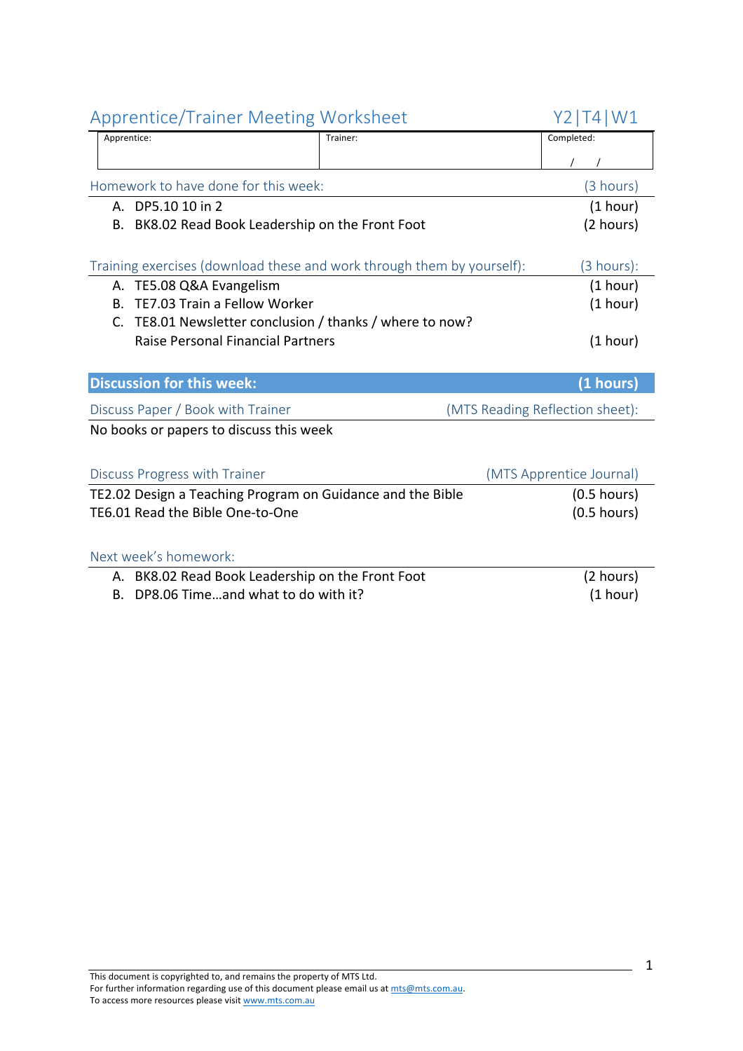| <b>Apprentice/Trainer Meeting Worksheet</b>                            |          | Y2   T4   W1                    |
|------------------------------------------------------------------------|----------|---------------------------------|
| Apprentice:                                                            | Trainer: | Completed:                      |
|                                                                        |          |                                 |
| Homework to have done for this week:                                   |          | (3 hours)                       |
| A. DP5.10 10 in 2                                                      |          | (1 hour)                        |
| BK8.02 Read Book Leadership on the Front Foot<br>В.                    |          | (2 hours)                       |
|                                                                        |          |                                 |
| Training exercises (download these and work through them by yourself): |          | (3 hours):                      |
| A. TE5.08 Q&A Evangelism                                               |          | (1 hour)                        |
| TE7.03 Train a Fellow Worker<br>Β.                                     |          | (1 hour)                        |
| TE8.01 Newsletter conclusion / thanks / where to now?<br>C.            |          |                                 |
| <b>Raise Personal Financial Partners</b>                               |          | (1 hour)                        |
|                                                                        |          |                                 |
| <b>Discussion for this week:</b>                                       |          | (1 hours)                       |
| Discuss Paper / Book with Trainer                                      |          | (MTS Reading Reflection sheet): |
| No books or papers to discuss this week                                |          |                                 |
|                                                                        |          |                                 |
| Discuss Progress with Trainer                                          |          | (MTS Apprentice Journal)        |
| TE2.02 Design a Teaching Program on Guidance and the Bible             |          | $(0.5$ hours)                   |
| TE6.01 Read the Bible One-to-One                                       |          | $(0.5$ hours)                   |
|                                                                        |          |                                 |
| Next week's homework:                                                  |          |                                 |
| A. BK8.02 Read Book Leadership on the Front Foot                       |          | (2 hours)                       |
| DP8.06 Timeand what to do with it?<br>В.                               |          | (1 hour)                        |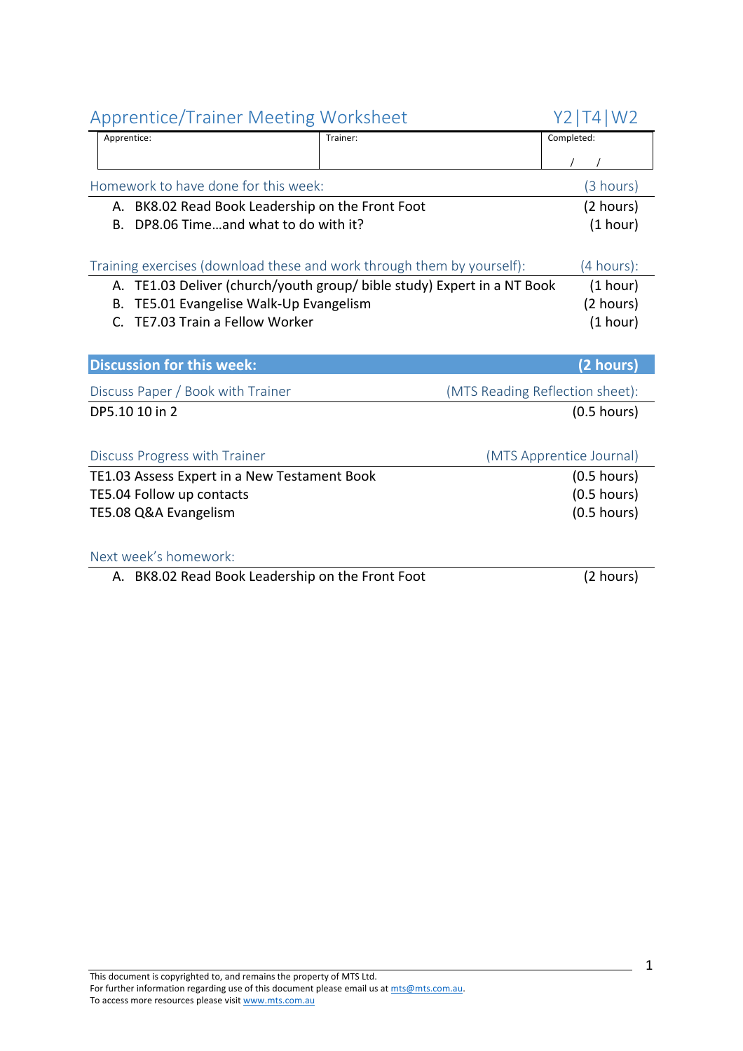| <b>Apprentice/Trainer Meeting Worksheet</b>                             | Y2 T4 W2                        |
|-------------------------------------------------------------------------|---------------------------------|
| Apprentice:<br>Trainer:                                                 | Completed:                      |
|                                                                         |                                 |
| Homework to have done for this week:                                    | (3 hours)                       |
| A. BK8.02 Read Book Leadership on the Front Foot                        | (2 hours)                       |
| DP8.06 Timeand what to do with it?<br>В.                                | (1 hour)                        |
|                                                                         |                                 |
| Training exercises (download these and work through them by yourself):  | (4 hours):                      |
| A. TE1.03 Deliver (church/youth group/ bible study) Expert in a NT Book | (1 hour)                        |
| TE5.01 Evangelise Walk-Up Evangelism<br>В.                              | (2 hours)                       |
| TE7.03 Train a Fellow Worker<br>$\mathsf{C}$ .                          | (1 hour)                        |
|                                                                         |                                 |
| <b>Discussion for this week:</b>                                        | (2 hours)                       |
| Discuss Paper / Book with Trainer                                       | (MTS Reading Reflection sheet): |
| DP5.10 10 in 2                                                          | $(0.5$ hours)                   |
|                                                                         |                                 |
| <b>Discuss Progress with Trainer</b>                                    | (MTS Apprentice Journal)        |
| TE1.03 Assess Expert in a New Testament Book                            | $(0.5$ hours)                   |
| TE5.04 Follow up contacts                                               | $(0.5$ hours)                   |
| TE5.08 Q&A Evangelism                                                   | $(0.5$ hours)                   |
|                                                                         |                                 |
| Next week's homework:                                                   |                                 |
| A. BK8.02 Read Book Leadership on the Front Foot                        | (2 hours)                       |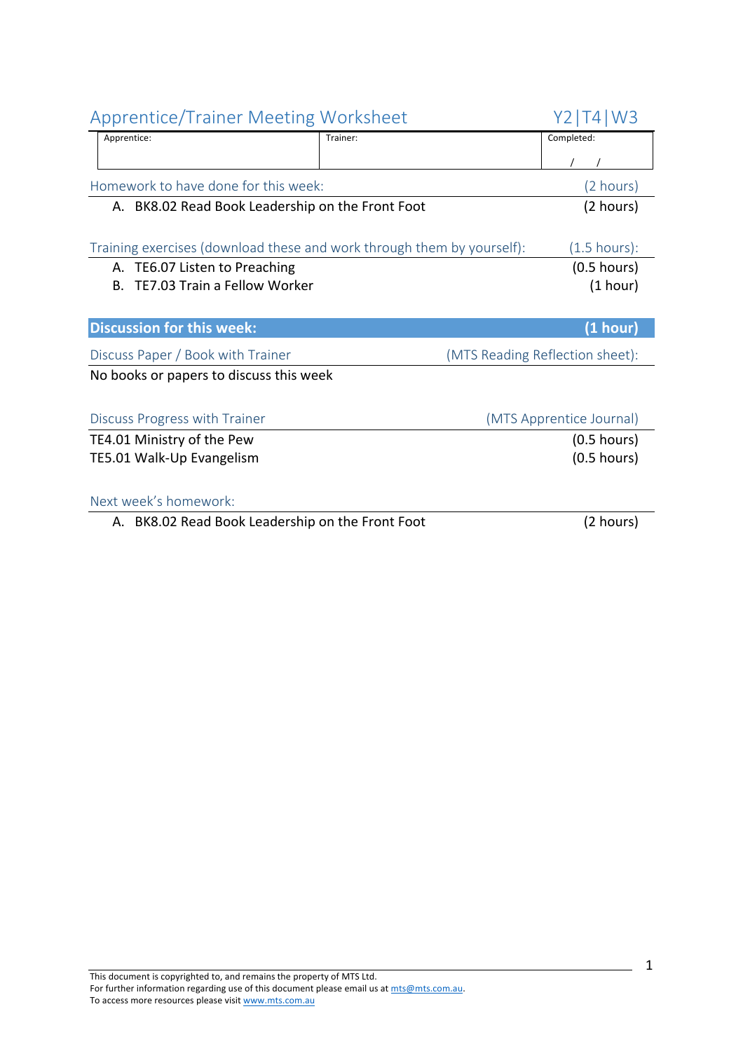| <b>Apprentice/Trainer Meeting Worksheet</b>                            |          | Y2   T4   W3                    |
|------------------------------------------------------------------------|----------|---------------------------------|
| Apprentice:                                                            | Trainer: | Completed:                      |
|                                                                        |          |                                 |
| Homework to have done for this week:                                   |          | (2 hours)                       |
| A. BK8.02 Read Book Leadership on the Front Foot                       |          | (2 hours)                       |
|                                                                        |          |                                 |
| Training exercises (download these and work through them by yourself): |          | $(1.5 \text{ hours})$ :         |
| TE6.07 Listen to Preaching<br>А.                                       |          | $(0.5$ hours)                   |
| TE7.03 Train a Fellow Worker<br><b>B.</b>                              |          | (1 hour)                        |
|                                                                        |          |                                 |
| <b>Discussion for this week:</b>                                       |          | (1 hour)                        |
| Discuss Paper / Book with Trainer                                      |          | (MTS Reading Reflection sheet): |
| No books or papers to discuss this week                                |          |                                 |
|                                                                        |          |                                 |
| Discuss Progress with Trainer                                          |          | (MTS Apprentice Journal)        |
| TE4.01 Ministry of the Pew                                             |          | $(0.5$ hours)                   |
| TE5.01 Walk-Up Evangelism                                              |          | $(0.5$ hours)                   |
|                                                                        |          |                                 |
| Next week's homework:                                                  |          |                                 |
| A. BK8.02 Read Book Leadership on the Front Foot                       |          | (2 hours)                       |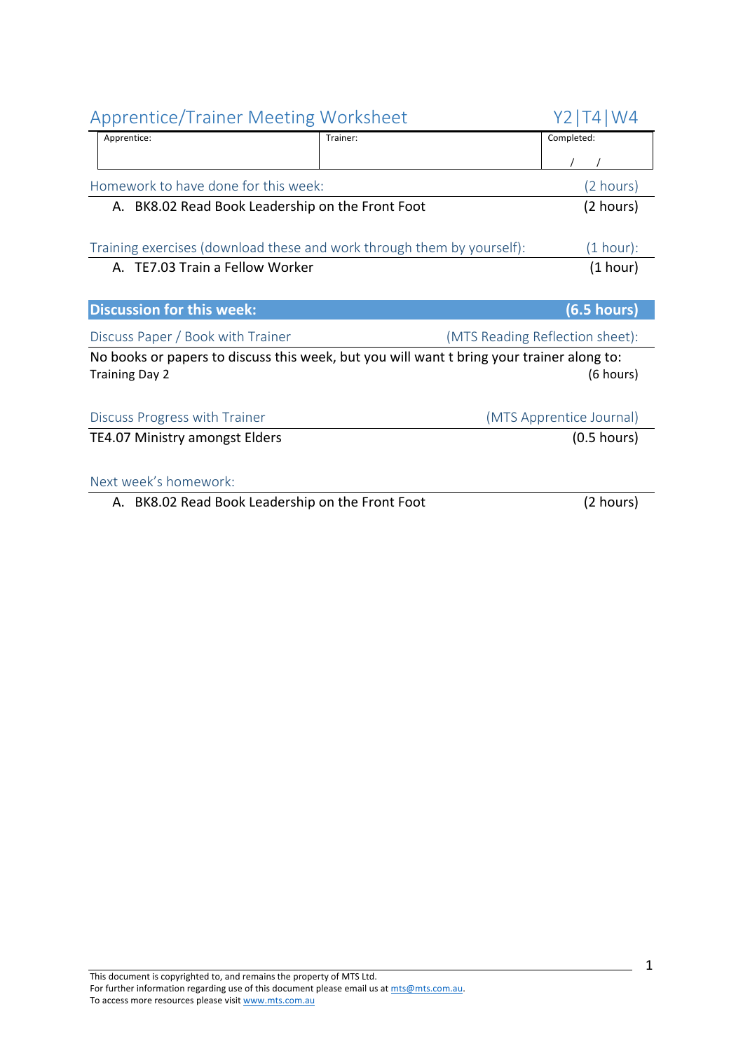| <b>Apprentice/Trainer Meeting Worksheet</b>                                                                        |          | Y2   T4   W4                    |
|--------------------------------------------------------------------------------------------------------------------|----------|---------------------------------|
| Apprentice:                                                                                                        | Trainer: | Completed:                      |
|                                                                                                                    |          |                                 |
| Homework to have done for this week:                                                                               |          | (2 hours)                       |
| A. BK8.02 Read Book Leadership on the Front Foot                                                                   |          | (2 hours)                       |
|                                                                                                                    |          |                                 |
| Training exercises (download these and work through them by yourself):                                             |          | (1 hour):                       |
| A. TE7.03 Train a Fellow Worker                                                                                    |          | (1 hour)                        |
|                                                                                                                    |          |                                 |
| <b>Discussion for this week:</b>                                                                                   |          | (6.5 hours)                     |
| Discuss Paper / Book with Trainer                                                                                  |          | (MTS Reading Reflection sheet): |
| No books or papers to discuss this week, but you will want t bring your trainer along to:<br><b>Training Day 2</b> |          | (6 hours)                       |
|                                                                                                                    |          |                                 |
| Discuss Progress with Trainer                                                                                      |          | (MTS Apprentice Journal)        |
| TE4.07 Ministry amongst Elders                                                                                     |          | $(0.5$ hours)                   |
|                                                                                                                    |          |                                 |
| Next week's homework:                                                                                              |          |                                 |
| A. BK8.02 Read Book Leadership on the Front Foot                                                                   |          | (2 hours)                       |
|                                                                                                                    |          |                                 |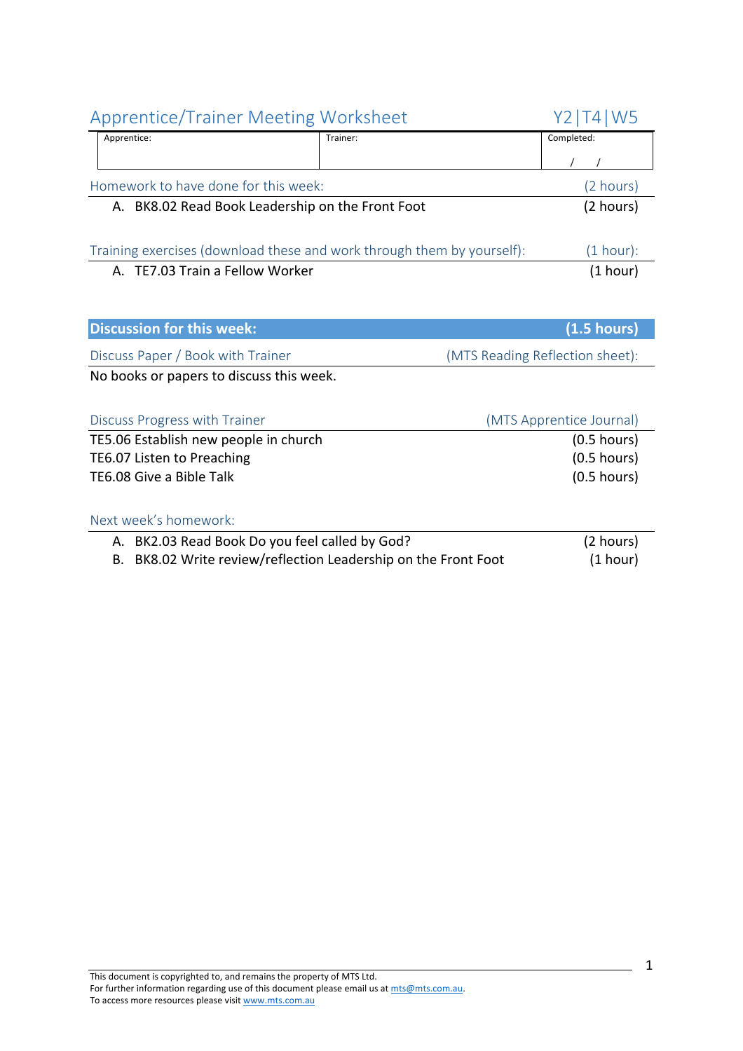| <b>Apprentice/Trainer Meeting Worksheet</b>                            |                                                             | Y2   T4   W5                    |
|------------------------------------------------------------------------|-------------------------------------------------------------|---------------------------------|
| Apprentice:                                                            | Trainer:                                                    | Completed:                      |
|                                                                        |                                                             |                                 |
| Homework to have done for this week:                                   |                                                             | (2 hours)                       |
| A. BK8.02 Read Book Leadership on the Front Foot                       |                                                             | (2 hours)                       |
|                                                                        |                                                             |                                 |
| Training exercises (download these and work through them by yourself): |                                                             | (1 hour):                       |
| A. TE7.03 Train a Fellow Worker                                        |                                                             | (1 hour)                        |
|                                                                        |                                                             |                                 |
| <b>Discussion for this week:</b>                                       |                                                             | (1.5 hours)                     |
| Discuss Paper / Book with Trainer                                      |                                                             | (MTS Reading Reflection sheet): |
| No books or papers to discuss this week.                               |                                                             |                                 |
| Discuss Progress with Trainer                                          |                                                             | (MTS Apprentice Journal)        |
| TE5.06 Establish new people in church                                  |                                                             | $(0.5$ hours)                   |
| TE6.07 Listen to Preaching                                             |                                                             | $(0.5$ hours)                   |
| TE6.08 Give a Bible Talk                                               |                                                             | $(0.5$ hours)                   |
|                                                                        |                                                             |                                 |
| Next week's homework:                                                  |                                                             |                                 |
| A. BK2.03 Read Book Do you feel called by God?                         |                                                             | (2 hours)                       |
| В.                                                                     | BK8.02 Write review/reflection Leadership on the Front Foot | (1 hour)                        |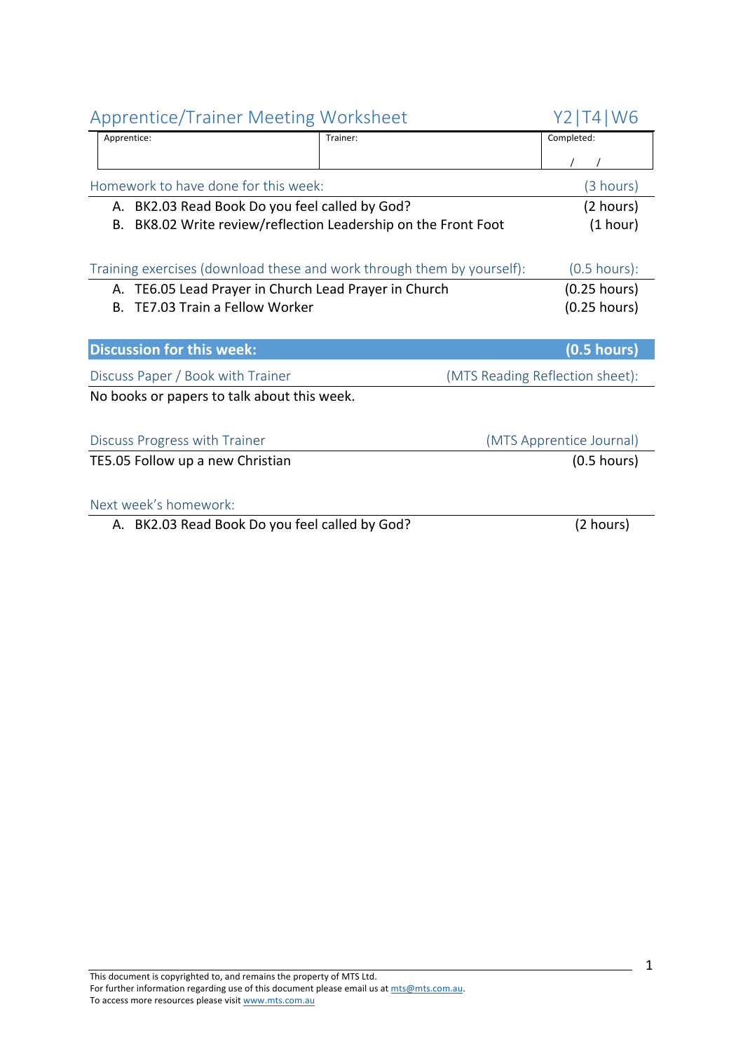| <b>Apprentice/Trainer Meeting Worksheet</b>                            |                                                             | T4   W6<br>Y2.                  |
|------------------------------------------------------------------------|-------------------------------------------------------------|---------------------------------|
| Apprentice:                                                            | Trainer:                                                    | Completed:                      |
|                                                                        |                                                             |                                 |
| Homework to have done for this week:                                   |                                                             | (3 hours)                       |
| A. BK2.03 Read Book Do you feel called by God?                         |                                                             | (2 hours)                       |
| В.                                                                     | BK8.02 Write review/reflection Leadership on the Front Foot | (1 hour)                        |
|                                                                        |                                                             |                                 |
| Training exercises (download these and work through them by yourself): |                                                             | $(0.5$ hours):                  |
| TE6.05 Lead Prayer in Church Lead Prayer in Church<br>А.               |                                                             | $(0.25$ hours)                  |
| TE7.03 Train a Fellow Worker<br>В.                                     |                                                             | $(0.25$ hours)                  |
|                                                                        |                                                             |                                 |
| <b>Discussion for this week:</b>                                       |                                                             | $(0.5$ hours)                   |
| Discuss Paper / Book with Trainer                                      |                                                             | (MTS Reading Reflection sheet): |
| No books or papers to talk about this week.                            |                                                             |                                 |
|                                                                        |                                                             |                                 |
| Discuss Progress with Trainer                                          |                                                             | (MTS Apprentice Journal)        |
| TE5.05 Follow up a new Christian                                       |                                                             | $(0.5$ hours)                   |
|                                                                        |                                                             |                                 |
| Next week's homework:                                                  |                                                             |                                 |
| A. BK2.03 Read Book Do you feel called by God?                         |                                                             | (2 hours)                       |
|                                                                        |                                                             |                                 |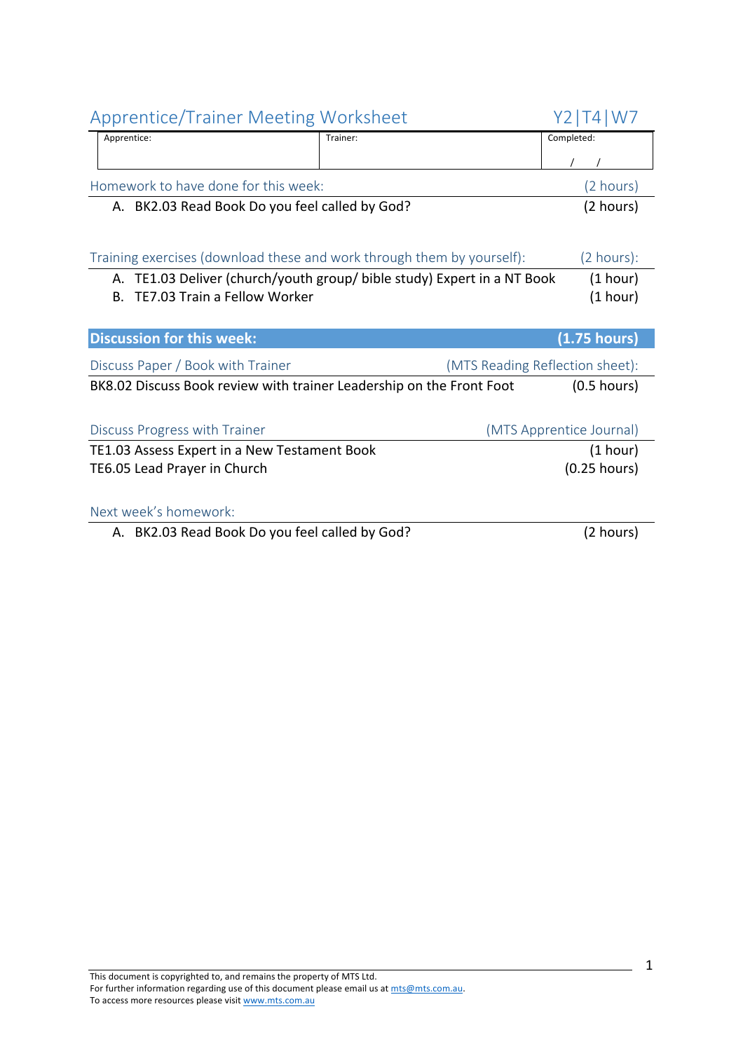| <b>Apprentice/Trainer Meeting Worksheet</b>                            |                                                                      | Y2   T4   W7             |
|------------------------------------------------------------------------|----------------------------------------------------------------------|--------------------------|
| Apprentice:                                                            | Trainer:                                                             | Completed:               |
|                                                                        |                                                                      |                          |
| Homework to have done for this week:                                   |                                                                      | (2 hours)                |
| A. BK2.03 Read Book Do you feel called by God?                         |                                                                      | (2 hours)                |
|                                                                        |                                                                      |                          |
| Training exercises (download these and work through them by yourself): |                                                                      | (2 hours):               |
| А.                                                                     | TE1.03 Deliver (church/youth group/ bible study) Expert in a NT Book | (1 hour)                 |
| TE7.03 Train a Fellow Worker<br>Β.                                     |                                                                      | (1 hour)                 |
|                                                                        |                                                                      |                          |
|                                                                        |                                                                      |                          |
| <b>Discussion for this week:</b>                                       |                                                                      | $(1.75$ hours)           |
| Discuss Paper / Book with Trainer                                      | (MTS Reading Reflection sheet):                                      |                          |
| BK8.02 Discuss Book review with trainer Leadership on the Front Foot   |                                                                      | $(0.5$ hours)            |
|                                                                        |                                                                      |                          |
| Discuss Progress with Trainer                                          |                                                                      | (MTS Apprentice Journal) |
| TE1.03 Assess Expert in a New Testament Book                           |                                                                      | (1 hour)                 |
| TE6.05 Lead Prayer in Church                                           |                                                                      | $(0.25$ hours)           |
|                                                                        |                                                                      |                          |
| Next week's homework:                                                  |                                                                      |                          |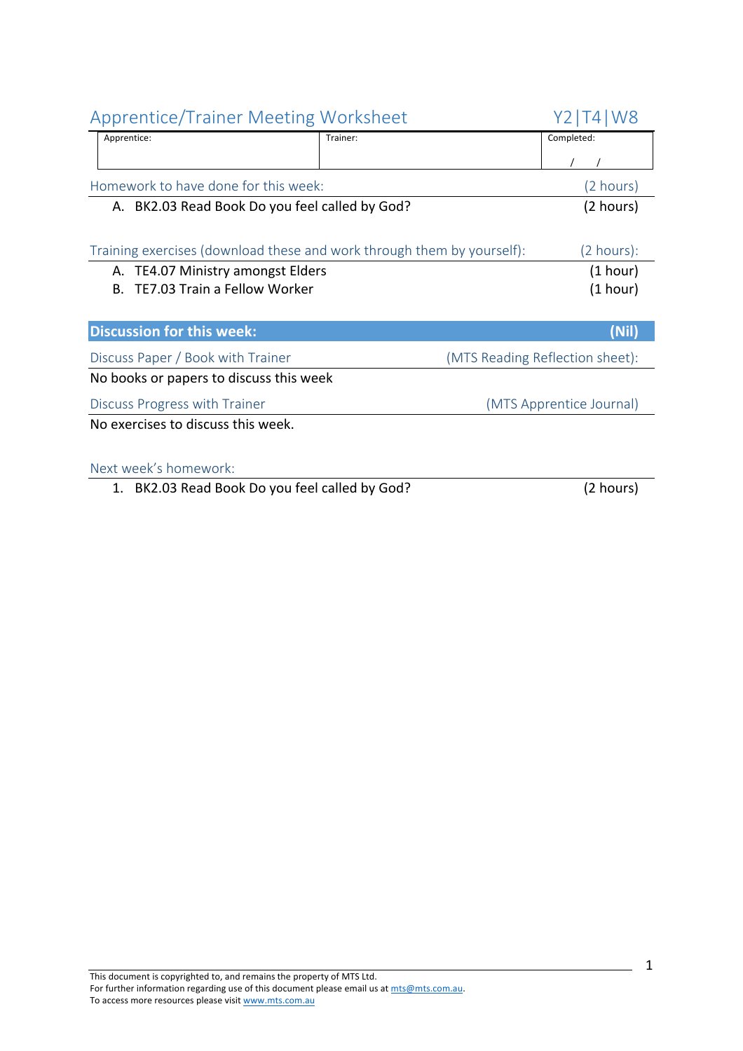| <b>Apprentice/Trainer Meeting Worksheet</b>                            |          | Y2   T4   W8                    |
|------------------------------------------------------------------------|----------|---------------------------------|
| Apprentice:                                                            | Trainer: | Completed:                      |
|                                                                        |          |                                 |
| Homework to have done for this week:                                   |          | (2 hours)                       |
| A. BK2.03 Read Book Do you feel called by God?                         |          | (2 hours)                       |
|                                                                        |          |                                 |
| Training exercises (download these and work through them by yourself): |          | $(2 \text{ hours})$ :           |
| TE4.07 Ministry amongst Elders<br>А.                                   |          | (1 hour)                        |
| <b>TE7.03 Train a Fellow Worker</b><br>В.                              |          | (1 hour)                        |
|                                                                        |          |                                 |
| <b>Discussion for this week:</b>                                       |          | (Nil)                           |
| Discuss Paper / Book with Trainer                                      |          | (MTS Reading Reflection sheet): |
| No books or papers to discuss this week                                |          |                                 |
| Discuss Progress with Trainer                                          |          | (MTS Apprentice Journal)        |
| No exercises to discuss this week.                                     |          |                                 |
|                                                                        |          |                                 |
| Next week's homework:                                                  |          |                                 |
| 1. BK2.03 Read Book Do you feel called by God?                         |          | (2 hours)                       |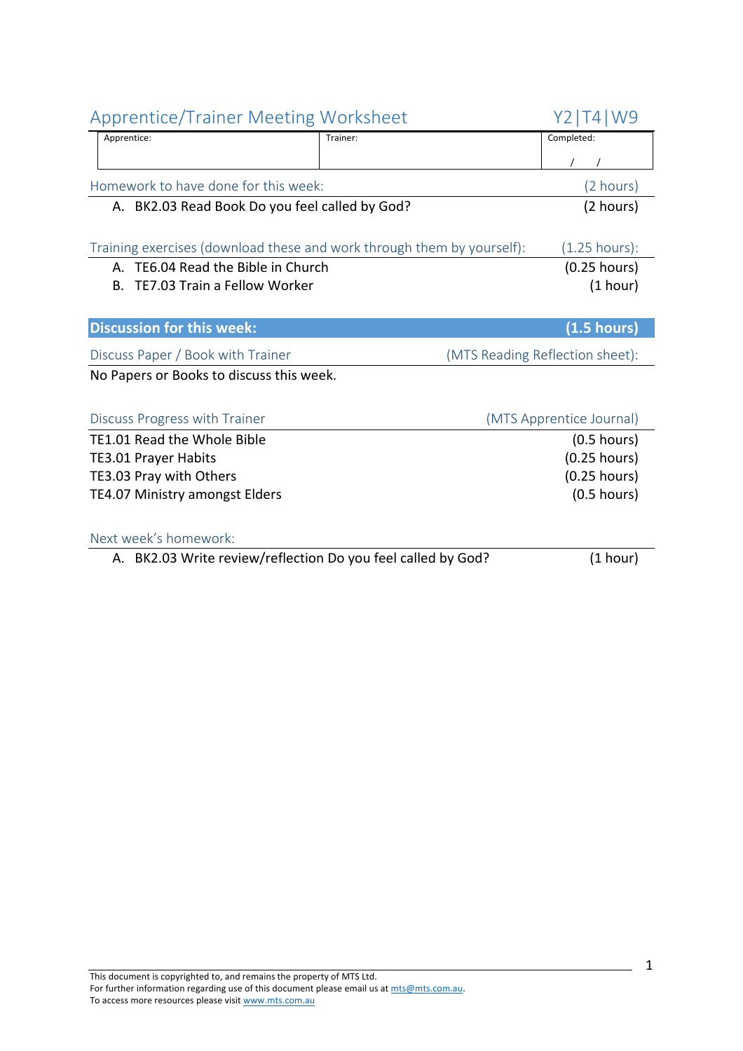| <b>Apprentice/Trainer Meeting Worksheet</b>                            |                                 | Y2   T4   W9             |
|------------------------------------------------------------------------|---------------------------------|--------------------------|
| Apprentice:                                                            | Trainer:                        | Completed:               |
|                                                                        |                                 |                          |
| Homework to have done for this week:                                   |                                 | (2 hours)                |
| A. BK2.03 Read Book Do you feel called by God?                         |                                 | (2 hours)                |
|                                                                        |                                 |                          |
| Training exercises (download these and work through them by yourself): |                                 | $(1.25$ hours):          |
| A. TE6.04 Read the Bible in Church                                     |                                 | $(0.25$ hours)           |
| TE7.03 Train a Fellow Worker<br>В.                                     |                                 | (1 hour)                 |
|                                                                        |                                 |                          |
| <b>Discussion for this week:</b>                                       |                                 | (1.5 hours)              |
| Discuss Paper / Book with Trainer                                      | (MTS Reading Reflection sheet): |                          |
| No Papers or Books to discuss this week.                               |                                 |                          |
|                                                                        |                                 |                          |
| Discuss Progress with Trainer                                          |                                 | (MTS Apprentice Journal) |
| TE1.01 Read the Whole Bible                                            |                                 | $(0.5$ hours)            |
| <b>TE3.01 Prayer Habits</b>                                            |                                 | $(0.25$ hours)           |
| TE3.03 Pray with Others                                                |                                 | $(0.25$ hours)           |
| TE4.07 Ministry amongst Elders                                         |                                 | $(0.5$ hours)            |
| Next week's homework:                                                  |                                 |                          |
| A. BK2.03 Write review/reflection Do you feel called by God?           |                                 | (1 hour)                 |